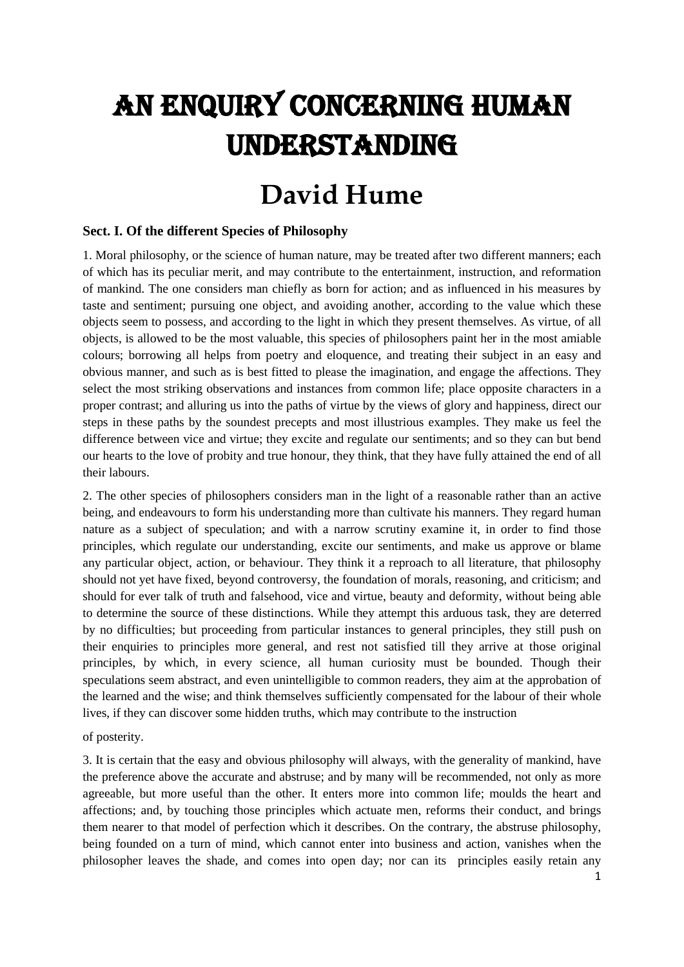# An Enquiry Concerning Human Understanding

## **David Hume**

#### **Sect. I. Of the different Species of Philosophy**

1. Moral philosophy, or the science of human nature, may be treated after two different manners; each of which has its peculiar merit, and may contribute to the entertainment, instruction, and reformation of mankind. The one considers man chiefly as born for action; and as influenced in his measures by taste and sentiment; pursuing one object, and avoiding another, according to the value which these objects seem to possess, and according to the light in which they present themselves. As virtue, of all objects, is allowed to be the most valuable, this species of philosophers paint her in the most amiable colours; borrowing all helps from poetry and eloquence, and treating their subject in an easy and obvious manner, and such as is best fitted to please the imagination, and engage the affections. They select the most striking observations and instances from common life; place opposite characters in a proper contrast; and alluring us into the paths of virtue by the views of glory and happiness, direct our steps in these paths by the soundest precepts and most illustrious examples. They make us feel the difference between vice and virtue; they excite and regulate our sentiments; and so they can but bend our hearts to the love of probity and true honour, they think, that they have fully attained the end of all their labours.

2. The other species of philosophers considers man in the light of a reasonable rather than an active being, and endeavours to form his understanding more than cultivate his manners. They regard human nature as a subject of speculation; and with a narrow scrutiny examine it, in order to find those principles, which regulate our understanding, excite our sentiments, and make us approve or blame any particular object, action, or behaviour. They think it a reproach to all literature, that philosophy should not yet have fixed, beyond controversy, the foundation of morals, reasoning, and criticism; and should for ever talk of truth and falsehood, vice and virtue, beauty and deformity, without being able to determine the source of these distinctions. While they attempt this arduous task, they are deterred by no difficulties; but proceeding from particular instances to general principles, they still push on their enquiries to principles more general, and rest not satisfied till they arrive at those original principles, by which, in every science, all human curiosity must be bounded. Though their speculations seem abstract, and even unintelligible to common readers, they aim at the approbation of the learned and the wise; and think themselves sufficiently compensated for the labour of their whole lives, if they can discover some hidden truths, which may contribute to the instruction

of posterity.

3. It is certain that the easy and obvious philosophy will always, with the generality of mankind, have the preference above the accurate and abstruse; and by many will be recommended, not only as more agreeable, but more useful than the other. It enters more into common life; moulds the heart and affections; and, by touching those principles which actuate men, reforms their conduct, and brings them nearer to that model of perfection which it describes. On the contrary, the abstruse philosophy, being founded on a turn of mind, which cannot enter into business and action, vanishes when the philosopher leaves the shade, and comes into open day; nor can its principles easily retain any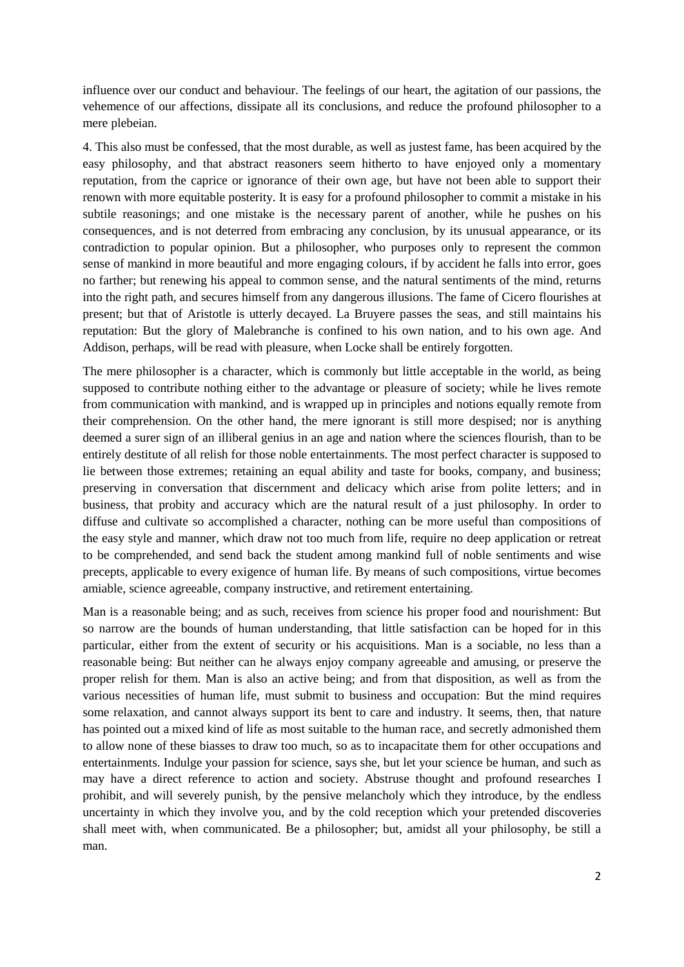influence over our conduct and behaviour. The feelings of our heart, the agitation of our passions, the vehemence of our affections, dissipate all its conclusions, and reduce the profound philosopher to a mere plebeian.

4. This also must be confessed, that the most durable, as well as justest fame, has been acquired by the easy philosophy, and that abstract reasoners seem hitherto to have enjoyed only a momentary reputation, from the caprice or ignorance of their own age, but have not been able to support their renown with more equitable posterity. It is easy for a profound philosopher to commit a mistake in his subtile reasonings; and one mistake is the necessary parent of another, while he pushes on his consequences, and is not deterred from embracing any conclusion, by its unusual appearance, or its contradiction to popular opinion. But a philosopher, who purposes only to represent the common sense of mankind in more beautiful and more engaging colours, if by accident he falls into error, goes no farther; but renewing his appeal to common sense, and the natural sentiments of the mind, returns into the right path, and secures himself from any dangerous illusions. The fame of Cicero flourishes at present; but that of Aristotle is utterly decayed. La Bruyere passes the seas, and still maintains his reputation: But the glory of Malebranche is confined to his own nation, and to his own age. And Addison, perhaps, will be read with pleasure, when Locke shall be entirely forgotten.

The mere philosopher is a character, which is commonly but little acceptable in the world, as being supposed to contribute nothing either to the advantage or pleasure of society; while he lives remote from communication with mankind, and is wrapped up in principles and notions equally remote from their comprehension. On the other hand, the mere ignorant is still more despised; nor is anything deemed a surer sign of an illiberal genius in an age and nation where the sciences flourish, than to be entirely destitute of all relish for those noble entertainments. The most perfect character is supposed to lie between those extremes; retaining an equal ability and taste for books, company, and business; preserving in conversation that discernment and delicacy which arise from polite letters; and in business, that probity and accuracy which are the natural result of a just philosophy. In order to diffuse and cultivate so accomplished a character, nothing can be more useful than compositions of the easy style and manner, which draw not too much from life, require no deep application or retreat to be comprehended, and send back the student among mankind full of noble sentiments and wise precepts, applicable to every exigence of human life. By means of such compositions, virtue becomes amiable, science agreeable, company instructive, and retirement entertaining.

Man is a reasonable being; and as such, receives from science his proper food and nourishment: But so narrow are the bounds of human understanding, that little satisfaction can be hoped for in this particular, either from the extent of security or his acquisitions. Man is a sociable, no less than a reasonable being: But neither can he always enjoy company agreeable and amusing, or preserve the proper relish for them. Man is also an active being; and from that disposition, as well as from the various necessities of human life, must submit to business and occupation: But the mind requires some relaxation, and cannot always support its bent to care and industry. It seems, then, that nature has pointed out a mixed kind of life as most suitable to the human race, and secretly admonished them to allow none of these biasses to draw too much, so as to incapacitate them for other occupations and entertainments. Indulge your passion for science, says she, but let your science be human, and such as may have a direct reference to action and society. Abstruse thought and profound researches I prohibit, and will severely punish, by the pensive melancholy which they introduce, by the endless uncertainty in which they involve you, and by the cold reception which your pretended discoveries shall meet with, when communicated. Be a philosopher; but, amidst all your philosophy, be still a man.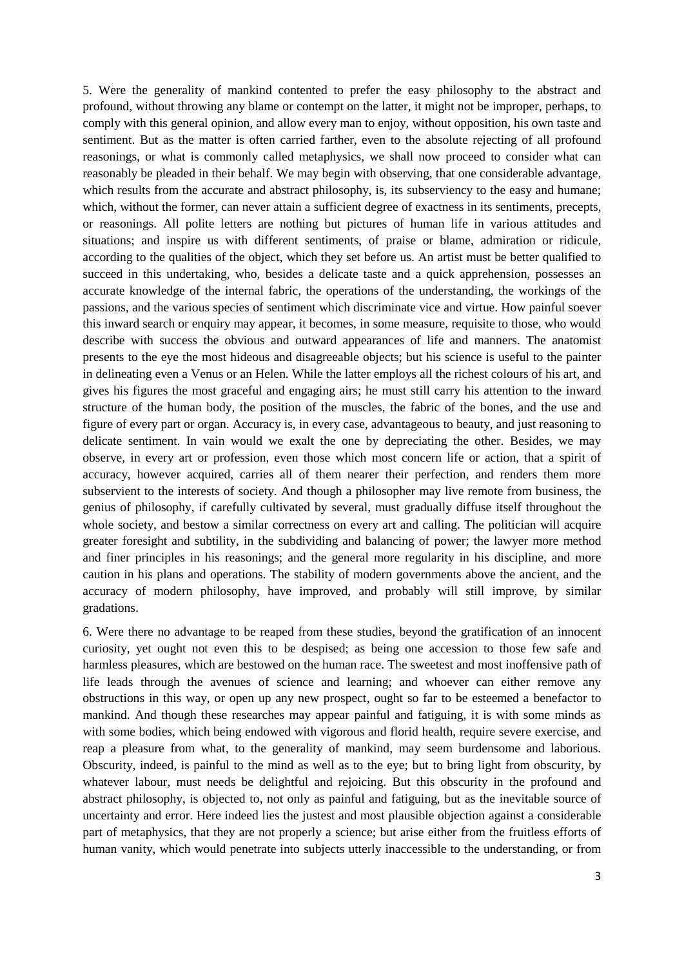5. Were the generality of mankind contented to prefer the easy philosophy to the abstract and profound, without throwing any blame or contempt on the latter, it might not be improper, perhaps, to comply with this general opinion, and allow every man to enjoy, without opposition, his own taste and sentiment. But as the matter is often carried farther, even to the absolute rejecting of all profound reasonings, or what is commonly called metaphysics, we shall now proceed to consider what can reasonably be pleaded in their behalf. We may begin with observing, that one considerable advantage, which results from the accurate and abstract philosophy, is, its subserviency to the easy and humane; which, without the former, can never attain a sufficient degree of exactness in its sentiments, precepts, or reasonings. All polite letters are nothing but pictures of human life in various attitudes and situations; and inspire us with different sentiments, of praise or blame, admiration or ridicule, according to the qualities of the object, which they set before us. An artist must be better qualified to succeed in this undertaking, who, besides a delicate taste and a quick apprehension, possesses an accurate knowledge of the internal fabric, the operations of the understanding, the workings of the passions, and the various species of sentiment which discriminate vice and virtue. How painful soever this inward search or enquiry may appear, it becomes, in some measure, requisite to those, who would describe with success the obvious and outward appearances of life and manners. The anatomist presents to the eye the most hideous and disagreeable objects; but his science is useful to the painter in delineating even a Venus or an Helen. While the latter employs all the richest colours of his art, and gives his figures the most graceful and engaging airs; he must still carry his attention to the inward structure of the human body, the position of the muscles, the fabric of the bones, and the use and figure of every part or organ. Accuracy is, in every case, advantageous to beauty, and just reasoning to delicate sentiment. In vain would we exalt the one by depreciating the other. Besides, we may observe, in every art or profession, even those which most concern life or action, that a spirit of accuracy, however acquired, carries all of them nearer their perfection, and renders them more subservient to the interests of society. And though a philosopher may live remote from business, the genius of philosophy, if carefully cultivated by several, must gradually diffuse itself throughout the whole society, and bestow a similar correctness on every art and calling. The politician will acquire greater foresight and subtility, in the subdividing and balancing of power; the lawyer more method and finer principles in his reasonings; and the general more regularity in his discipline, and more caution in his plans and operations. The stability of modern governments above the ancient, and the accuracy of modern philosophy, have improved, and probably will still improve, by similar gradations.

6. Were there no advantage to be reaped from these studies, beyond the gratification of an innocent curiosity, yet ought not even this to be despised; as being one accession to those few safe and harmless pleasures, which are bestowed on the human race. The sweetest and most inoffensive path of life leads through the avenues of science and learning; and whoever can either remove any obstructions in this way, or open up any new prospect, ought so far to be esteemed a benefactor to mankind. And though these researches may appear painful and fatiguing, it is with some minds as with some bodies, which being endowed with vigorous and florid health, require severe exercise, and reap a pleasure from what, to the generality of mankind, may seem burdensome and laborious. Obscurity, indeed, is painful to the mind as well as to the eye; but to bring light from obscurity, by whatever labour, must needs be delightful and rejoicing. But this obscurity in the profound and abstract philosophy, is objected to, not only as painful and fatiguing, but as the inevitable source of uncertainty and error. Here indeed lies the justest and most plausible objection against a considerable part of metaphysics, that they are not properly a science; but arise either from the fruitless efforts of human vanity, which would penetrate into subjects utterly inaccessible to the understanding, or from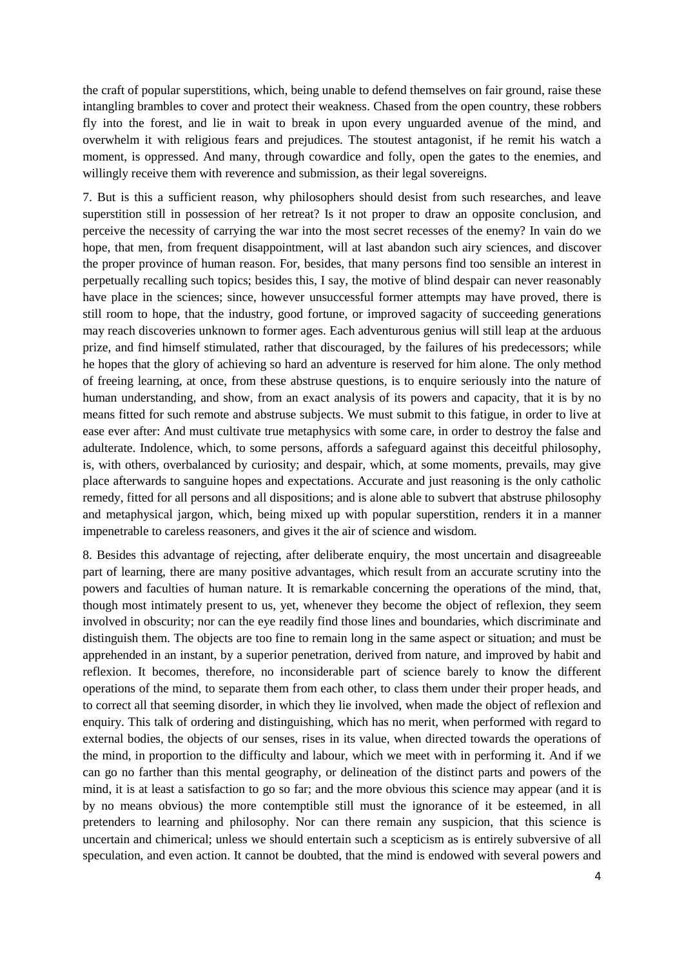the craft of popular superstitions, which, being unable to defend themselves on fair ground, raise these intangling brambles to cover and protect their weakness. Chased from the open country, these robbers fly into the forest, and lie in wait to break in upon every unguarded avenue of the mind, and overwhelm it with religious fears and prejudices. The stoutest antagonist, if he remit his watch a moment, is oppressed. And many, through cowardice and folly, open the gates to the enemies, and willingly receive them with reverence and submission, as their legal sovereigns.

7. But is this a sufficient reason, why philosophers should desist from such researches, and leave superstition still in possession of her retreat? Is it not proper to draw an opposite conclusion, and perceive the necessity of carrying the war into the most secret recesses of the enemy? In vain do we hope, that men, from frequent disappointment, will at last abandon such airy sciences, and discover the proper province of human reason. For, besides, that many persons find too sensible an interest in perpetually recalling such topics; besides this, I say, the motive of blind despair can never reasonably have place in the sciences; since, however unsuccessful former attempts may have proved, there is still room to hope, that the industry, good fortune, or improved sagacity of succeeding generations may reach discoveries unknown to former ages. Each adventurous genius will still leap at the arduous prize, and find himself stimulated, rather that discouraged, by the failures of his predecessors; while he hopes that the glory of achieving so hard an adventure is reserved for him alone. The only method of freeing learning, at once, from these abstruse questions, is to enquire seriously into the nature of human understanding, and show, from an exact analysis of its powers and capacity, that it is by no means fitted for such remote and abstruse subjects. We must submit to this fatigue, in order to live at ease ever after: And must cultivate true metaphysics with some care, in order to destroy the false and adulterate. Indolence, which, to some persons, affords a safeguard against this deceitful philosophy, is, with others, overbalanced by curiosity; and despair, which, at some moments, prevails, may give place afterwards to sanguine hopes and expectations. Accurate and just reasoning is the only catholic remedy, fitted for all persons and all dispositions; and is alone able to subvert that abstruse philosophy and metaphysical jargon, which, being mixed up with popular superstition, renders it in a manner impenetrable to careless reasoners, and gives it the air of science and wisdom.

8. Besides this advantage of rejecting, after deliberate enquiry, the most uncertain and disagreeable part of learning, there are many positive advantages, which result from an accurate scrutiny into the powers and faculties of human nature. It is remarkable concerning the operations of the mind, that, though most intimately present to us, yet, whenever they become the object of reflexion, they seem involved in obscurity; nor can the eye readily find those lines and boundaries, which discriminate and distinguish them. The objects are too fine to remain long in the same aspect or situation; and must be apprehended in an instant, by a superior penetration, derived from nature, and improved by habit and reflexion. It becomes, therefore, no inconsiderable part of science barely to know the different operations of the mind, to separate them from each other, to class them under their proper heads, and to correct all that seeming disorder, in which they lie involved, when made the object of reflexion and enquiry. This talk of ordering and distinguishing, which has no merit, when performed with regard to external bodies, the objects of our senses, rises in its value, when directed towards the operations of the mind, in proportion to the difficulty and labour, which we meet with in performing it. And if we can go no farther than this mental geography, or delineation of the distinct parts and powers of the mind, it is at least a satisfaction to go so far; and the more obvious this science may appear (and it is by no means obvious) the more contemptible still must the ignorance of it be esteemed, in all pretenders to learning and philosophy. Nor can there remain any suspicion, that this science is uncertain and chimerical; unless we should entertain such a scepticism as is entirely subversive of all speculation, and even action. It cannot be doubted, that the mind is endowed with several powers and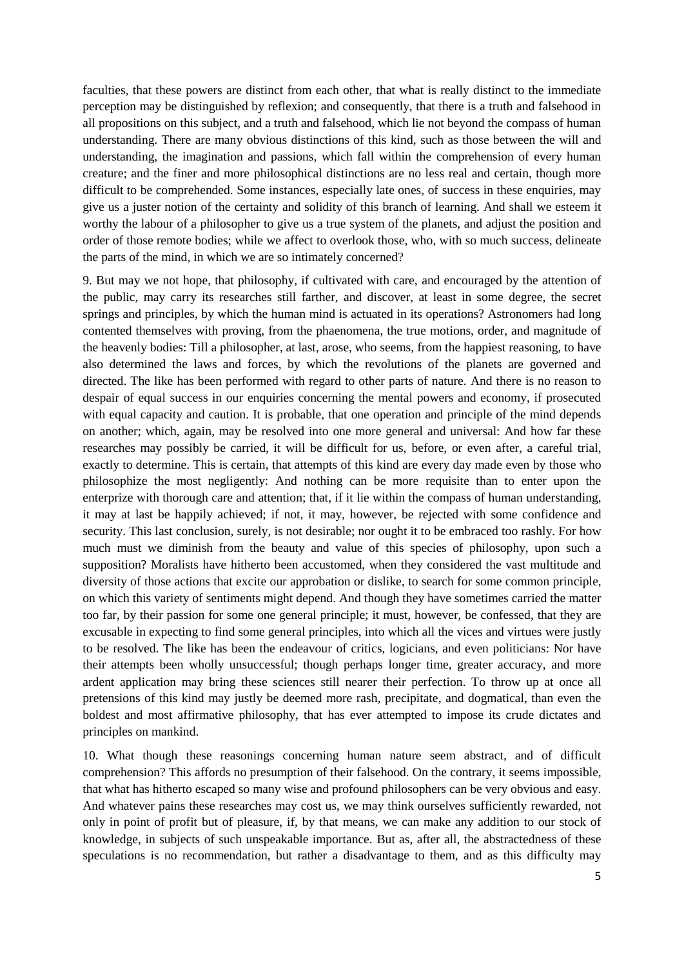faculties, that these powers are distinct from each other, that what is really distinct to the immediate perception may be distinguished by reflexion; and consequently, that there is a truth and falsehood in all propositions on this subject, and a truth and falsehood, which lie not beyond the compass of human understanding. There are many obvious distinctions of this kind, such as those between the will and understanding, the imagination and passions, which fall within the comprehension of every human creature; and the finer and more philosophical distinctions are no less real and certain, though more difficult to be comprehended. Some instances, especially late ones, of success in these enquiries, may give us a juster notion of the certainty and solidity of this branch of learning. And shall we esteem it worthy the labour of a philosopher to give us a true system of the planets, and adjust the position and order of those remote bodies; while we affect to overlook those, who, with so much success, delineate the parts of the mind, in which we are so intimately concerned?

9. But may we not hope, that philosophy, if cultivated with care, and encouraged by the attention of the public, may carry its researches still farther, and discover, at least in some degree, the secret springs and principles, by which the human mind is actuated in its operations? Astronomers had long contented themselves with proving, from the phaenomena, the true motions, order, and magnitude of the heavenly bodies: Till a philosopher, at last, arose, who seems, from the happiest reasoning, to have also determined the laws and forces, by which the revolutions of the planets are governed and directed. The like has been performed with regard to other parts of nature. And there is no reason to despair of equal success in our enquiries concerning the mental powers and economy, if prosecuted with equal capacity and caution. It is probable, that one operation and principle of the mind depends on another; which, again, may be resolved into one more general and universal: And how far these researches may possibly be carried, it will be difficult for us, before, or even after, a careful trial, exactly to determine. This is certain, that attempts of this kind are every day made even by those who philosophize the most negligently: And nothing can be more requisite than to enter upon the enterprize with thorough care and attention; that, if it lie within the compass of human understanding, it may at last be happily achieved; if not, it may, however, be rejected with some confidence and security. This last conclusion, surely, is not desirable; nor ought it to be embraced too rashly. For how much must we diminish from the beauty and value of this species of philosophy, upon such a supposition? Moralists have hitherto been accustomed, when they considered the vast multitude and diversity of those actions that excite our approbation or dislike, to search for some common principle, on which this variety of sentiments might depend. And though they have sometimes carried the matter too far, by their passion for some one general principle; it must, however, be confessed, that they are excusable in expecting to find some general principles, into which all the vices and virtues were justly to be resolved. The like has been the endeavour of critics, logicians, and even politicians: Nor have their attempts been wholly unsuccessful; though perhaps longer time, greater accuracy, and more ardent application may bring these sciences still nearer their perfection. To throw up at once all pretensions of this kind may justly be deemed more rash, precipitate, and dogmatical, than even the boldest and most affirmative philosophy, that has ever attempted to impose its crude dictates and principles on mankind.

10. What though these reasonings concerning human nature seem abstract, and of difficult comprehension? This affords no presumption of their falsehood. On the contrary, it seems impossible, that what has hitherto escaped so many wise and profound philosophers can be very obvious and easy. And whatever pains these researches may cost us, we may think ourselves sufficiently rewarded, not only in point of profit but of pleasure, if, by that means, we can make any addition to our stock of knowledge, in subjects of such unspeakable importance. But as, after all, the abstractedness of these speculations is no recommendation, but rather a disadvantage to them, and as this difficulty may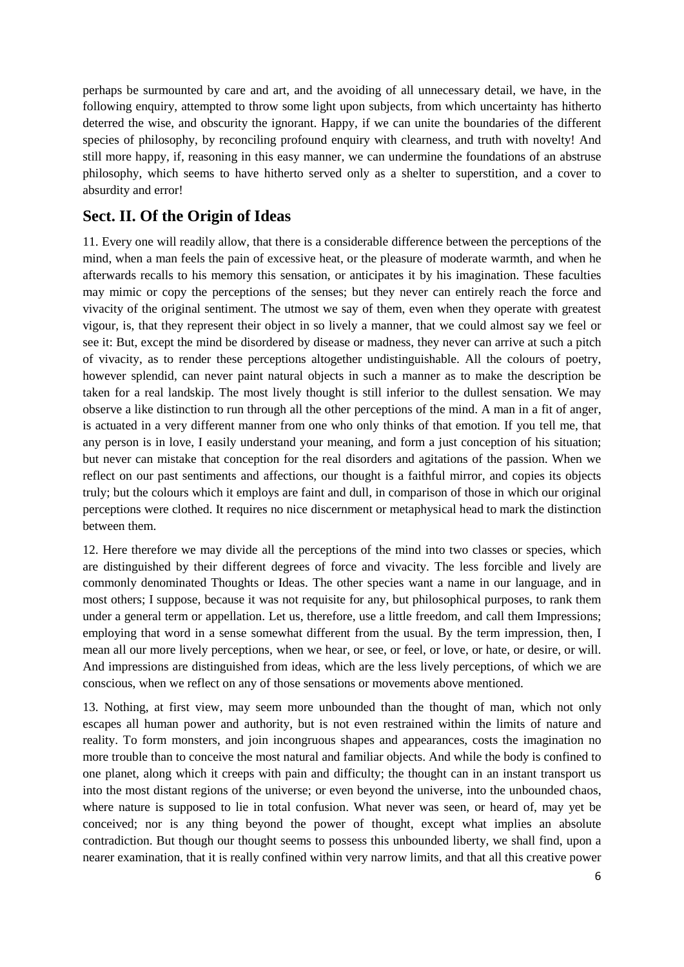perhaps be surmounted by care and art, and the avoiding of all unnecessary detail, we have, in the following enquiry, attempted to throw some light upon subjects, from which uncertainty has hitherto deterred the wise, and obscurity the ignorant. Happy, if we can unite the boundaries of the different species of philosophy, by reconciling profound enquiry with clearness, and truth with novelty! And still more happy, if, reasoning in this easy manner, we can undermine the foundations of an abstruse philosophy, which seems to have hitherto served only as a shelter to superstition, and a cover to absurdity and error!

## **Sect. II. Of the Origin of Ideas**

11. Every one will readily allow, that there is a considerable difference between the perceptions of the mind, when a man feels the pain of excessive heat, or the pleasure of moderate warmth, and when he afterwards recalls to his memory this sensation, or anticipates it by his imagination. These faculties may mimic or copy the perceptions of the senses; but they never can entirely reach the force and vivacity of the original sentiment. The utmost we say of them, even when they operate with greatest vigour, is, that they represent their object in so lively a manner, that we could almost say we feel or see it: But, except the mind be disordered by disease or madness, they never can arrive at such a pitch of vivacity, as to render these perceptions altogether undistinguishable. All the colours of poetry, however splendid, can never paint natural objects in such a manner as to make the description be taken for a real landskip. The most lively thought is still inferior to the dullest sensation. We may observe a like distinction to run through all the other perceptions of the mind. A man in a fit of anger, is actuated in a very different manner from one who only thinks of that emotion. If you tell me, that any person is in love, I easily understand your meaning, and form a just conception of his situation; but never can mistake that conception for the real disorders and agitations of the passion. When we reflect on our past sentiments and affections, our thought is a faithful mirror, and copies its objects truly; but the colours which it employs are faint and dull, in comparison of those in which our original perceptions were clothed. It requires no nice discernment or metaphysical head to mark the distinction between them.

12. Here therefore we may divide all the perceptions of the mind into two classes or species, which are distinguished by their different degrees of force and vivacity. The less forcible and lively are commonly denominated Thoughts or Ideas. The other species want a name in our language, and in most others; I suppose, because it was not requisite for any, but philosophical purposes, to rank them under a general term or appellation. Let us, therefore, use a little freedom, and call them Impressions; employing that word in a sense somewhat different from the usual. By the term impression, then, I mean all our more lively perceptions, when we hear, or see, or feel, or love, or hate, or desire, or will. And impressions are distinguished from ideas, which are the less lively perceptions, of which we are conscious, when we reflect on any of those sensations or movements above mentioned.

13. Nothing, at first view, may seem more unbounded than the thought of man, which not only escapes all human power and authority, but is not even restrained within the limits of nature and reality. To form monsters, and join incongruous shapes and appearances, costs the imagination no more trouble than to conceive the most natural and familiar objects. And while the body is confined to one planet, along which it creeps with pain and difficulty; the thought can in an instant transport us into the most distant regions of the universe; or even beyond the universe, into the unbounded chaos, where nature is supposed to lie in total confusion. What never was seen, or heard of, may yet be conceived; nor is any thing beyond the power of thought, except what implies an absolute contradiction. But though our thought seems to possess this unbounded liberty, we shall find, upon a nearer examination, that it is really confined within very narrow limits, and that all this creative power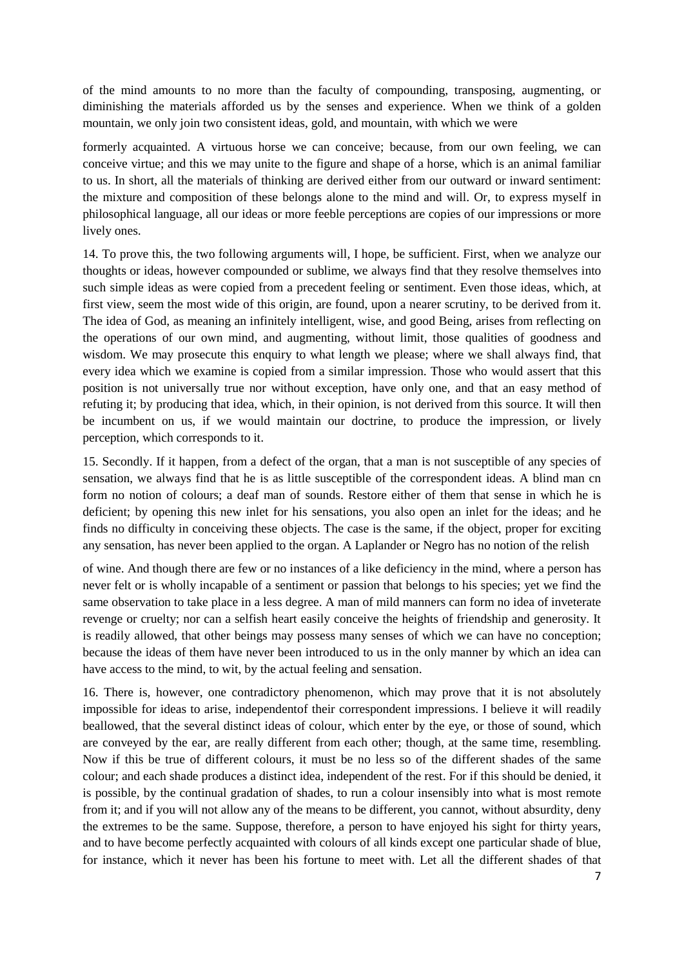of the mind amounts to no more than the faculty of compounding, transposing, augmenting, or diminishing the materials afforded us by the senses and experience. When we think of a golden mountain, we only join two consistent ideas, gold, and mountain, with which we were

formerly acquainted. A virtuous horse we can conceive; because, from our own feeling, we can conceive virtue; and this we may unite to the figure and shape of a horse, which is an animal familiar to us. In short, all the materials of thinking are derived either from our outward or inward sentiment: the mixture and composition of these belongs alone to the mind and will. Or, to express myself in philosophical language, all our ideas or more feeble perceptions are copies of our impressions or more lively ones.

14. To prove this, the two following arguments will, I hope, be sufficient. First, when we analyze our thoughts or ideas, however compounded or sublime, we always find that they resolve themselves into such simple ideas as were copied from a precedent feeling or sentiment. Even those ideas, which, at first view, seem the most wide of this origin, are found, upon a nearer scrutiny, to be derived from it. The idea of God, as meaning an infinitely intelligent, wise, and good Being, arises from reflecting on the operations of our own mind, and augmenting, without limit, those qualities of goodness and wisdom. We may prosecute this enquiry to what length we please; where we shall always find, that every idea which we examine is copied from a similar impression. Those who would assert that this position is not universally true nor without exception, have only one, and that an easy method of refuting it; by producing that idea, which, in their opinion, is not derived from this source. It will then be incumbent on us, if we would maintain our doctrine, to produce the impression, or lively perception, which corresponds to it.

15. Secondly. If it happen, from a defect of the organ, that a man is not susceptible of any species of sensation, we always find that he is as little susceptible of the correspondent ideas. A blind man cn form no notion of colours; a deaf man of sounds. Restore either of them that sense in which he is deficient; by opening this new inlet for his sensations, you also open an inlet for the ideas; and he finds no difficulty in conceiving these objects. The case is the same, if the object, proper for exciting any sensation, has never been applied to the organ. A Laplander or Negro has no notion of the relish

of wine. And though there are few or no instances of a like deficiency in the mind, where a person has never felt or is wholly incapable of a sentiment or passion that belongs to his species; yet we find the same observation to take place in a less degree. A man of mild manners can form no idea of inveterate revenge or cruelty; nor can a selfish heart easily conceive the heights of friendship and generosity. It is readily allowed, that other beings may possess many senses of which we can have no conception; because the ideas of them have never been introduced to us in the only manner by which an idea can have access to the mind, to wit, by the actual feeling and sensation.

16. There is, however, one contradictory phenomenon, which may prove that it is not absolutely impossible for ideas to arise, independentof their correspondent impressions. I believe it will readily beallowed, that the several distinct ideas of colour, which enter by the eye, or those of sound, which are conveyed by the ear, are really different from each other; though, at the same time, resembling. Now if this be true of different colours, it must be no less so of the different shades of the same colour; and each shade produces a distinct idea, independent of the rest. For if this should be denied, it is possible, by the continual gradation of shades, to run a colour insensibly into what is most remote from it; and if you will not allow any of the means to be different, you cannot, without absurdity, deny the extremes to be the same. Suppose, therefore, a person to have enjoyed his sight for thirty years, and to have become perfectly acquainted with colours of all kinds except one particular shade of blue, for instance, which it never has been his fortune to meet with. Let all the different shades of that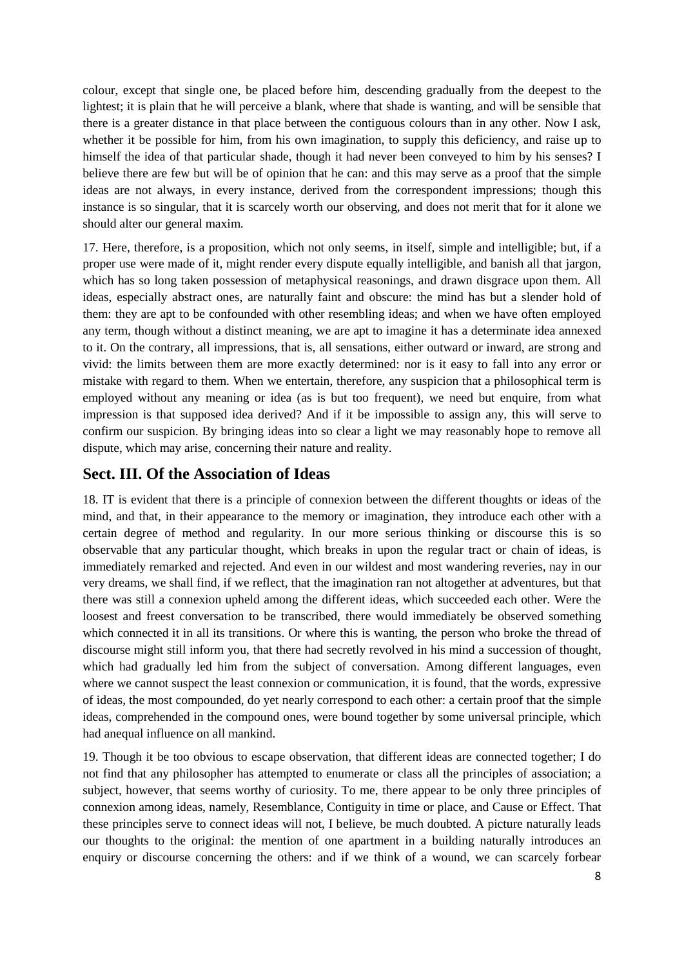colour, except that single one, be placed before him, descending gradually from the deepest to the lightest; it is plain that he will perceive a blank, where that shade is wanting, and will be sensible that there is a greater distance in that place between the contiguous colours than in any other. Now I ask, whether it be possible for him, from his own imagination, to supply this deficiency, and raise up to himself the idea of that particular shade, though it had never been conveyed to him by his senses? I believe there are few but will be of opinion that he can: and this may serve as a proof that the simple ideas are not always, in every instance, derived from the correspondent impressions; though this instance is so singular, that it is scarcely worth our observing, and does not merit that for it alone we should alter our general maxim.

17. Here, therefore, is a proposition, which not only seems, in itself, simple and intelligible; but, if a proper use were made of it, might render every dispute equally intelligible, and banish all that jargon, which has so long taken possession of metaphysical reasonings, and drawn disgrace upon them. All ideas, especially abstract ones, are naturally faint and obscure: the mind has but a slender hold of them: they are apt to be confounded with other resembling ideas; and when we have often employed any term, though without a distinct meaning, we are apt to imagine it has a determinate idea annexed to it. On the contrary, all impressions, that is, all sensations, either outward or inward, are strong and vivid: the limits between them are more exactly determined: nor is it easy to fall into any error or mistake with regard to them. When we entertain, therefore, any suspicion that a philosophical term is employed without any meaning or idea (as is but too frequent), we need but enquire, from what impression is that supposed idea derived? And if it be impossible to assign any, this will serve to confirm our suspicion. By bringing ideas into so clear a light we may reasonably hope to remove all dispute, which may arise, concerning their nature and reality.

## **Sect. III. Of the Association of Ideas**

18. IT is evident that there is a principle of connexion between the different thoughts or ideas of the mind, and that, in their appearance to the memory or imagination, they introduce each other with a certain degree of method and regularity. In our more serious thinking or discourse this is so observable that any particular thought, which breaks in upon the regular tract or chain of ideas, is immediately remarked and rejected. And even in our wildest and most wandering reveries, nay in our very dreams, we shall find, if we reflect, that the imagination ran not altogether at adventures, but that there was still a connexion upheld among the different ideas, which succeeded each other. Were the loosest and freest conversation to be transcribed, there would immediately be observed something which connected it in all its transitions. Or where this is wanting, the person who broke the thread of discourse might still inform you, that there had secretly revolved in his mind a succession of thought, which had gradually led him from the subject of conversation. Among different languages, even where we cannot suspect the least connexion or communication, it is found, that the words, expressive of ideas, the most compounded, do yet nearly correspond to each other: a certain proof that the simple ideas, comprehended in the compound ones, were bound together by some universal principle, which had anequal influence on all mankind.

19. Though it be too obvious to escape observation, that different ideas are connected together; I do not find that any philosopher has attempted to enumerate or class all the principles of association; a subject, however, that seems worthy of curiosity. To me, there appear to be only three principles of connexion among ideas, namely, Resemblance, Contiguity in time or place, and Cause or Effect. That these principles serve to connect ideas will not, I believe, be much doubted. A picture naturally leads our thoughts to the original: the mention of one apartment in a building naturally introduces an enquiry or discourse concerning the others: and if we think of a wound, we can scarcely forbear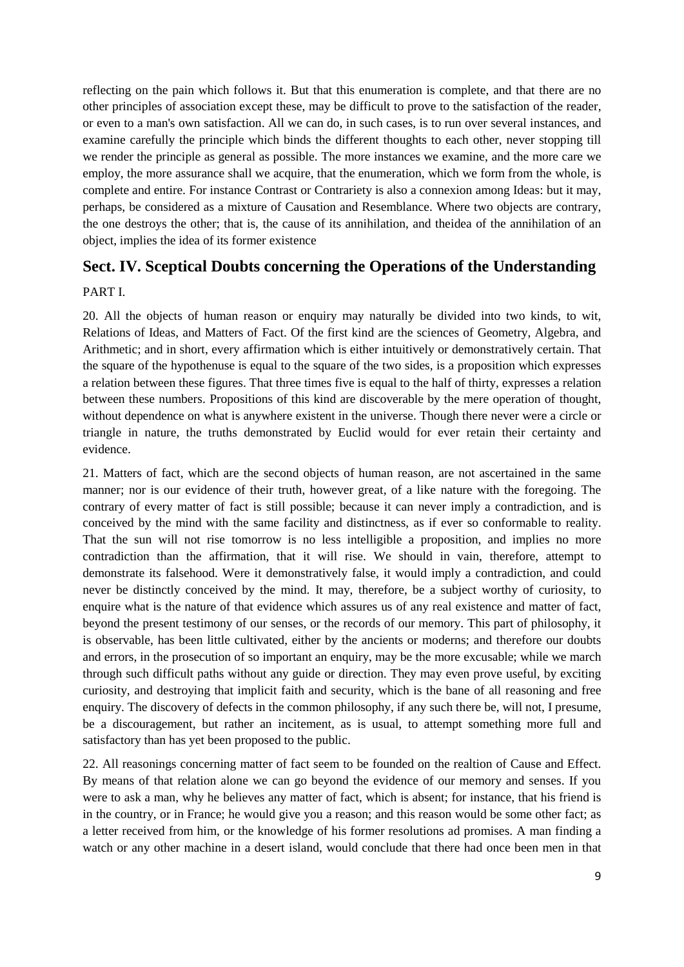reflecting on the pain which follows it. But that this enumeration is complete, and that there are no other principles of association except these, may be difficult to prove to the satisfaction of the reader, or even to a man's own satisfaction. All we can do, in such cases, is to run over several instances, and examine carefully the principle which binds the different thoughts to each other, never stopping till we render the principle as general as possible. The more instances we examine, and the more care we employ, the more assurance shall we acquire, that the enumeration, which we form from the whole, is complete and entire. For instance Contrast or Contrariety is also a connexion among Ideas: but it may, perhaps, be considered as a mixture of Causation and Resemblance. Where two objects are contrary, the one destroys the other; that is, the cause of its annihilation, and theidea of the annihilation of an object, implies the idea of its former existence

## **Sect. IV. Sceptical Doubts concerning the Operations of the Understanding**

#### PART I.

20. All the objects of human reason or enquiry may naturally be divided into two kinds, to wit, Relations of Ideas, and Matters of Fact. Of the first kind are the sciences of Geometry, Algebra, and Arithmetic; and in short, every affirmation which is either intuitively or demonstratively certain. That the square of the hypothenuse is equal to the square of the two sides, is a proposition which expresses a relation between these figures. That three times five is equal to the half of thirty, expresses a relation between these numbers. Propositions of this kind are discoverable by the mere operation of thought, without dependence on what is anywhere existent in the universe. Though there never were a circle or triangle in nature, the truths demonstrated by Euclid would for ever retain their certainty and evidence.

21. Matters of fact, which are the second objects of human reason, are not ascertained in the same manner; nor is our evidence of their truth, however great, of a like nature with the foregoing. The contrary of every matter of fact is still possible; because it can never imply a contradiction, and is conceived by the mind with the same facility and distinctness, as if ever so conformable to reality. That the sun will not rise tomorrow is no less intelligible a proposition, and implies no more contradiction than the affirmation, that it will rise. We should in vain, therefore, attempt to demonstrate its falsehood. Were it demonstratively false, it would imply a contradiction, and could never be distinctly conceived by the mind. It may, therefore, be a subject worthy of curiosity, to enquire what is the nature of that evidence which assures us of any real existence and matter of fact, beyond the present testimony of our senses, or the records of our memory. This part of philosophy, it is observable, has been little cultivated, either by the ancients or moderns; and therefore our doubts and errors, in the prosecution of so important an enquiry, may be the more excusable; while we march through such difficult paths without any guide or direction. They may even prove useful, by exciting curiosity, and destroying that implicit faith and security, which is the bane of all reasoning and free enquiry. The discovery of defects in the common philosophy, if any such there be, will not, I presume, be a discouragement, but rather an incitement, as is usual, to attempt something more full and satisfactory than has yet been proposed to the public.

22. All reasonings concerning matter of fact seem to be founded on the realtion of Cause and Effect. By means of that relation alone we can go beyond the evidence of our memory and senses. If you were to ask a man, why he believes any matter of fact, which is absent; for instance, that his friend is in the country, or in France; he would give you a reason; and this reason would be some other fact; as a letter received from him, or the knowledge of his former resolutions ad promises. A man finding a watch or any other machine in a desert island, would conclude that there had once been men in that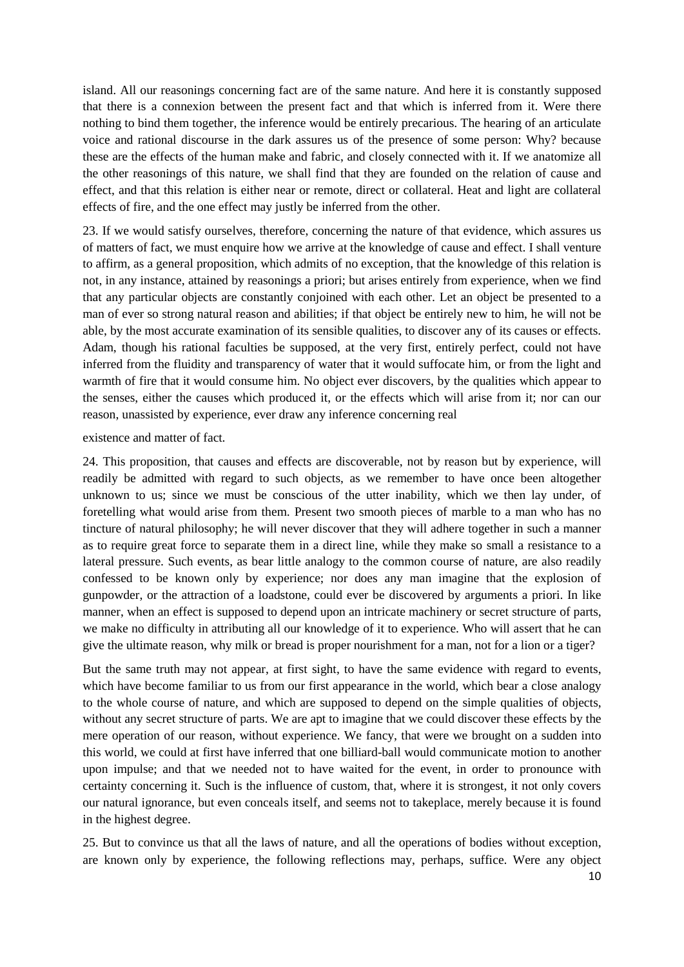island. All our reasonings concerning fact are of the same nature. And here it is constantly supposed that there is a connexion between the present fact and that which is inferred from it. Were there nothing to bind them together, the inference would be entirely precarious. The hearing of an articulate voice and rational discourse in the dark assures us of the presence of some person: Why? because these are the effects of the human make and fabric, and closely connected with it. If we anatomize all the other reasonings of this nature, we shall find that they are founded on the relation of cause and effect, and that this relation is either near or remote, direct or collateral. Heat and light are collateral effects of fire, and the one effect may justly be inferred from the other.

23. If we would satisfy ourselves, therefore, concerning the nature of that evidence, which assures us of matters of fact, we must enquire how we arrive at the knowledge of cause and effect. I shall venture to affirm, as a general proposition, which admits of no exception, that the knowledge of this relation is not, in any instance, attained by reasonings a priori; but arises entirely from experience, when we find that any particular objects are constantly conjoined with each other. Let an object be presented to a man of ever so strong natural reason and abilities; if that object be entirely new to him, he will not be able, by the most accurate examination of its sensible qualities, to discover any of its causes or effects. Adam, though his rational faculties be supposed, at the very first, entirely perfect, could not have inferred from the fluidity and transparency of water that it would suffocate him, or from the light and warmth of fire that it would consume him. No object ever discovers, by the qualities which appear to the senses, either the causes which produced it, or the effects which will arise from it; nor can our reason, unassisted by experience, ever draw any inference concerning real

existence and matter of fact.

24. This proposition, that causes and effects are discoverable, not by reason but by experience, will readily be admitted with regard to such objects, as we remember to have once been altogether unknown to us; since we must be conscious of the utter inability, which we then lay under, of foretelling what would arise from them. Present two smooth pieces of marble to a man who has no tincture of natural philosophy; he will never discover that they will adhere together in such a manner as to require great force to separate them in a direct line, while they make so small a resistance to a lateral pressure. Such events, as bear little analogy to the common course of nature, are also readily confessed to be known only by experience; nor does any man imagine that the explosion of gunpowder, or the attraction of a loadstone, could ever be discovered by arguments a priori. In like manner, when an effect is supposed to depend upon an intricate machinery or secret structure of parts, we make no difficulty in attributing all our knowledge of it to experience. Who will assert that he can give the ultimate reason, why milk or bread is proper nourishment for a man, not for a lion or a tiger?

But the same truth may not appear, at first sight, to have the same evidence with regard to events, which have become familiar to us from our first appearance in the world, which bear a close analogy to the whole course of nature, and which are supposed to depend on the simple qualities of objects, without any secret structure of parts. We are apt to imagine that we could discover these effects by the mere operation of our reason, without experience. We fancy, that were we brought on a sudden into this world, we could at first have inferred that one billiard-ball would communicate motion to another upon impulse; and that we needed not to have waited for the event, in order to pronounce with certainty concerning it. Such is the influence of custom, that, where it is strongest, it not only covers our natural ignorance, but even conceals itself, and seems not to takeplace, merely because it is found in the highest degree.

25. But to convince us that all the laws of nature, and all the operations of bodies without exception, are known only by experience, the following reflections may, perhaps, suffice. Were any object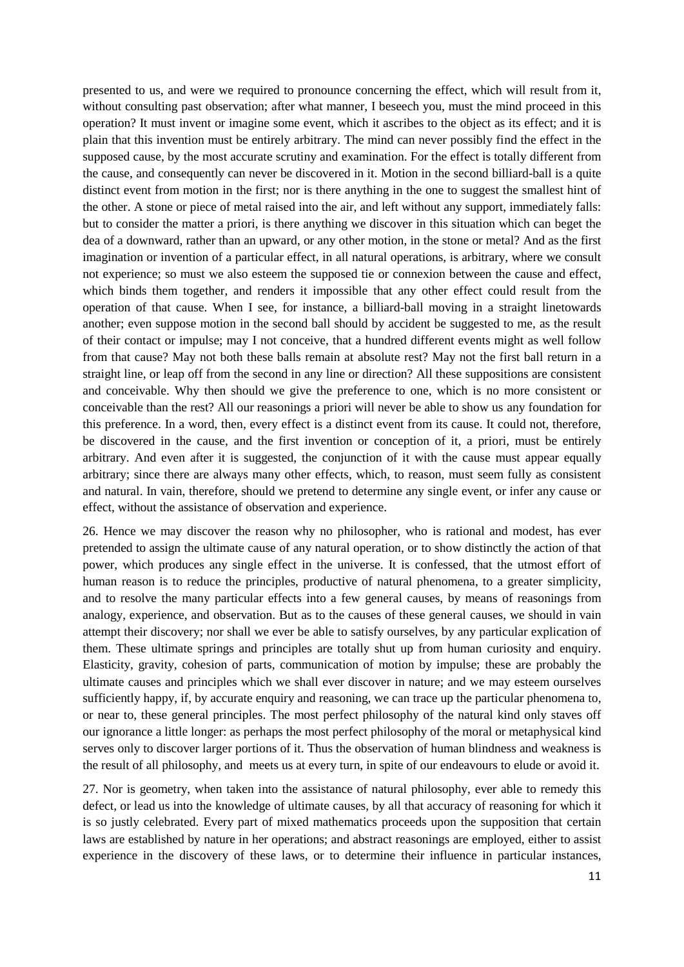presented to us, and were we required to pronounce concerning the effect, which will result from it, without consulting past observation; after what manner, I beseech you, must the mind proceed in this operation? It must invent or imagine some event, which it ascribes to the object as its effect; and it is plain that this invention must be entirely arbitrary. The mind can never possibly find the effect in the supposed cause, by the most accurate scrutiny and examination. For the effect is totally different from the cause, and consequently can never be discovered in it. Motion in the second billiard-ball is a quite distinct event from motion in the first; nor is there anything in the one to suggest the smallest hint of the other. A stone or piece of metal raised into the air, and left without any support, immediately falls: but to consider the matter a priori, is there anything we discover in this situation which can beget the dea of a downward, rather than an upward, or any other motion, in the stone or metal? And as the first imagination or invention of a particular effect, in all natural operations, is arbitrary, where we consult not experience; so must we also esteem the supposed tie or connexion between the cause and effect, which binds them together, and renders it impossible that any other effect could result from the operation of that cause. When I see, for instance, a billiard-ball moving in a straight linetowards another; even suppose motion in the second ball should by accident be suggested to me, as the result of their contact or impulse; may I not conceive, that a hundred different events might as well follow from that cause? May not both these balls remain at absolute rest? May not the first ball return in a straight line, or leap off from the second in any line or direction? All these suppositions are consistent and conceivable. Why then should we give the preference to one, which is no more consistent or conceivable than the rest? All our reasonings a priori will never be able to show us any foundation for this preference. In a word, then, every effect is a distinct event from its cause. It could not, therefore, be discovered in the cause, and the first invention or conception of it, a priori, must be entirely arbitrary. And even after it is suggested, the conjunction of it with the cause must appear equally arbitrary; since there are always many other effects, which, to reason, must seem fully as consistent and natural. In vain, therefore, should we pretend to determine any single event, or infer any cause or effect, without the assistance of observation and experience.

26. Hence we may discover the reason why no philosopher, who is rational and modest, has ever pretended to assign the ultimate cause of any natural operation, or to show distinctly the action of that power, which produces any single effect in the universe. It is confessed, that the utmost effort of human reason is to reduce the principles, productive of natural phenomena, to a greater simplicity, and to resolve the many particular effects into a few general causes, by means of reasonings from analogy, experience, and observation. But as to the causes of these general causes, we should in vain attempt their discovery; nor shall we ever be able to satisfy ourselves, by any particular explication of them. These ultimate springs and principles are totally shut up from human curiosity and enquiry. Elasticity, gravity, cohesion of parts, communication of motion by impulse; these are probably the ultimate causes and principles which we shall ever discover in nature; and we may esteem ourselves sufficiently happy, if, by accurate enquiry and reasoning, we can trace up the particular phenomena to, or near to, these general principles. The most perfect philosophy of the natural kind only staves off our ignorance a little longer: as perhaps the most perfect philosophy of the moral or metaphysical kind serves only to discover larger portions of it. Thus the observation of human blindness and weakness is the result of all philosophy, and meets us at every turn, in spite of our endeavours to elude or avoid it.

27. Nor is geometry, when taken into the assistance of natural philosophy, ever able to remedy this defect, or lead us into the knowledge of ultimate causes, by all that accuracy of reasoning for which it is so justly celebrated. Every part of mixed mathematics proceeds upon the supposition that certain laws are established by nature in her operations; and abstract reasonings are employed, either to assist experience in the discovery of these laws, or to determine their influence in particular instances,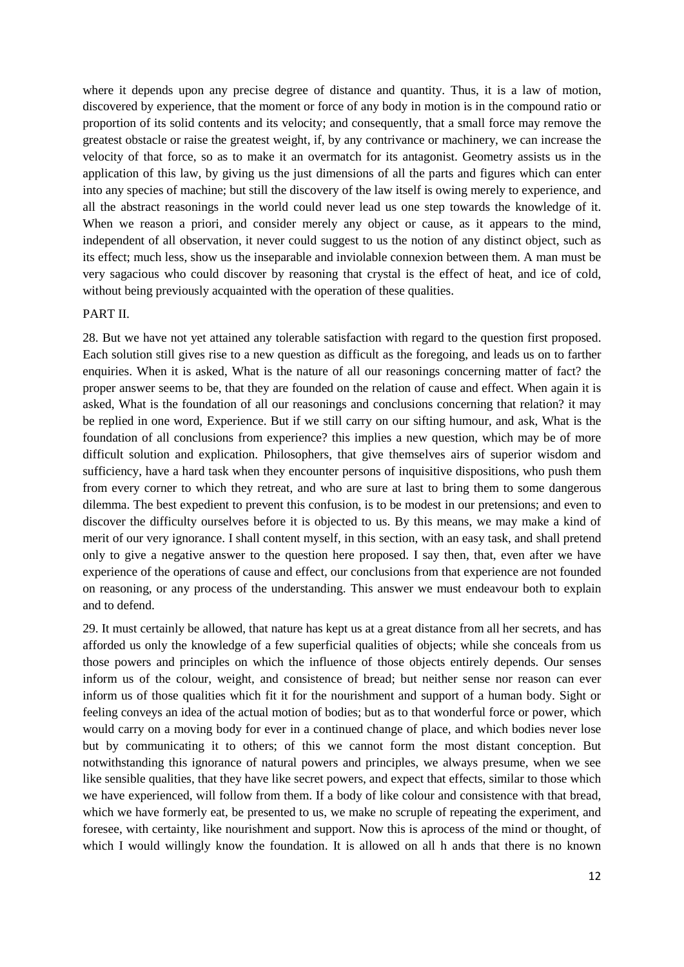where it depends upon any precise degree of distance and quantity. Thus, it is a law of motion, discovered by experience, that the moment or force of any body in motion is in the compound ratio or proportion of its solid contents and its velocity; and consequently, that a small force may remove the greatest obstacle or raise the greatest weight, if, by any contrivance or machinery, we can increase the velocity of that force, so as to make it an overmatch for its antagonist. Geometry assists us in the application of this law, by giving us the just dimensions of all the parts and figures which can enter into any species of machine; but still the discovery of the law itself is owing merely to experience, and all the abstract reasonings in the world could never lead us one step towards the knowledge of it. When we reason a priori, and consider merely any object or cause, as it appears to the mind, independent of all observation, it never could suggest to us the notion of any distinct object, such as its effect; much less, show us the inseparable and inviolable connexion between them. A man must be very sagacious who could discover by reasoning that crystal is the effect of heat, and ice of cold, without being previously acquainted with the operation of these qualities.

#### PART II.

28. But we have not yet attained any tolerable satisfaction with regard to the question first proposed. Each solution still gives rise to a new question as difficult as the foregoing, and leads us on to farther enquiries. When it is asked, What is the nature of all our reasonings concerning matter of fact? the proper answer seems to be, that they are founded on the relation of cause and effect. When again it is asked, What is the foundation of all our reasonings and conclusions concerning that relation? it may be replied in one word, Experience. But if we still carry on our sifting humour, and ask, What is the foundation of all conclusions from experience? this implies a new question, which may be of more difficult solution and explication. Philosophers, that give themselves airs of superior wisdom and sufficiency, have a hard task when they encounter persons of inquisitive dispositions, who push them from every corner to which they retreat, and who are sure at last to bring them to some dangerous dilemma. The best expedient to prevent this confusion, is to be modest in our pretensions; and even to discover the difficulty ourselves before it is objected to us. By this means, we may make a kind of merit of our very ignorance. I shall content myself, in this section, with an easy task, and shall pretend only to give a negative answer to the question here proposed. I say then, that, even after we have experience of the operations of cause and effect, our conclusions from that experience are not founded on reasoning, or any process of the understanding. This answer we must endeavour both to explain and to defend.

29. It must certainly be allowed, that nature has kept us at a great distance from all her secrets, and has afforded us only the knowledge of a few superficial qualities of objects; while she conceals from us those powers and principles on which the influence of those objects entirely depends. Our senses inform us of the colour, weight, and consistence of bread; but neither sense nor reason can ever inform us of those qualities which fit it for the nourishment and support of a human body. Sight or feeling conveys an idea of the actual motion of bodies; but as to that wonderful force or power, which would carry on a moving body for ever in a continued change of place, and which bodies never lose but by communicating it to others; of this we cannot form the most distant conception. But notwithstanding this ignorance of natural powers and principles, we always presume, when we see like sensible qualities, that they have like secret powers, and expect that effects, similar to those which we have experienced, will follow from them. If a body of like colour and consistence with that bread, which we have formerly eat, be presented to us, we make no scruple of repeating the experiment, and foresee, with certainty, like nourishment and support. Now this is aprocess of the mind or thought, of which I would willingly know the foundation. It is allowed on all h ands that there is no known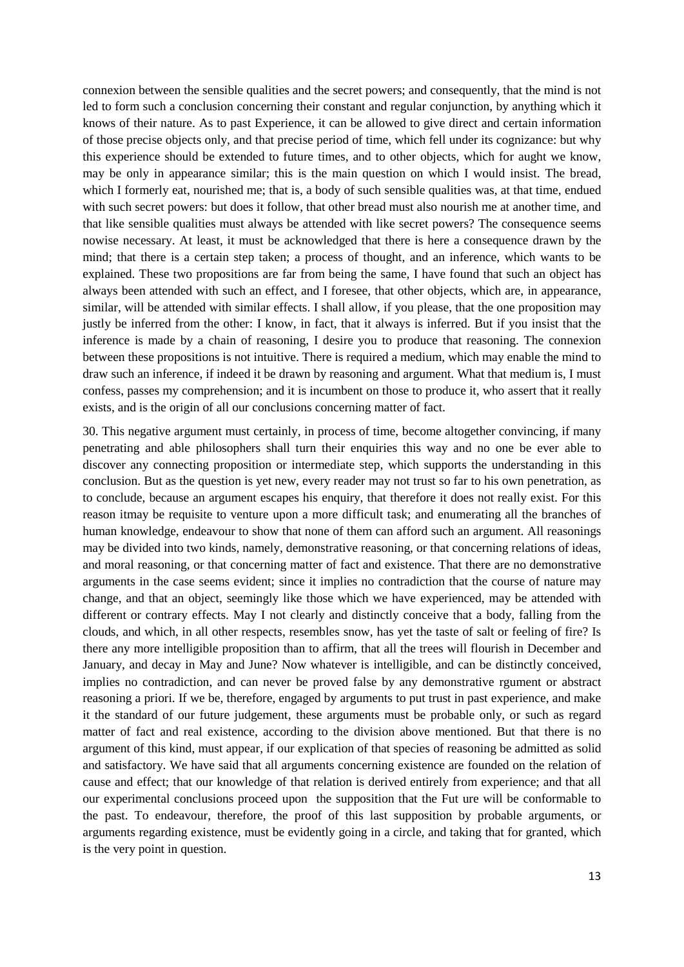connexion between the sensible qualities and the secret powers; and consequently, that the mind is not led to form such a conclusion concerning their constant and regular conjunction, by anything which it knows of their nature. As to past Experience, it can be allowed to give direct and certain information of those precise objects only, and that precise period of time, which fell under its cognizance: but why this experience should be extended to future times, and to other objects, which for aught we know, may be only in appearance similar; this is the main question on which I would insist. The bread, which I formerly eat, nourished me; that is, a body of such sensible qualities was, at that time, endued with such secret powers: but does it follow, that other bread must also nourish me at another time, and that like sensible qualities must always be attended with like secret powers? The consequence seems nowise necessary. At least, it must be acknowledged that there is here a consequence drawn by the mind; that there is a certain step taken; a process of thought, and an inference, which wants to be explained. These two propositions are far from being the same, I have found that such an object has always been attended with such an effect, and I foresee, that other objects, which are, in appearance, similar, will be attended with similar effects. I shall allow, if you please, that the one proposition may justly be inferred from the other: I know, in fact, that it always is inferred. But if you insist that the inference is made by a chain of reasoning, I desire you to produce that reasoning. The connexion between these propositions is not intuitive. There is required a medium, which may enable the mind to draw such an inference, if indeed it be drawn by reasoning and argument. What that medium is, I must confess, passes my comprehension; and it is incumbent on those to produce it, who assert that it really exists, and is the origin of all our conclusions concerning matter of fact.

30. This negative argument must certainly, in process of time, become altogether convincing, if many penetrating and able philosophers shall turn their enquiries this way and no one be ever able to discover any connecting proposition or intermediate step, which supports the understanding in this conclusion. But as the question is yet new, every reader may not trust so far to his own penetration, as to conclude, because an argument escapes his enquiry, that therefore it does not really exist. For this reason itmay be requisite to venture upon a more difficult task; and enumerating all the branches of human knowledge, endeavour to show that none of them can afford such an argument. All reasonings may be divided into two kinds, namely, demonstrative reasoning, or that concerning relations of ideas, and moral reasoning, or that concerning matter of fact and existence. That there are no demonstrative arguments in the case seems evident; since it implies no contradiction that the course of nature may change, and that an object, seemingly like those which we have experienced, may be attended with different or contrary effects. May I not clearly and distinctly conceive that a body, falling from the clouds, and which, in all other respects, resembles snow, has yet the taste of salt or feeling of fire? Is there any more intelligible proposition than to affirm, that all the trees will flourish in December and January, and decay in May and June? Now whatever is intelligible, and can be distinctly conceived, implies no contradiction, and can never be proved false by any demonstrative rgument or abstract reasoning a priori. If we be, therefore, engaged by arguments to put trust in past experience, and make it the standard of our future judgement, these arguments must be probable only, or such as regard matter of fact and real existence, according to the division above mentioned. But that there is no argument of this kind, must appear, if our explication of that species of reasoning be admitted as solid and satisfactory. We have said that all arguments concerning existence are founded on the relation of cause and effect; that our knowledge of that relation is derived entirely from experience; and that all our experimental conclusions proceed upon the supposition that the Fut ure will be conformable to the past. To endeavour, therefore, the proof of this last supposition by probable arguments, or arguments regarding existence, must be evidently going in a circle, and taking that for granted, which is the very point in question.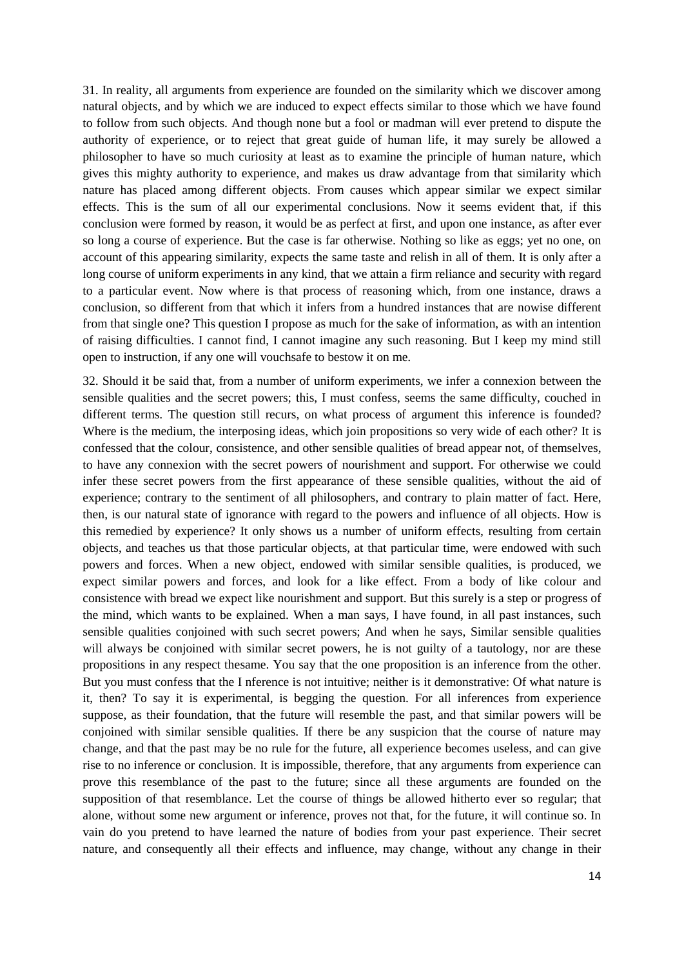31. In reality, all arguments from experience are founded on the similarity which we discover among natural objects, and by which we are induced to expect effects similar to those which we have found to follow from such objects. And though none but a fool or madman will ever pretend to dispute the authority of experience, or to reject that great guide of human life, it may surely be allowed a philosopher to have so much curiosity at least as to examine the principle of human nature, which gives this mighty authority to experience, and makes us draw advantage from that similarity which nature has placed among different objects. From causes which appear similar we expect similar effects. This is the sum of all our experimental conclusions. Now it seems evident that, if this conclusion were formed by reason, it would be as perfect at first, and upon one instance, as after ever so long a course of experience. But the case is far otherwise. Nothing so like as eggs; yet no one, on account of this appearing similarity, expects the same taste and relish in all of them. It is only after a long course of uniform experiments in any kind, that we attain a firm reliance and security with regard to a particular event. Now where is that process of reasoning which, from one instance, draws a conclusion, so different from that which it infers from a hundred instances that are nowise different from that single one? This question I propose as much for the sake of information, as with an intention of raising difficulties. I cannot find, I cannot imagine any such reasoning. But I keep my mind still open to instruction, if any one will vouchsafe to bestow it on me.

32. Should it be said that, from a number of uniform experiments, we infer a connexion between the sensible qualities and the secret powers; this, I must confess, seems the same difficulty, couched in different terms. The question still recurs, on what process of argument this inference is founded? Where is the medium, the interposing ideas, which join propositions so very wide of each other? It is confessed that the colour, consistence, and other sensible qualities of bread appear not, of themselves, to have any connexion with the secret powers of nourishment and support. For otherwise we could infer these secret powers from the first appearance of these sensible qualities, without the aid of experience; contrary to the sentiment of all philosophers, and contrary to plain matter of fact. Here, then, is our natural state of ignorance with regard to the powers and influence of all objects. How is this remedied by experience? It only shows us a number of uniform effects, resulting from certain objects, and teaches us that those particular objects, at that particular time, were endowed with such powers and forces. When a new object, endowed with similar sensible qualities, is produced, we expect similar powers and forces, and look for a like effect. From a body of like colour and consistence with bread we expect like nourishment and support. But this surely is a step or progress of the mind, which wants to be explained. When a man says, I have found, in all past instances, such sensible qualities conjoined with such secret powers; And when he says, Similar sensible qualities will always be conjoined with similar secret powers, he is not guilty of a tautology, nor are these propositions in any respect thesame. You say that the one proposition is an inference from the other. But you must confess that the I nference is not intuitive; neither is it demonstrative: Of what nature is it, then? To say it is experimental, is begging the question. For all inferences from experience suppose, as their foundation, that the future will resemble the past, and that similar powers will be conjoined with similar sensible qualities. If there be any suspicion that the course of nature may change, and that the past may be no rule for the future, all experience becomes useless, and can give rise to no inference or conclusion. It is impossible, therefore, that any arguments from experience can prove this resemblance of the past to the future; since all these arguments are founded on the supposition of that resemblance. Let the course of things be allowed hitherto ever so regular; that alone, without some new argument or inference, proves not that, for the future, it will continue so. In vain do you pretend to have learned the nature of bodies from your past experience. Their secret nature, and consequently all their effects and influence, may change, without any change in their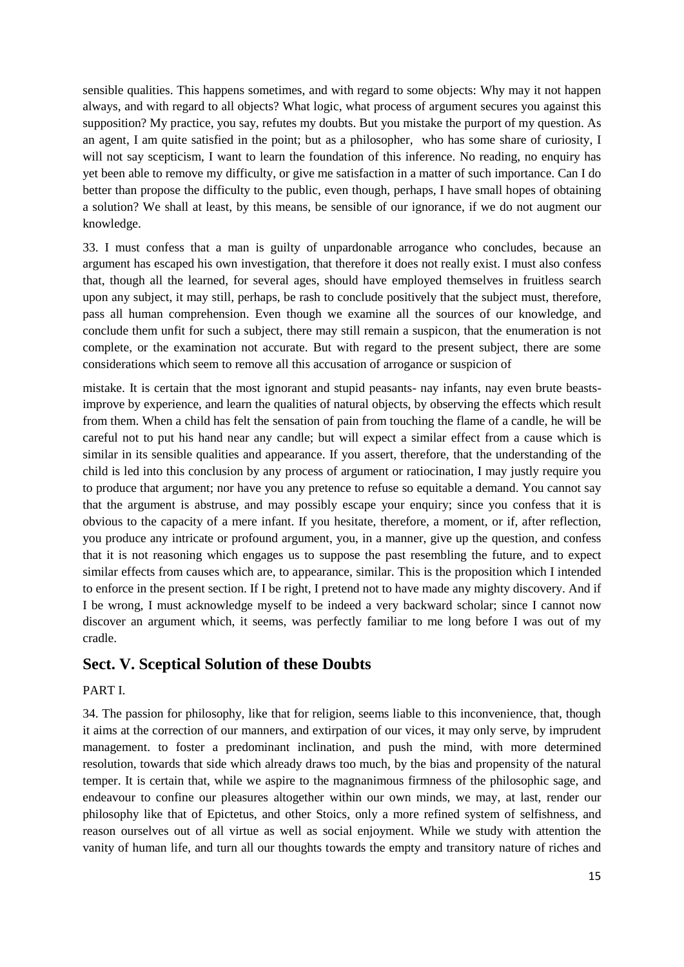sensible qualities. This happens sometimes, and with regard to some objects: Why may it not happen always, and with regard to all objects? What logic, what process of argument secures you against this supposition? My practice, you say, refutes my doubts. But you mistake the purport of my question. As an agent, I am quite satisfied in the point; but as a philosopher, who has some share of curiosity, I will not say scepticism, I want to learn the foundation of this inference. No reading, no enquiry has yet been able to remove my difficulty, or give me satisfaction in a matter of such importance. Can I do better than propose the difficulty to the public, even though, perhaps, I have small hopes of obtaining a solution? We shall at least, by this means, be sensible of our ignorance, if we do not augment our knowledge.

33. I must confess that a man is guilty of unpardonable arrogance who concludes, because an argument has escaped his own investigation, that therefore it does not really exist. I must also confess that, though all the learned, for several ages, should have employed themselves in fruitless search upon any subject, it may still, perhaps, be rash to conclude positively that the subject must, therefore, pass all human comprehension. Even though we examine all the sources of our knowledge, and conclude them unfit for such a subject, there may still remain a suspicon, that the enumeration is not complete, or the examination not accurate. But with regard to the present subject, there are some considerations which seem to remove all this accusation of arrogance or suspicion of

mistake. It is certain that the most ignorant and stupid peasants- nay infants, nay even brute beastsimprove by experience, and learn the qualities of natural objects, by observing the effects which result from them. When a child has felt the sensation of pain from touching the flame of a candle, he will be careful not to put his hand near any candle; but will expect a similar effect from a cause which is similar in its sensible qualities and appearance. If you assert, therefore, that the understanding of the child is led into this conclusion by any process of argument or ratiocination, I may justly require you to produce that argument; nor have you any pretence to refuse so equitable a demand. You cannot say that the argument is abstruse, and may possibly escape your enquiry; since you confess that it is obvious to the capacity of a mere infant. If you hesitate, therefore, a moment, or if, after reflection, you produce any intricate or profound argument, you, in a manner, give up the question, and confess that it is not reasoning which engages us to suppose the past resembling the future, and to expect similar effects from causes which are, to appearance, similar. This is the proposition which I intended to enforce in the present section. If I be right, I pretend not to have made any mighty discovery. And if I be wrong, I must acknowledge myself to be indeed a very backward scholar; since I cannot now discover an argument which, it seems, was perfectly familiar to me long before I was out of my cradle.

## **Sect. V. Sceptical Solution of these Doubts**

#### PART I.

34. The passion for philosophy, like that for religion, seems liable to this inconvenience, that, though it aims at the correction of our manners, and extirpation of our vices, it may only serve, by imprudent management. to foster a predominant inclination, and push the mind, with more determined resolution, towards that side which already draws too much, by the bias and propensity of the natural temper. It is certain that, while we aspire to the magnanimous firmness of the philosophic sage, and endeavour to confine our pleasures altogether within our own minds, we may, at last, render our philosophy like that of Epictetus, and other Stoics, only a more refined system of selfishness, and reason ourselves out of all virtue as well as social enjoyment. While we study with attention the vanity of human life, and turn all our thoughts towards the empty and transitory nature of riches and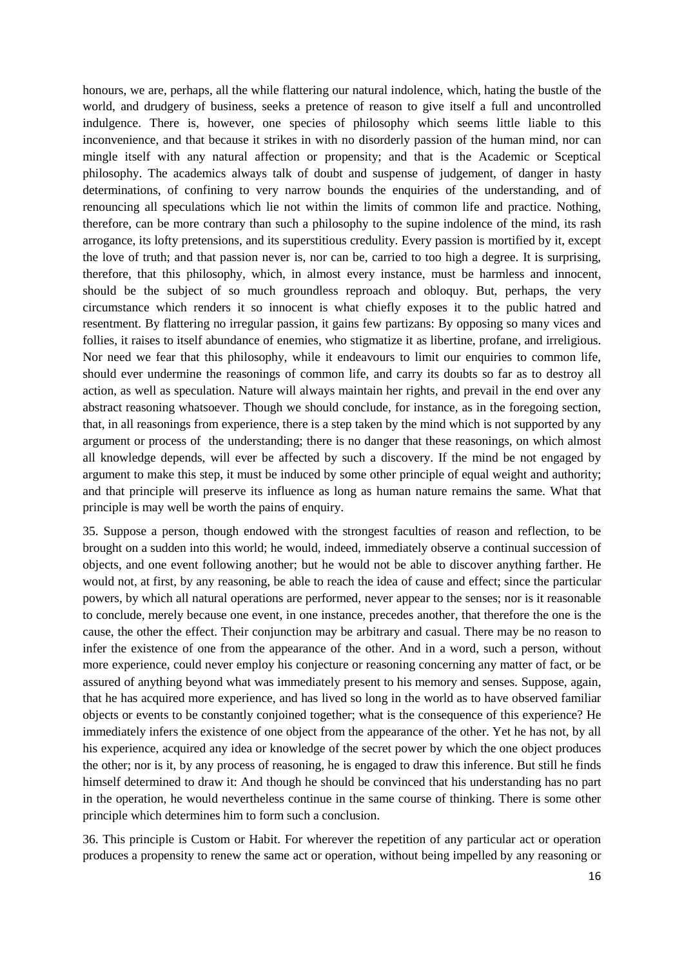honours, we are, perhaps, all the while flattering our natural indolence, which, hating the bustle of the world, and drudgery of business, seeks a pretence of reason to give itself a full and uncontrolled indulgence. There is, however, one species of philosophy which seems little liable to this inconvenience, and that because it strikes in with no disorderly passion of the human mind, nor can mingle itself with any natural affection or propensity; and that is the Academic or Sceptical philosophy. The academics always talk of doubt and suspense of judgement, of danger in hasty determinations, of confining to very narrow bounds the enquiries of the understanding, and of renouncing all speculations which lie not within the limits of common life and practice. Nothing, therefore, can be more contrary than such a philosophy to the supine indolence of the mind, its rash arrogance, its lofty pretensions, and its superstitious credulity. Every passion is mortified by it, except the love of truth; and that passion never is, nor can be, carried to too high a degree. It is surprising, therefore, that this philosophy, which, in almost every instance, must be harmless and innocent, should be the subject of so much groundless reproach and obloquy. But, perhaps, the very circumstance which renders it so innocent is what chiefly exposes it to the public hatred and resentment. By flattering no irregular passion, it gains few partizans: By opposing so many vices and follies, it raises to itself abundance of enemies, who stigmatize it as libertine, profane, and irreligious. Nor need we fear that this philosophy, while it endeavours to limit our enquiries to common life, should ever undermine the reasonings of common life, and carry its doubts so far as to destroy all action, as well as speculation. Nature will always maintain her rights, and prevail in the end over any abstract reasoning whatsoever. Though we should conclude, for instance, as in the foregoing section, that, in all reasonings from experience, there is a step taken by the mind which is not supported by any argument or process of the understanding; there is no danger that these reasonings, on which almost all knowledge depends, will ever be affected by such a discovery. If the mind be not engaged by argument to make this step, it must be induced by some other principle of equal weight and authority; and that principle will preserve its influence as long as human nature remains the same. What that principle is may well be worth the pains of enquiry.

35. Suppose a person, though endowed with the strongest faculties of reason and reflection, to be brought on a sudden into this world; he would, indeed, immediately observe a continual succession of objects, and one event following another; but he would not be able to discover anything farther. He would not, at first, by any reasoning, be able to reach the idea of cause and effect; since the particular powers, by which all natural operations are performed, never appear to the senses; nor is it reasonable to conclude, merely because one event, in one instance, precedes another, that therefore the one is the cause, the other the effect. Their conjunction may be arbitrary and casual. There may be no reason to infer the existence of one from the appearance of the other. And in a word, such a person, without more experience, could never employ his conjecture or reasoning concerning any matter of fact, or be assured of anything beyond what was immediately present to his memory and senses. Suppose, again, that he has acquired more experience, and has lived so long in the world as to have observed familiar objects or events to be constantly conjoined together; what is the consequence of this experience? He immediately infers the existence of one object from the appearance of the other. Yet he has not, by all his experience, acquired any idea or knowledge of the secret power by which the one object produces the other; nor is it, by any process of reasoning, he is engaged to draw this inference. But still he finds himself determined to draw it: And though he should be convinced that his understanding has no part in the operation, he would nevertheless continue in the same course of thinking. There is some other principle which determines him to form such a conclusion.

36. This principle is Custom or Habit. For wherever the repetition of any particular act or operation produces a propensity to renew the same act or operation, without being impelled by any reasoning or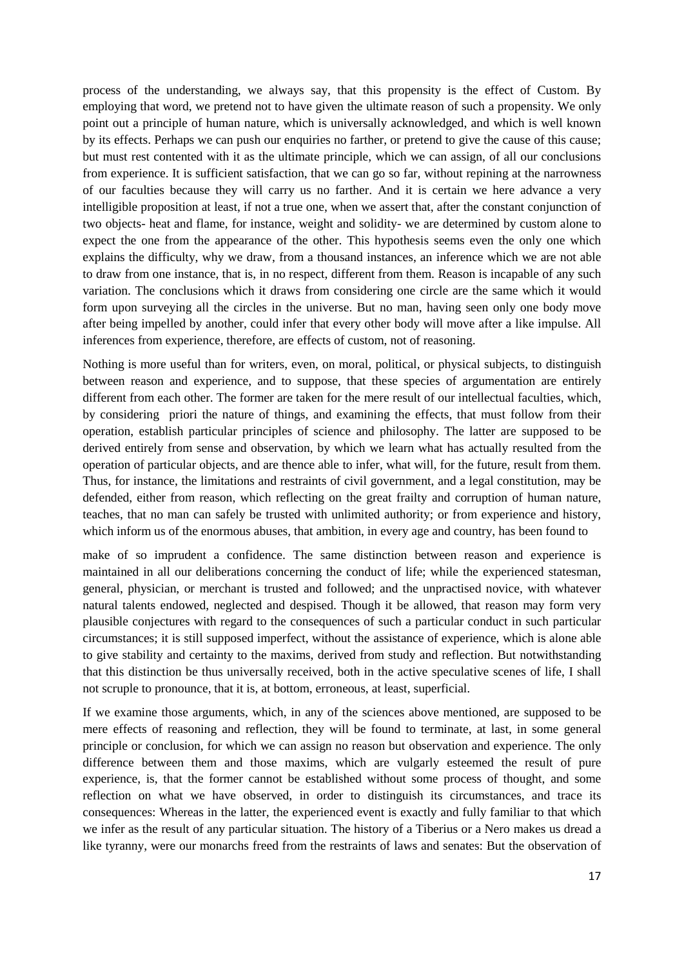process of the understanding, we always say, that this propensity is the effect of Custom. By employing that word, we pretend not to have given the ultimate reason of such a propensity. We only point out a principle of human nature, which is universally acknowledged, and which is well known by its effects. Perhaps we can push our enquiries no farther, or pretend to give the cause of this cause; but must rest contented with it as the ultimate principle, which we can assign, of all our conclusions from experience. It is sufficient satisfaction, that we can go so far, without repining at the narrowness of our faculties because they will carry us no farther. And it is certain we here advance a very intelligible proposition at least, if not a true one, when we assert that, after the constant conjunction of two objects- heat and flame, for instance, weight and solidity- we are determined by custom alone to expect the one from the appearance of the other. This hypothesis seems even the only one which explains the difficulty, why we draw, from a thousand instances, an inference which we are not able to draw from one instance, that is, in no respect, different from them. Reason is incapable of any such variation. The conclusions which it draws from considering one circle are the same which it would form upon surveying all the circles in the universe. But no man, having seen only one body move after being impelled by another, could infer that every other body will move after a like impulse. All inferences from experience, therefore, are effects of custom, not of reasoning.

Nothing is more useful than for writers, even, on moral, political, or physical subjects, to distinguish between reason and experience, and to suppose, that these species of argumentation are entirely different from each other. The former are taken for the mere result of our intellectual faculties, which, by considering priori the nature of things, and examining the effects, that must follow from their operation, establish particular principles of science and philosophy. The latter are supposed to be derived entirely from sense and observation, by which we learn what has actually resulted from the operation of particular objects, and are thence able to infer, what will, for the future, result from them. Thus, for instance, the limitations and restraints of civil government, and a legal constitution, may be defended, either from reason, which reflecting on the great frailty and corruption of human nature, teaches, that no man can safely be trusted with unlimited authority; or from experience and history, which inform us of the enormous abuses, that ambition, in every age and country, has been found to

make of so imprudent a confidence. The same distinction between reason and experience is maintained in all our deliberations concerning the conduct of life; while the experienced statesman, general, physician, or merchant is trusted and followed; and the unpractised novice, with whatever natural talents endowed, neglected and despised. Though it be allowed, that reason may form very plausible conjectures with regard to the consequences of such a particular conduct in such particular circumstances; it is still supposed imperfect, without the assistance of experience, which is alone able to give stability and certainty to the maxims, derived from study and reflection. But notwithstanding that this distinction be thus universally received, both in the active speculative scenes of life, I shall not scruple to pronounce, that it is, at bottom, erroneous, at least, superficial.

If we examine those arguments, which, in any of the sciences above mentioned, are supposed to be mere effects of reasoning and reflection, they will be found to terminate, at last, in some general principle or conclusion, for which we can assign no reason but observation and experience. The only difference between them and those maxims, which are vulgarly esteemed the result of pure experience, is, that the former cannot be established without some process of thought, and some reflection on what we have observed, in order to distinguish its circumstances, and trace its consequences: Whereas in the latter, the experienced event is exactly and fully familiar to that which we infer as the result of any particular situation. The history of a Tiberius or a Nero makes us dread a like tyranny, were our monarchs freed from the restraints of laws and senates: But the observation of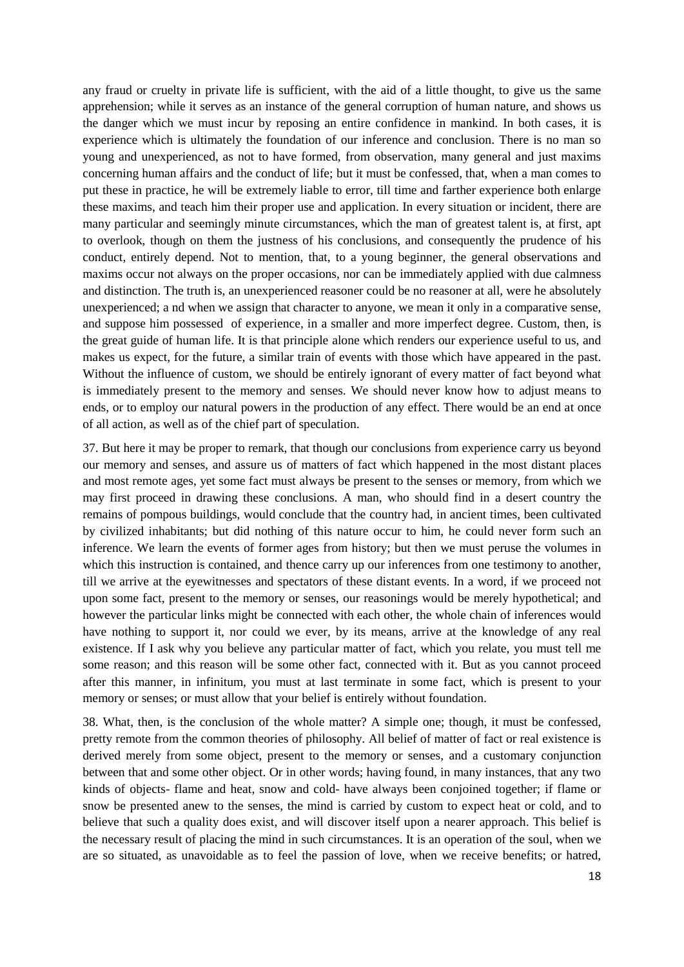any fraud or cruelty in private life is sufficient, with the aid of a little thought, to give us the same apprehension; while it serves as an instance of the general corruption of human nature, and shows us the danger which we must incur by reposing an entire confidence in mankind. In both cases, it is experience which is ultimately the foundation of our inference and conclusion. There is no man so young and unexperienced, as not to have formed, from observation, many general and just maxims concerning human affairs and the conduct of life; but it must be confessed, that, when a man comes to put these in practice, he will be extremely liable to error, till time and farther experience both enlarge these maxims, and teach him their proper use and application. In every situation or incident, there are many particular and seemingly minute circumstances, which the man of greatest talent is, at first, apt to overlook, though on them the justness of his conclusions, and consequently the prudence of his conduct, entirely depend. Not to mention, that, to a young beginner, the general observations and maxims occur not always on the proper occasions, nor can be immediately applied with due calmness and distinction. The truth is, an unexperienced reasoner could be no reasoner at all, were he absolutely unexperienced; a nd when we assign that character to anyone, we mean it only in a comparative sense, and suppose him possessed of experience, in a smaller and more imperfect degree. Custom, then, is the great guide of human life. It is that principle alone which renders our experience useful to us, and makes us expect, for the future, a similar train of events with those which have appeared in the past. Without the influence of custom, we should be entirely ignorant of every matter of fact beyond what is immediately present to the memory and senses. We should never know how to adjust means to ends, or to employ our natural powers in the production of any effect. There would be an end at once of all action, as well as of the chief part of speculation.

37. But here it may be proper to remark, that though our conclusions from experience carry us beyond our memory and senses, and assure us of matters of fact which happened in the most distant places and most remote ages, yet some fact must always be present to the senses or memory, from which we may first proceed in drawing these conclusions. A man, who should find in a desert country the remains of pompous buildings, would conclude that the country had, in ancient times, been cultivated by civilized inhabitants; but did nothing of this nature occur to him, he could never form such an inference. We learn the events of former ages from history; but then we must peruse the volumes in which this instruction is contained, and thence carry up our inferences from one testimony to another, till we arrive at the eyewitnesses and spectators of these distant events. In a word, if we proceed not upon some fact, present to the memory or senses, our reasonings would be merely hypothetical; and however the particular links might be connected with each other, the whole chain of inferences would have nothing to support it, nor could we ever, by its means, arrive at the knowledge of any real existence. If I ask why you believe any particular matter of fact, which you relate, you must tell me some reason; and this reason will be some other fact, connected with it. But as you cannot proceed after this manner, in infinitum, you must at last terminate in some fact, which is present to your memory or senses; or must allow that your belief is entirely without foundation.

38. What, then, is the conclusion of the whole matter? A simple one; though, it must be confessed, pretty remote from the common theories of philosophy. All belief of matter of fact or real existence is derived merely from some object, present to the memory or senses, and a customary conjunction between that and some other object. Or in other words; having found, in many instances, that any two kinds of objects- flame and heat, snow and cold- have always been conjoined together; if flame or snow be presented anew to the senses, the mind is carried by custom to expect heat or cold, and to believe that such a quality does exist, and will discover itself upon a nearer approach. This belief is the necessary result of placing the mind in such circumstances. It is an operation of the soul, when we are so situated, as unavoidable as to feel the passion of love, when we receive benefits; or hatred,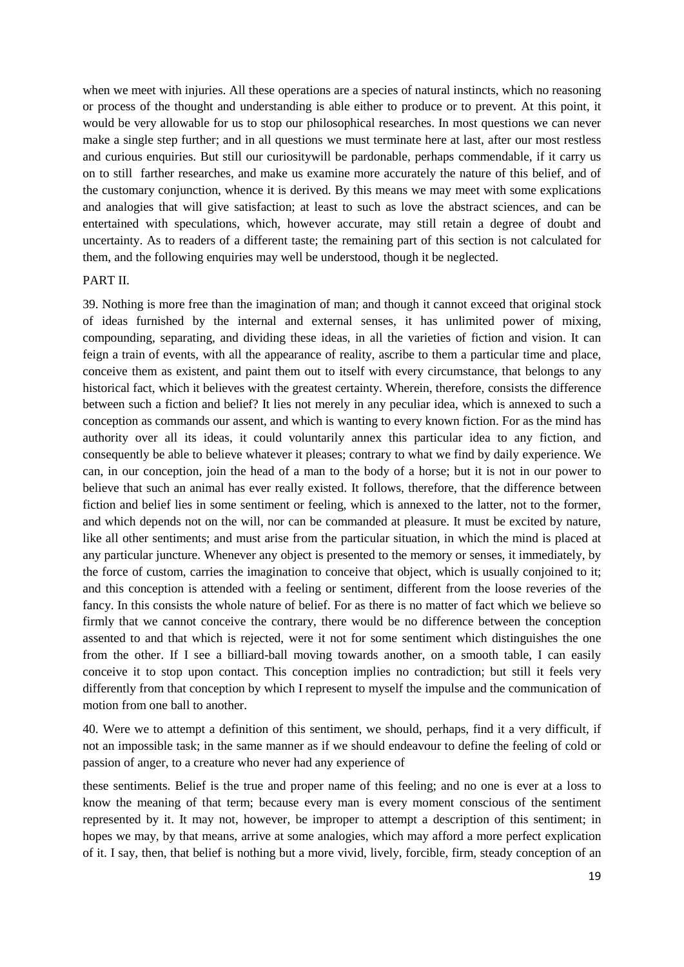when we meet with injuries. All these operations are a species of natural instincts, which no reasoning or process of the thought and understanding is able either to produce or to prevent. At this point, it would be very allowable for us to stop our philosophical researches. In most questions we can never make a single step further; and in all questions we must terminate here at last, after our most restless and curious enquiries. But still our curiositywill be pardonable, perhaps commendable, if it carry us on to still farther researches, and make us examine more accurately the nature of this belief, and of the customary conjunction, whence it is derived. By this means we may meet with some explications and analogies that will give satisfaction; at least to such as love the abstract sciences, and can be entertained with speculations, which, however accurate, may still retain a degree of doubt and uncertainty. As to readers of a different taste; the remaining part of this section is not calculated for them, and the following enquiries may well be understood, though it be neglected.

#### PART II.

39. Nothing is more free than the imagination of man; and though it cannot exceed that original stock of ideas furnished by the internal and external senses, it has unlimited power of mixing, compounding, separating, and dividing these ideas, in all the varieties of fiction and vision. It can feign a train of events, with all the appearance of reality, ascribe to them a particular time and place, conceive them as existent, and paint them out to itself with every circumstance, that belongs to any historical fact, which it believes with the greatest certainty. Wherein, therefore, consists the difference between such a fiction and belief? It lies not merely in any peculiar idea, which is annexed to such a conception as commands our assent, and which is wanting to every known fiction. For as the mind has authority over all its ideas, it could voluntarily annex this particular idea to any fiction, and consequently be able to believe whatever it pleases; contrary to what we find by daily experience. We can, in our conception, join the head of a man to the body of a horse; but it is not in our power to believe that such an animal has ever really existed. It follows, therefore, that the difference between fiction and belief lies in some sentiment or feeling, which is annexed to the latter, not to the former, and which depends not on the will, nor can be commanded at pleasure. It must be excited by nature, like all other sentiments; and must arise from the particular situation, in which the mind is placed at any particular juncture. Whenever any object is presented to the memory or senses, it immediately, by the force of custom, carries the imagination to conceive that object, which is usually conjoined to it; and this conception is attended with a feeling or sentiment, different from the loose reveries of the fancy. In this consists the whole nature of belief. For as there is no matter of fact which we believe so firmly that we cannot conceive the contrary, there would be no difference between the conception assented to and that which is rejected, were it not for some sentiment which distinguishes the one from the other. If I see a billiard-ball moving towards another, on a smooth table, I can easily conceive it to stop upon contact. This conception implies no contradiction; but still it feels very differently from that conception by which I represent to myself the impulse and the communication of motion from one ball to another.

40. Were we to attempt a definition of this sentiment, we should, perhaps, find it a very difficult, if not an impossible task; in the same manner as if we should endeavour to define the feeling of cold or passion of anger, to a creature who never had any experience of

these sentiments. Belief is the true and proper name of this feeling; and no one is ever at a loss to know the meaning of that term; because every man is every moment conscious of the sentiment represented by it. It may not, however, be improper to attempt a description of this sentiment; in hopes we may, by that means, arrive at some analogies, which may afford a more perfect explication of it. I say, then, that belief is nothing but a more vivid, lively, forcible, firm, steady conception of an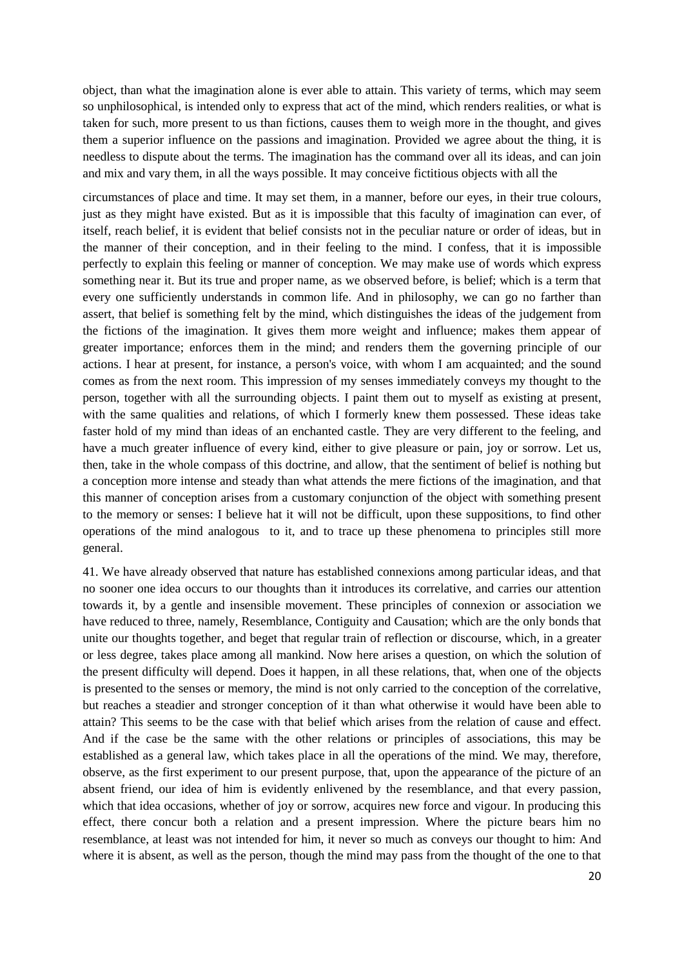object, than what the imagination alone is ever able to attain. This variety of terms, which may seem so unphilosophical, is intended only to express that act of the mind, which renders realities, or what is taken for such, more present to us than fictions, causes them to weigh more in the thought, and gives them a superior influence on the passions and imagination. Provided we agree about the thing, it is needless to dispute about the terms. The imagination has the command over all its ideas, and can join and mix and vary them, in all the ways possible. It may conceive fictitious objects with all the

circumstances of place and time. It may set them, in a manner, before our eyes, in their true colours, just as they might have existed. But as it is impossible that this faculty of imagination can ever, of itself, reach belief, it is evident that belief consists not in the peculiar nature or order of ideas, but in the manner of their conception, and in their feeling to the mind. I confess, that it is impossible perfectly to explain this feeling or manner of conception. We may make use of words which express something near it. But its true and proper name, as we observed before, is belief; which is a term that every one sufficiently understands in common life. And in philosophy, we can go no farther than assert, that belief is something felt by the mind, which distinguishes the ideas of the judgement from the fictions of the imagination. It gives them more weight and influence; makes them appear of greater importance; enforces them in the mind; and renders them the governing principle of our actions. I hear at present, for instance, a person's voice, with whom I am acquainted; and the sound comes as from the next room. This impression of my senses immediately conveys my thought to the person, together with all the surrounding objects. I paint them out to myself as existing at present, with the same qualities and relations, of which I formerly knew them possessed. These ideas take faster hold of my mind than ideas of an enchanted castle. They are very different to the feeling, and have a much greater influence of every kind, either to give pleasure or pain, joy or sorrow. Let us, then, take in the whole compass of this doctrine, and allow, that the sentiment of belief is nothing but a conception more intense and steady than what attends the mere fictions of the imagination, and that this manner of conception arises from a customary conjunction of the object with something present to the memory or senses: I believe hat it will not be difficult, upon these suppositions, to find other operations of the mind analogous to it, and to trace up these phenomena to principles still more general.

41. We have already observed that nature has established connexions among particular ideas, and that no sooner one idea occurs to our thoughts than it introduces its correlative, and carries our attention towards it, by a gentle and insensible movement. These principles of connexion or association we have reduced to three, namely, Resemblance, Contiguity and Causation; which are the only bonds that unite our thoughts together, and beget that regular train of reflection or discourse, which, in a greater or less degree, takes place among all mankind. Now here arises a question, on which the solution of the present difficulty will depend. Does it happen, in all these relations, that, when one of the objects is presented to the senses or memory, the mind is not only carried to the conception of the correlative, but reaches a steadier and stronger conception of it than what otherwise it would have been able to attain? This seems to be the case with that belief which arises from the relation of cause and effect. And if the case be the same with the other relations or principles of associations, this may be established as a general law, which takes place in all the operations of the mind. We may, therefore, observe, as the first experiment to our present purpose, that, upon the appearance of the picture of an absent friend, our idea of him is evidently enlivened by the resemblance, and that every passion, which that idea occasions, whether of joy or sorrow, acquires new force and vigour. In producing this effect, there concur both a relation and a present impression. Where the picture bears him no resemblance, at least was not intended for him, it never so much as conveys our thought to him: And where it is absent, as well as the person, though the mind may pass from the thought of the one to that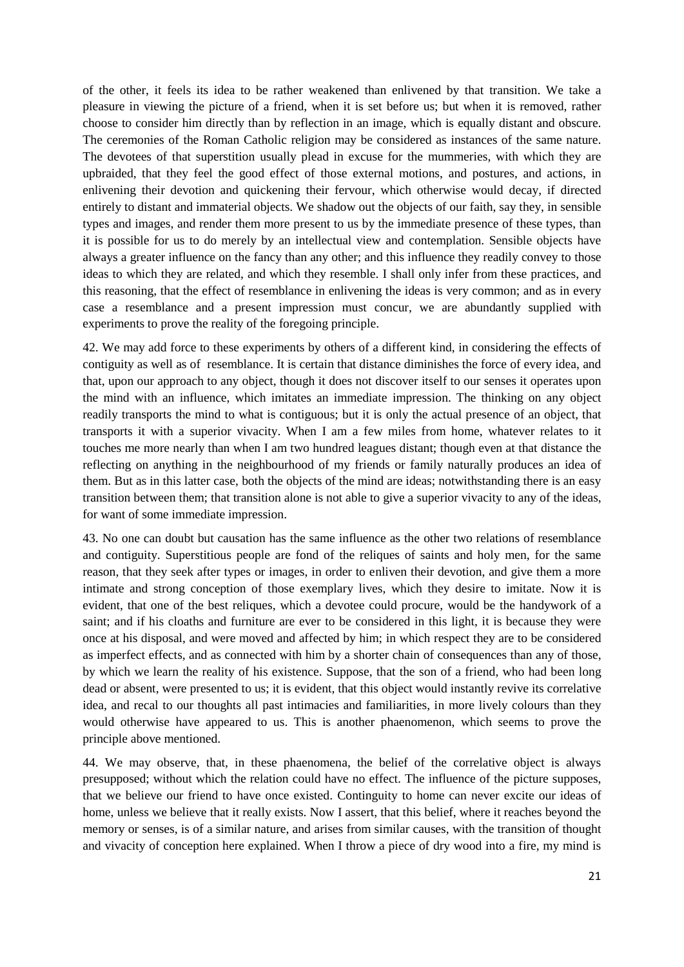of the other, it feels its idea to be rather weakened than enlivened by that transition. We take a pleasure in viewing the picture of a friend, when it is set before us; but when it is removed, rather choose to consider him directly than by reflection in an image, which is equally distant and obscure. The ceremonies of the Roman Catholic religion may be considered as instances of the same nature. The devotees of that superstition usually plead in excuse for the mummeries, with which they are upbraided, that they feel the good effect of those external motions, and postures, and actions, in enlivening their devotion and quickening their fervour, which otherwise would decay, if directed entirely to distant and immaterial objects. We shadow out the objects of our faith, say they, in sensible types and images, and render them more present to us by the immediate presence of these types, than it is possible for us to do merely by an intellectual view and contemplation. Sensible objects have always a greater influence on the fancy than any other; and this influence they readily convey to those ideas to which they are related, and which they resemble. I shall only infer from these practices, and this reasoning, that the effect of resemblance in enlivening the ideas is very common; and as in every case a resemblance and a present impression must concur, we are abundantly supplied with experiments to prove the reality of the foregoing principle.

42. We may add force to these experiments by others of a different kind, in considering the effects of contiguity as well as of resemblance. It is certain that distance diminishes the force of every idea, and that, upon our approach to any object, though it does not discover itself to our senses it operates upon the mind with an influence, which imitates an immediate impression. The thinking on any object readily transports the mind to what is contiguous; but it is only the actual presence of an object, that transports it with a superior vivacity. When I am a few miles from home, whatever relates to it touches me more nearly than when I am two hundred leagues distant; though even at that distance the reflecting on anything in the neighbourhood of my friends or family naturally produces an idea of them. But as in this latter case, both the objects of the mind are ideas; notwithstanding there is an easy transition between them; that transition alone is not able to give a superior vivacity to any of the ideas, for want of some immediate impression.

43. No one can doubt but causation has the same influence as the other two relations of resemblance and contiguity. Superstitious people are fond of the reliques of saints and holy men, for the same reason, that they seek after types or images, in order to enliven their devotion, and give them a more intimate and strong conception of those exemplary lives, which they desire to imitate. Now it is evident, that one of the best reliques, which a devotee could procure, would be the handywork of a saint; and if his cloaths and furniture are ever to be considered in this light, it is because they were once at his disposal, and were moved and affected by him; in which respect they are to be considered as imperfect effects, and as connected with him by a shorter chain of consequences than any of those, by which we learn the reality of his existence. Suppose, that the son of a friend, who had been long dead or absent, were presented to us; it is evident, that this object would instantly revive its correlative idea, and recal to our thoughts all past intimacies and familiarities, in more lively colours than they would otherwise have appeared to us. This is another phaenomenon, which seems to prove the principle above mentioned.

44. We may observe, that, in these phaenomena, the belief of the correlative object is always presupposed; without which the relation could have no effect. The influence of the picture supposes, that we believe our friend to have once existed. Continguity to home can never excite our ideas of home, unless we believe that it really exists. Now I assert, that this belief, where it reaches beyond the memory or senses, is of a similar nature, and arises from similar causes, with the transition of thought and vivacity of conception here explained. When I throw a piece of dry wood into a fire, my mind is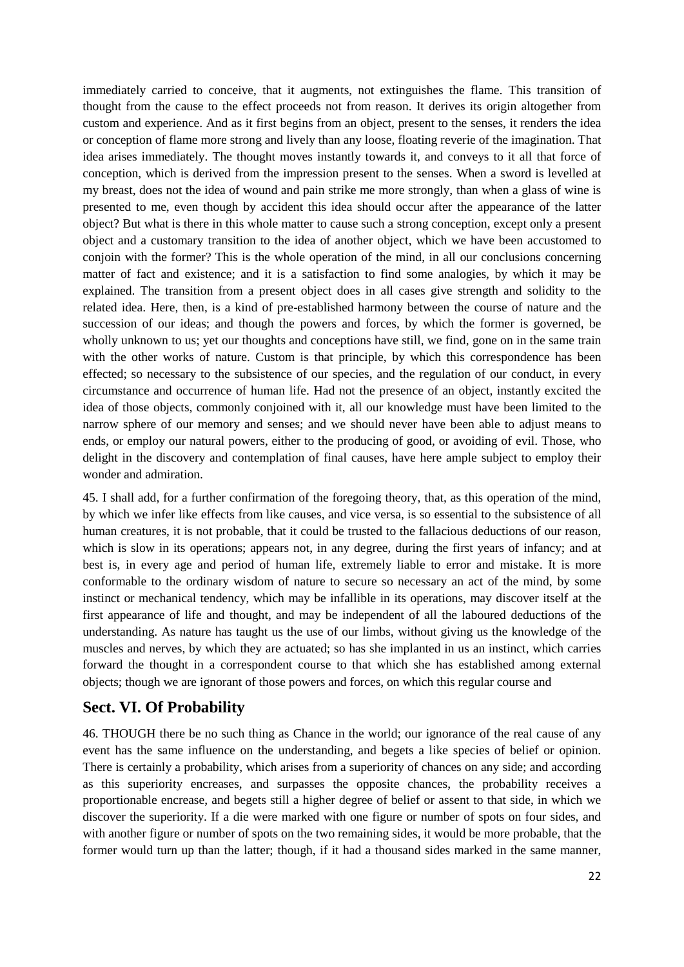immediately carried to conceive, that it augments, not extinguishes the flame. This transition of thought from the cause to the effect proceeds not from reason. It derives its origin altogether from custom and experience. And as it first begins from an object, present to the senses, it renders the idea or conception of flame more strong and lively than any loose, floating reverie of the imagination. That idea arises immediately. The thought moves instantly towards it, and conveys to it all that force of conception, which is derived from the impression present to the senses. When a sword is levelled at my breast, does not the idea of wound and pain strike me more strongly, than when a glass of wine is presented to me, even though by accident this idea should occur after the appearance of the latter object? But what is there in this whole matter to cause such a strong conception, except only a present object and a customary transition to the idea of another object, which we have been accustomed to conjoin with the former? This is the whole operation of the mind, in all our conclusions concerning matter of fact and existence; and it is a satisfaction to find some analogies, by which it may be explained. The transition from a present object does in all cases give strength and solidity to the related idea. Here, then, is a kind of pre-established harmony between the course of nature and the succession of our ideas; and though the powers and forces, by which the former is governed, be wholly unknown to us; yet our thoughts and conceptions have still, we find, gone on in the same train with the other works of nature. Custom is that principle, by which this correspondence has been effected; so necessary to the subsistence of our species, and the regulation of our conduct, in every circumstance and occurrence of human life. Had not the presence of an object, instantly excited the idea of those objects, commonly conjoined with it, all our knowledge must have been limited to the narrow sphere of our memory and senses; and we should never have been able to adjust means to ends, or employ our natural powers, either to the producing of good, or avoiding of evil. Those, who delight in the discovery and contemplation of final causes, have here ample subject to employ their wonder and admiration.

45. I shall add, for a further confirmation of the foregoing theory, that, as this operation of the mind, by which we infer like effects from like causes, and vice versa, is so essential to the subsistence of all human creatures, it is not probable, that it could be trusted to the fallacious deductions of our reason, which is slow in its operations; appears not, in any degree, during the first years of infancy; and at best is, in every age and period of human life, extremely liable to error and mistake. It is more conformable to the ordinary wisdom of nature to secure so necessary an act of the mind, by some instinct or mechanical tendency, which may be infallible in its operations, may discover itself at the first appearance of life and thought, and may be independent of all the laboured deductions of the understanding. As nature has taught us the use of our limbs, without giving us the knowledge of the muscles and nerves, by which they are actuated; so has she implanted in us an instinct, which carries forward the thought in a correspondent course to that which she has established among external objects; though we are ignorant of those powers and forces, on which this regular course and

## **Sect. VI. Of Probability**

46. THOUGH there be no such thing as Chance in the world; our ignorance of the real cause of any event has the same influence on the understanding, and begets a like species of belief or opinion. There is certainly a probability, which arises from a superiority of chances on any side; and according as this superiority encreases, and surpasses the opposite chances, the probability receives a proportionable encrease, and begets still a higher degree of belief or assent to that side, in which we discover the superiority. If a die were marked with one figure or number of spots on four sides, and with another figure or number of spots on the two remaining sides, it would be more probable, that the former would turn up than the latter; though, if it had a thousand sides marked in the same manner,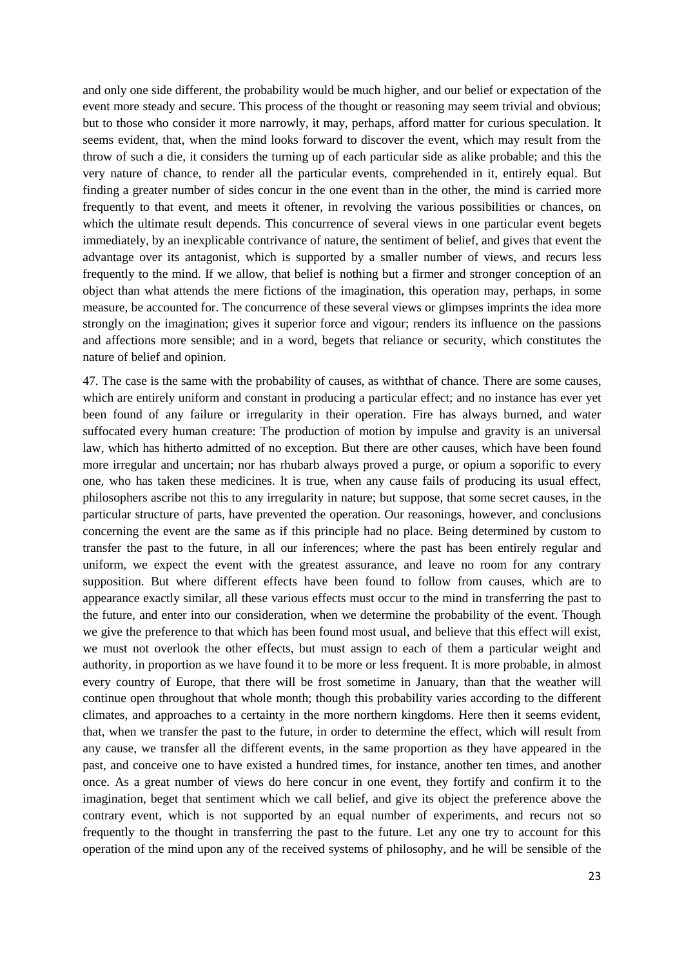and only one side different, the probability would be much higher, and our belief or expectation of the event more steady and secure. This process of the thought or reasoning may seem trivial and obvious; but to those who consider it more narrowly, it may, perhaps, afford matter for curious speculation. It seems evident, that, when the mind looks forward to discover the event, which may result from the throw of such a die, it considers the turning up of each particular side as alike probable; and this the very nature of chance, to render all the particular events, comprehended in it, entirely equal. But finding a greater number of sides concur in the one event than in the other, the mind is carried more frequently to that event, and meets it oftener, in revolving the various possibilities or chances, on which the ultimate result depends. This concurrence of several views in one particular event begets immediately, by an inexplicable contrivance of nature, the sentiment of belief, and gives that event the advantage over its antagonist, which is supported by a smaller number of views, and recurs less frequently to the mind. If we allow, that belief is nothing but a firmer and stronger conception of an object than what attends the mere fictions of the imagination, this operation may, perhaps, in some measure, be accounted for. The concurrence of these several views or glimpses imprints the idea more strongly on the imagination; gives it superior force and vigour; renders its influence on the passions and affections more sensible; and in a word, begets that reliance or security, which constitutes the nature of belief and opinion.

47. The case is the same with the probability of causes, as withthat of chance. There are some causes, which are entirely uniform and constant in producing a particular effect; and no instance has ever yet been found of any failure or irregularity in their operation. Fire has always burned, and water suffocated every human creature: The production of motion by impulse and gravity is an universal law, which has hitherto admitted of no exception. But there are other causes, which have been found more irregular and uncertain; nor has rhubarb always proved a purge, or opium a soporific to every one, who has taken these medicines. It is true, when any cause fails of producing its usual effect, philosophers ascribe not this to any irregularity in nature; but suppose, that some secret causes, in the particular structure of parts, have prevented the operation. Our reasonings, however, and conclusions concerning the event are the same as if this principle had no place. Being determined by custom to transfer the past to the future, in all our inferences; where the past has been entirely regular and uniform, we expect the event with the greatest assurance, and leave no room for any contrary supposition. But where different effects have been found to follow from causes, which are to appearance exactly similar, all these various effects must occur to the mind in transferring the past to the future, and enter into our consideration, when we determine the probability of the event. Though we give the preference to that which has been found most usual, and believe that this effect will exist, we must not overlook the other effects, but must assign to each of them a particular weight and authority, in proportion as we have found it to be more or less frequent. It is more probable, in almost every country of Europe, that there will be frost sometime in January, than that the weather will continue open throughout that whole month; though this probability varies according to the different climates, and approaches to a certainty in the more northern kingdoms. Here then it seems evident, that, when we transfer the past to the future, in order to determine the effect, which will result from any cause, we transfer all the different events, in the same proportion as they have appeared in the past, and conceive one to have existed a hundred times, for instance, another ten times, and another once. As a great number of views do here concur in one event, they fortify and confirm it to the imagination, beget that sentiment which we call belief, and give its object the preference above the contrary event, which is not supported by an equal number of experiments, and recurs not so frequently to the thought in transferring the past to the future. Let any one try to account for this operation of the mind upon any of the received systems of philosophy, and he will be sensible of the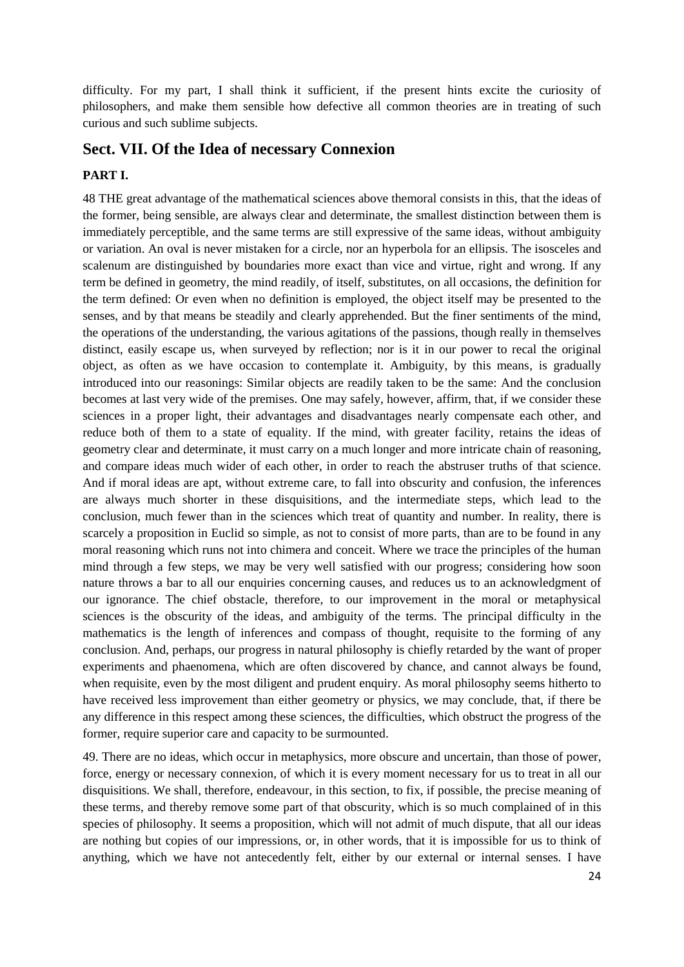difficulty. For my part, I shall think it sufficient, if the present hints excite the curiosity of philosophers, and make them sensible how defective all common theories are in treating of such curious and such sublime subjects.

### **Sect. VII. Of the Idea of necessary Connexion**

#### **PART I.**

48 THE great advantage of the mathematical sciences above themoral consists in this, that the ideas of the former, being sensible, are always clear and determinate, the smallest distinction between them is immediately perceptible, and the same terms are still expressive of the same ideas, without ambiguity or variation. An oval is never mistaken for a circle, nor an hyperbola for an ellipsis. The isosceles and scalenum are distinguished by boundaries more exact than vice and virtue, right and wrong. If any term be defined in geometry, the mind readily, of itself, substitutes, on all occasions, the definition for the term defined: Or even when no definition is employed, the object itself may be presented to the senses, and by that means be steadily and clearly apprehended. But the finer sentiments of the mind, the operations of the understanding, the various agitations of the passions, though really in themselves distinct, easily escape us, when surveyed by reflection; nor is it in our power to recal the original object, as often as we have occasion to contemplate it. Ambiguity, by this means, is gradually introduced into our reasonings: Similar objects are readily taken to be the same: And the conclusion becomes at last very wide of the premises. One may safely, however, affirm, that, if we consider these sciences in a proper light, their advantages and disadvantages nearly compensate each other, and reduce both of them to a state of equality. If the mind, with greater facility, retains the ideas of geometry clear and determinate, it must carry on a much longer and more intricate chain of reasoning, and compare ideas much wider of each other, in order to reach the abstruser truths of that science. And if moral ideas are apt, without extreme care, to fall into obscurity and confusion, the inferences are always much shorter in these disquisitions, and the intermediate steps, which lead to the conclusion, much fewer than in the sciences which treat of quantity and number. In reality, there is scarcely a proposition in Euclid so simple, as not to consist of more parts, than are to be found in any moral reasoning which runs not into chimera and conceit. Where we trace the principles of the human mind through a few steps, we may be very well satisfied with our progress; considering how soon nature throws a bar to all our enquiries concerning causes, and reduces us to an acknowledgment of our ignorance. The chief obstacle, therefore, to our improvement in the moral or metaphysical sciences is the obscurity of the ideas, and ambiguity of the terms. The principal difficulty in the mathematics is the length of inferences and compass of thought, requisite to the forming of any conclusion. And, perhaps, our progress in natural philosophy is chiefly retarded by the want of proper experiments and phaenomena, which are often discovered by chance, and cannot always be found, when requisite, even by the most diligent and prudent enquiry. As moral philosophy seems hitherto to have received less improvement than either geometry or physics, we may conclude, that, if there be any difference in this respect among these sciences, the difficulties, which obstruct the progress of the former, require superior care and capacity to be surmounted.

49. There are no ideas, which occur in metaphysics, more obscure and uncertain, than those of power, force, energy or necessary connexion, of which it is every moment necessary for us to treat in all our disquisitions. We shall, therefore, endeavour, in this section, to fix, if possible, the precise meaning of these terms, and thereby remove some part of that obscurity, which is so much complained of in this species of philosophy. It seems a proposition, which will not admit of much dispute, that all our ideas are nothing but copies of our impressions, or, in other words, that it is impossible for us to think of anything, which we have not antecedently felt, either by our external or internal senses. I have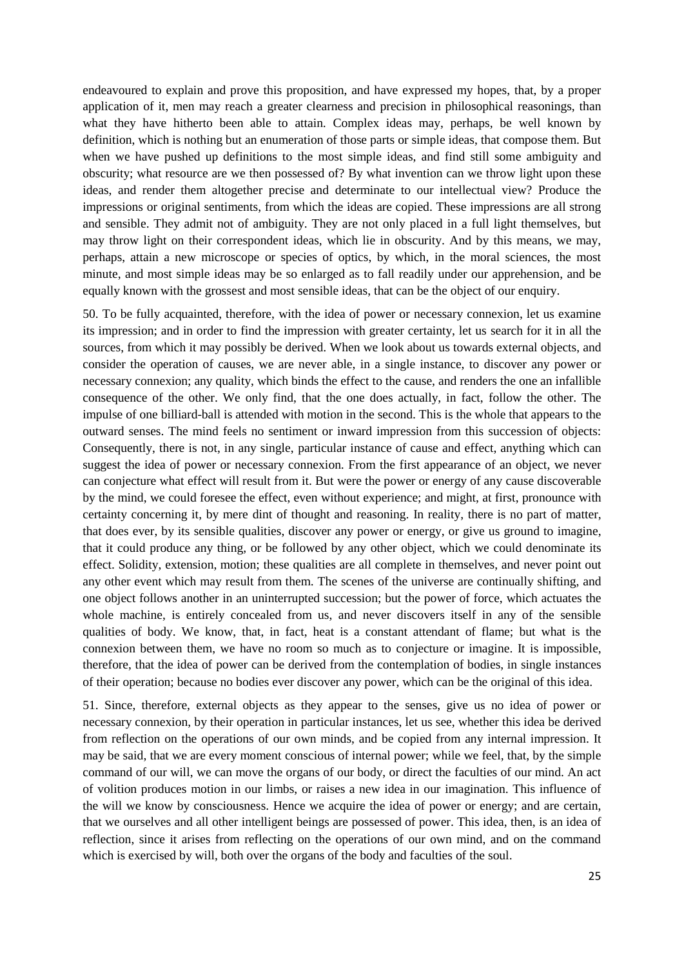endeavoured to explain and prove this proposition, and have expressed my hopes, that, by a proper application of it, men may reach a greater clearness and precision in philosophical reasonings, than what they have hitherto been able to attain. Complex ideas may, perhaps, be well known by definition, which is nothing but an enumeration of those parts or simple ideas, that compose them. But when we have pushed up definitions to the most simple ideas, and find still some ambiguity and obscurity; what resource are we then possessed of? By what invention can we throw light upon these ideas, and render them altogether precise and determinate to our intellectual view? Produce the impressions or original sentiments, from which the ideas are copied. These impressions are all strong and sensible. They admit not of ambiguity. They are not only placed in a full light themselves, but may throw light on their correspondent ideas, which lie in obscurity. And by this means, we may, perhaps, attain a new microscope or species of optics, by which, in the moral sciences, the most minute, and most simple ideas may be so enlarged as to fall readily under our apprehension, and be equally known with the grossest and most sensible ideas, that can be the object of our enquiry.

50. To be fully acquainted, therefore, with the idea of power or necessary connexion, let us examine its impression; and in order to find the impression with greater certainty, let us search for it in all the sources, from which it may possibly be derived. When we look about us towards external objects, and consider the operation of causes, we are never able, in a single instance, to discover any power or necessary connexion; any quality, which binds the effect to the cause, and renders the one an infallible consequence of the other. We only find, that the one does actually, in fact, follow the other. The impulse of one billiard-ball is attended with motion in the second. This is the whole that appears to the outward senses. The mind feels no sentiment or inward impression from this succession of objects: Consequently, there is not, in any single, particular instance of cause and effect, anything which can suggest the idea of power or necessary connexion. From the first appearance of an object, we never can conjecture what effect will result from it. But were the power or energy of any cause discoverable by the mind, we could foresee the effect, even without experience; and might, at first, pronounce with certainty concerning it, by mere dint of thought and reasoning. In reality, there is no part of matter, that does ever, by its sensible qualities, discover any power or energy, or give us ground to imagine, that it could produce any thing, or be followed by any other object, which we could denominate its effect. Solidity, extension, motion; these qualities are all complete in themselves, and never point out any other event which may result from them. The scenes of the universe are continually shifting, and one object follows another in an uninterrupted succession; but the power of force, which actuates the whole machine, is entirely concealed from us, and never discovers itself in any of the sensible qualities of body. We know, that, in fact, heat is a constant attendant of flame; but what is the connexion between them, we have no room so much as to conjecture or imagine. It is impossible, therefore, that the idea of power can be derived from the contemplation of bodies, in single instances of their operation; because no bodies ever discover any power, which can be the original of this idea.

51. Since, therefore, external objects as they appear to the senses, give us no idea of power or necessary connexion, by their operation in particular instances, let us see, whether this idea be derived from reflection on the operations of our own minds, and be copied from any internal impression. It may be said, that we are every moment conscious of internal power; while we feel, that, by the simple command of our will, we can move the organs of our body, or direct the faculties of our mind. An act of volition produces motion in our limbs, or raises a new idea in our imagination. This influence of the will we know by consciousness. Hence we acquire the idea of power or energy; and are certain, that we ourselves and all other intelligent beings are possessed of power. This idea, then, is an idea of reflection, since it arises from reflecting on the operations of our own mind, and on the command which is exercised by will, both over the organs of the body and faculties of the soul.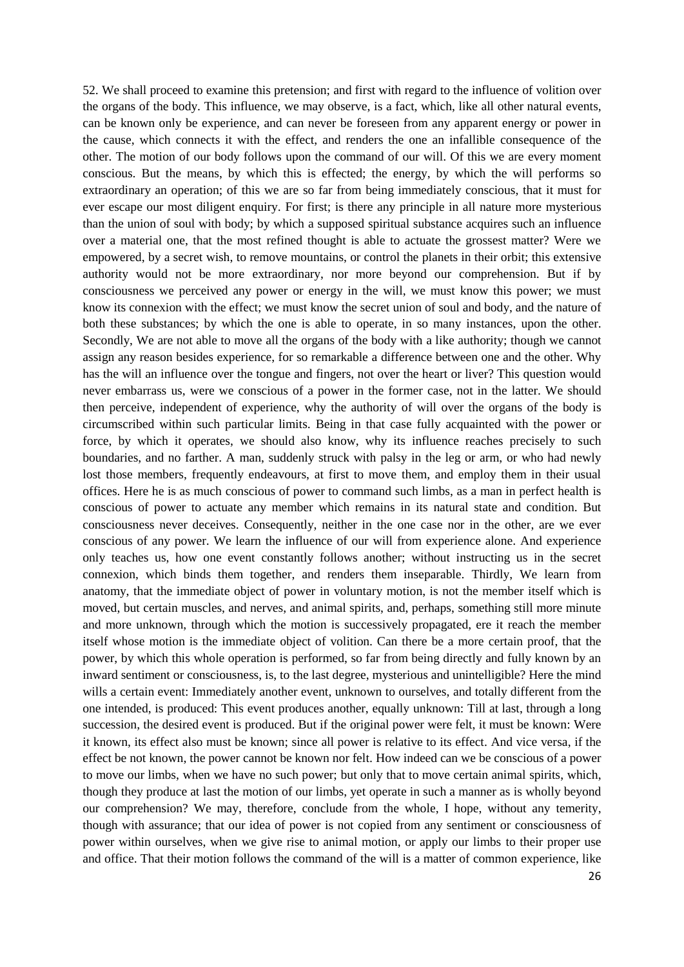52. We shall proceed to examine this pretension; and first with regard to the influence of volition over the organs of the body. This influence, we may observe, is a fact, which, like all other natural events, can be known only be experience, and can never be foreseen from any apparent energy or power in the cause, which connects it with the effect, and renders the one an infallible consequence of the other. The motion of our body follows upon the command of our will. Of this we are every moment conscious. But the means, by which this is effected; the energy, by which the will performs so extraordinary an operation; of this we are so far from being immediately conscious, that it must for ever escape our most diligent enquiry. For first; is there any principle in all nature more mysterious than the union of soul with body; by which a supposed spiritual substance acquires such an influence over a material one, that the most refined thought is able to actuate the grossest matter? Were we empowered, by a secret wish, to remove mountains, or control the planets in their orbit; this extensive authority would not be more extraordinary, nor more beyond our comprehension. But if by consciousness we perceived any power or energy in the will, we must know this power; we must know its connexion with the effect; we must know the secret union of soul and body, and the nature of both these substances; by which the one is able to operate, in so many instances, upon the other. Secondly, We are not able to move all the organs of the body with a like authority; though we cannot assign any reason besides experience, for so remarkable a difference between one and the other. Why has the will an influence over the tongue and fingers, not over the heart or liver? This question would never embarrass us, were we conscious of a power in the former case, not in the latter. We should then perceive, independent of experience, why the authority of will over the organs of the body is circumscribed within such particular limits. Being in that case fully acquainted with the power or force, by which it operates, we should also know, why its influence reaches precisely to such boundaries, and no farther. A man, suddenly struck with palsy in the leg or arm, or who had newly lost those members, frequently endeavours, at first to move them, and employ them in their usual offices. Here he is as much conscious of power to command such limbs, as a man in perfect health is conscious of power to actuate any member which remains in its natural state and condition. But consciousness never deceives. Consequently, neither in the one case nor in the other, are we ever conscious of any power. We learn the influence of our will from experience alone. And experience only teaches us, how one event constantly follows another; without instructing us in the secret connexion, which binds them together, and renders them inseparable. Thirdly, We learn from anatomy, that the immediate object of power in voluntary motion, is not the member itself which is moved, but certain muscles, and nerves, and animal spirits, and, perhaps, something still more minute and more unknown, through which the motion is successively propagated, ere it reach the member itself whose motion is the immediate object of volition. Can there be a more certain proof, that the power, by which this whole operation is performed, so far from being directly and fully known by an inward sentiment or consciousness, is, to the last degree, mysterious and unintelligible? Here the mind wills a certain event: Immediately another event, unknown to ourselves, and totally different from the one intended, is produced: This event produces another, equally unknown: Till at last, through a long succession, the desired event is produced. But if the original power were felt, it must be known: Were it known, its effect also must be known; since all power is relative to its effect. And vice versa, if the effect be not known, the power cannot be known nor felt. How indeed can we be conscious of a power to move our limbs, when we have no such power; but only that to move certain animal spirits, which, though they produce at last the motion of our limbs, yet operate in such a manner as is wholly beyond our comprehension? We may, therefore, conclude from the whole, I hope, without any temerity, though with assurance; that our idea of power is not copied from any sentiment or consciousness of power within ourselves, when we give rise to animal motion, or apply our limbs to their proper use and office. That their motion follows the command of the will is a matter of common experience, like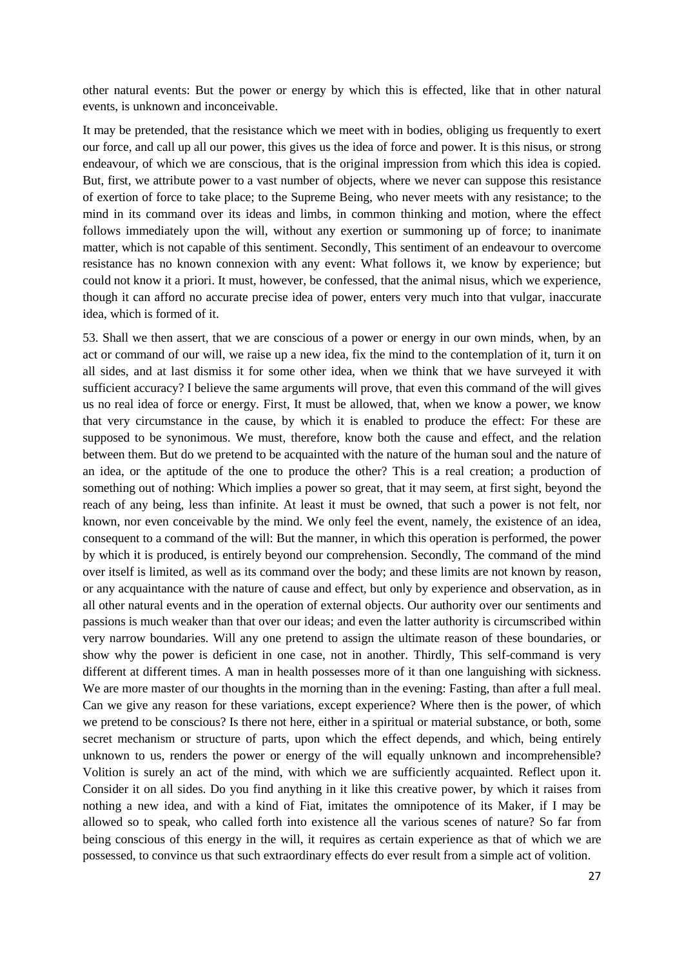other natural events: But the power or energy by which this is effected, like that in other natural events, is unknown and inconceivable.

It may be pretended, that the resistance which we meet with in bodies, obliging us frequently to exert our force, and call up all our power, this gives us the idea of force and power. It is this nisus, or strong endeavour, of which we are conscious, that is the original impression from which this idea is copied. But, first, we attribute power to a vast number of objects, where we never can suppose this resistance of exertion of force to take place; to the Supreme Being, who never meets with any resistance; to the mind in its command over its ideas and limbs, in common thinking and motion, where the effect follows immediately upon the will, without any exertion or summoning up of force; to inanimate matter, which is not capable of this sentiment. Secondly, This sentiment of an endeavour to overcome resistance has no known connexion with any event: What follows it, we know by experience; but could not know it a priori. It must, however, be confessed, that the animal nisus, which we experience, though it can afford no accurate precise idea of power, enters very much into that vulgar, inaccurate idea, which is formed of it.

53. Shall we then assert, that we are conscious of a power or energy in our own minds, when, by an act or command of our will, we raise up a new idea, fix the mind to the contemplation of it, turn it on all sides, and at last dismiss it for some other idea, when we think that we have surveyed it with sufficient accuracy? I believe the same arguments will prove, that even this command of the will gives us no real idea of force or energy. First, It must be allowed, that, when we know a power, we know that very circumstance in the cause, by which it is enabled to produce the effect: For these are supposed to be synonimous. We must, therefore, know both the cause and effect, and the relation between them. But do we pretend to be acquainted with the nature of the human soul and the nature of an idea, or the aptitude of the one to produce the other? This is a real creation; a production of something out of nothing: Which implies a power so great, that it may seem, at first sight, beyond the reach of any being, less than infinite. At least it must be owned, that such a power is not felt, nor known, nor even conceivable by the mind. We only feel the event, namely, the existence of an idea, consequent to a command of the will: But the manner, in which this operation is performed, the power by which it is produced, is entirely beyond our comprehension. Secondly, The command of the mind over itself is limited, as well as its command over the body; and these limits are not known by reason, or any acquaintance with the nature of cause and effect, but only by experience and observation, as in all other natural events and in the operation of external objects. Our authority over our sentiments and passions is much weaker than that over our ideas; and even the latter authority is circumscribed within very narrow boundaries. Will any one pretend to assign the ultimate reason of these boundaries, or show why the power is deficient in one case, not in another. Thirdly, This self-command is very different at different times. A man in health possesses more of it than one languishing with sickness. We are more master of our thoughts in the morning than in the evening: Fasting, than after a full meal. Can we give any reason for these variations, except experience? Where then is the power, of which we pretend to be conscious? Is there not here, either in a spiritual or material substance, or both, some secret mechanism or structure of parts, upon which the effect depends, and which, being entirely unknown to us, renders the power or energy of the will equally unknown and incomprehensible? Volition is surely an act of the mind, with which we are sufficiently acquainted. Reflect upon it. Consider it on all sides. Do you find anything in it like this creative power, by which it raises from nothing a new idea, and with a kind of Fiat, imitates the omnipotence of its Maker, if I may be allowed so to speak, who called forth into existence all the various scenes of nature? So far from being conscious of this energy in the will, it requires as certain experience as that of which we are possessed, to convince us that such extraordinary effects do ever result from a simple act of volition.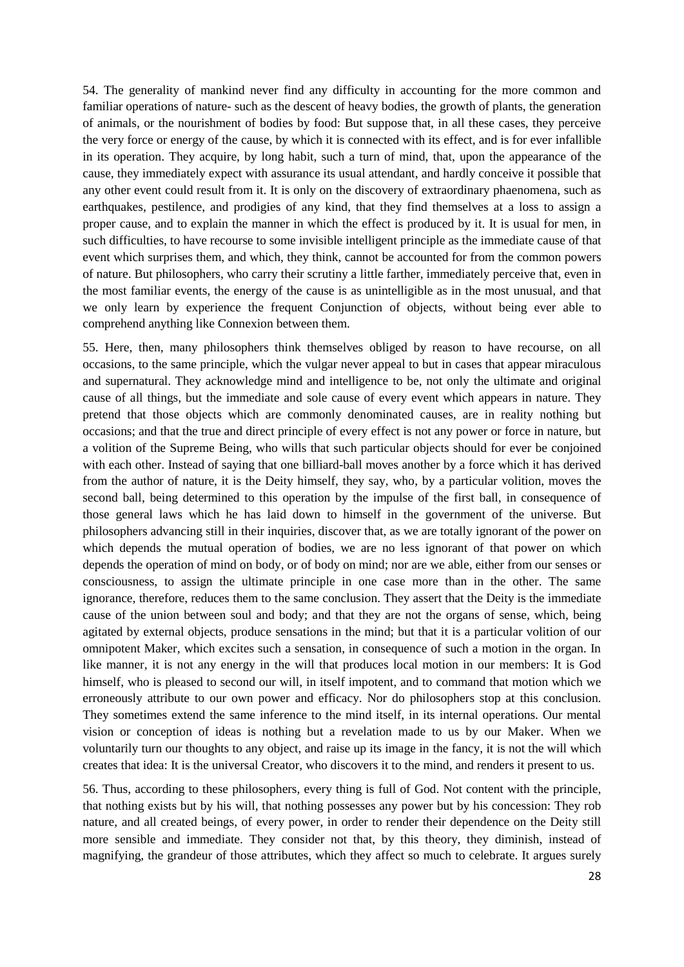54. The generality of mankind never find any difficulty in accounting for the more common and familiar operations of nature- such as the descent of heavy bodies, the growth of plants, the generation of animals, or the nourishment of bodies by food: But suppose that, in all these cases, they perceive the very force or energy of the cause, by which it is connected with its effect, and is for ever infallible in its operation. They acquire, by long habit, such a turn of mind, that, upon the appearance of the cause, they immediately expect with assurance its usual attendant, and hardly conceive it possible that any other event could result from it. It is only on the discovery of extraordinary phaenomena, such as earthquakes, pestilence, and prodigies of any kind, that they find themselves at a loss to assign a proper cause, and to explain the manner in which the effect is produced by it. It is usual for men, in such difficulties, to have recourse to some invisible intelligent principle as the immediate cause of that event which surprises them, and which, they think, cannot be accounted for from the common powers of nature. But philosophers, who carry their scrutiny a little farther, immediately perceive that, even in the most familiar events, the energy of the cause is as unintelligible as in the most unusual, and that we only learn by experience the frequent Conjunction of objects, without being ever able to comprehend anything like Connexion between them.

55. Here, then, many philosophers think themselves obliged by reason to have recourse, on all occasions, to the same principle, which the vulgar never appeal to but in cases that appear miraculous and supernatural. They acknowledge mind and intelligence to be, not only the ultimate and original cause of all things, but the immediate and sole cause of every event which appears in nature. They pretend that those objects which are commonly denominated causes, are in reality nothing but occasions; and that the true and direct principle of every effect is not any power or force in nature, but a volition of the Supreme Being, who wills that such particular objects should for ever be conjoined with each other. Instead of saying that one billiard-ball moves another by a force which it has derived from the author of nature, it is the Deity himself, they say, who, by a particular volition, moves the second ball, being determined to this operation by the impulse of the first ball, in consequence of those general laws which he has laid down to himself in the government of the universe. But philosophers advancing still in their inquiries, discover that, as we are totally ignorant of the power on which depends the mutual operation of bodies, we are no less ignorant of that power on which depends the operation of mind on body, or of body on mind; nor are we able, either from our senses or consciousness, to assign the ultimate principle in one case more than in the other. The same ignorance, therefore, reduces them to the same conclusion. They assert that the Deity is the immediate cause of the union between soul and body; and that they are not the organs of sense, which, being agitated by external objects, produce sensations in the mind; but that it is a particular volition of our omnipotent Maker, which excites such a sensation, in consequence of such a motion in the organ. In like manner, it is not any energy in the will that produces local motion in our members: It is God himself, who is pleased to second our will, in itself impotent, and to command that motion which we erroneously attribute to our own power and efficacy. Nor do philosophers stop at this conclusion. They sometimes extend the same inference to the mind itself, in its internal operations. Our mental vision or conception of ideas is nothing but a revelation made to us by our Maker. When we voluntarily turn our thoughts to any object, and raise up its image in the fancy, it is not the will which creates that idea: It is the universal Creator, who discovers it to the mind, and renders it present to us.

56. Thus, according to these philosophers, every thing is full of God. Not content with the principle, that nothing exists but by his will, that nothing possesses any power but by his concession: They rob nature, and all created beings, of every power, in order to render their dependence on the Deity still more sensible and immediate. They consider not that, by this theory, they diminish, instead of magnifying, the grandeur of those attributes, which they affect so much to celebrate. It argues surely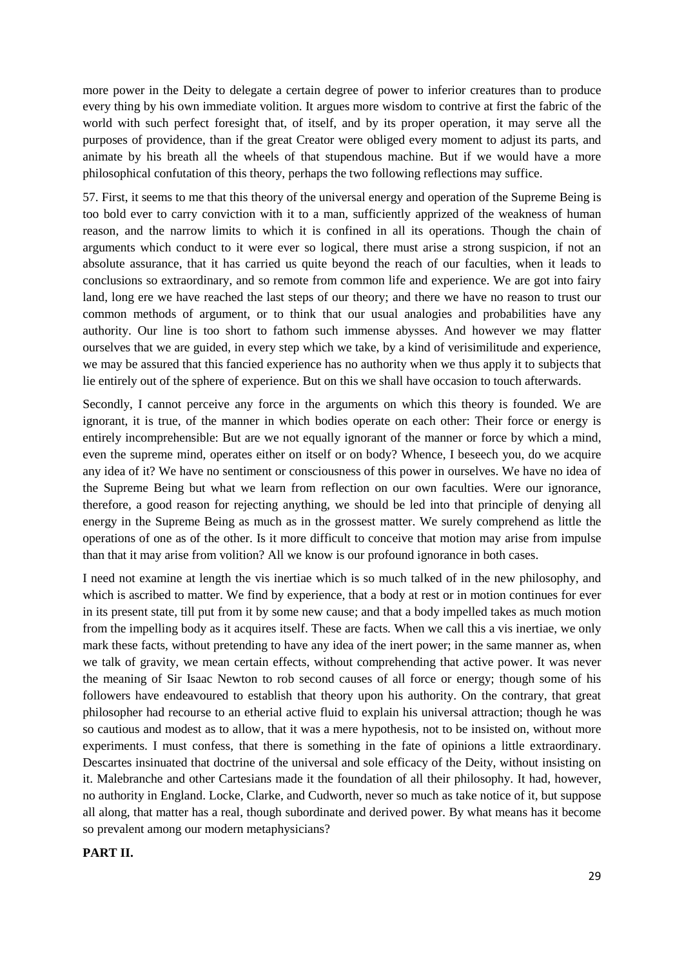more power in the Deity to delegate a certain degree of power to inferior creatures than to produce every thing by his own immediate volition. It argues more wisdom to contrive at first the fabric of the world with such perfect foresight that, of itself, and by its proper operation, it may serve all the purposes of providence, than if the great Creator were obliged every moment to adjust its parts, and animate by his breath all the wheels of that stupendous machine. But if we would have a more philosophical confutation of this theory, perhaps the two following reflections may suffice.

57. First, it seems to me that this theory of the universal energy and operation of the Supreme Being is too bold ever to carry conviction with it to a man, sufficiently apprized of the weakness of human reason, and the narrow limits to which it is confined in all its operations. Though the chain of arguments which conduct to it were ever so logical, there must arise a strong suspicion, if not an absolute assurance, that it has carried us quite beyond the reach of our faculties, when it leads to conclusions so extraordinary, and so remote from common life and experience. We are got into fairy land, long ere we have reached the last steps of our theory; and there we have no reason to trust our common methods of argument, or to think that our usual analogies and probabilities have any authority. Our line is too short to fathom such immense abysses. And however we may flatter ourselves that we are guided, in every step which we take, by a kind of verisimilitude and experience, we may be assured that this fancied experience has no authority when we thus apply it to subjects that lie entirely out of the sphere of experience. But on this we shall have occasion to touch afterwards.

Secondly, I cannot perceive any force in the arguments on which this theory is founded. We are ignorant, it is true, of the manner in which bodies operate on each other: Their force or energy is entirely incomprehensible: But are we not equally ignorant of the manner or force by which a mind, even the supreme mind, operates either on itself or on body? Whence, I beseech you, do we acquire any idea of it? We have no sentiment or consciousness of this power in ourselves. We have no idea of the Supreme Being but what we learn from reflection on our own faculties. Were our ignorance, therefore, a good reason for rejecting anything, we should be led into that principle of denying all energy in the Supreme Being as much as in the grossest matter. We surely comprehend as little the operations of one as of the other. Is it more difficult to conceive that motion may arise from impulse than that it may arise from volition? All we know is our profound ignorance in both cases.

I need not examine at length the vis inertiae which is so much talked of in the new philosophy, and which is ascribed to matter. We find by experience, that a body at rest or in motion continues for ever in its present state, till put from it by some new cause; and that a body impelled takes as much motion from the impelling body as it acquires itself. These are facts. When we call this a vis inertiae, we only mark these facts, without pretending to have any idea of the inert power; in the same manner as, when we talk of gravity, we mean certain effects, without comprehending that active power. It was never the meaning of Sir Isaac Newton to rob second causes of all force or energy; though some of his followers have endeavoured to establish that theory upon his authority. On the contrary, that great philosopher had recourse to an etherial active fluid to explain his universal attraction; though he was so cautious and modest as to allow, that it was a mere hypothesis, not to be insisted on, without more experiments. I must confess, that there is something in the fate of opinions a little extraordinary. Descartes insinuated that doctrine of the universal and sole efficacy of the Deity, without insisting on it. Malebranche and other Cartesians made it the foundation of all their philosophy. It had, however, no authority in England. Locke, Clarke, and Cudworth, never so much as take notice of it, but suppose all along, that matter has a real, though subordinate and derived power. By what means has it become so prevalent among our modern metaphysicians?

#### **PART II.**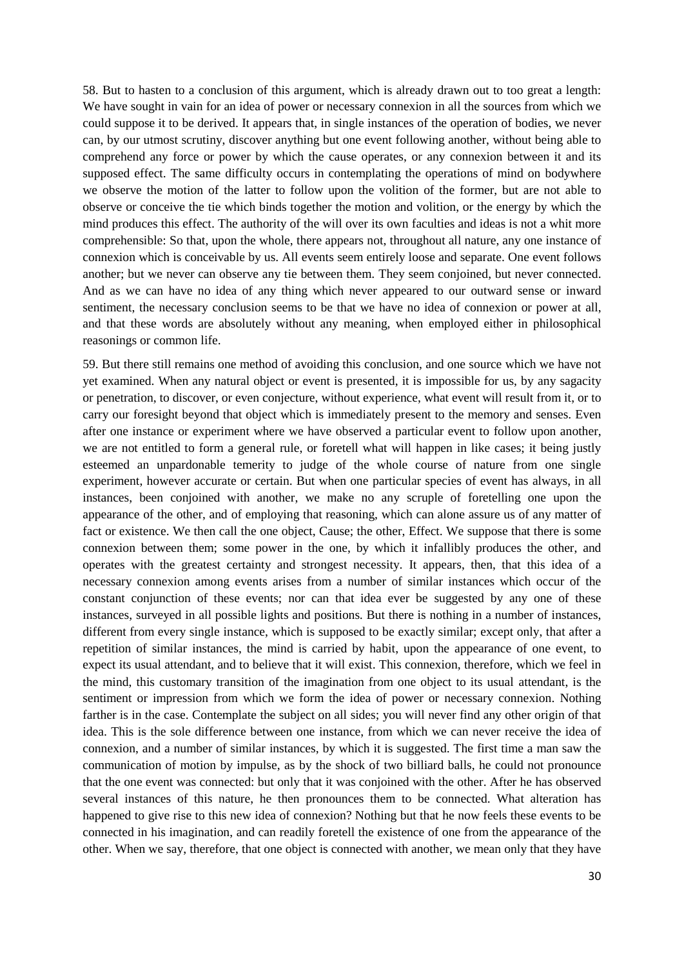58. But to hasten to a conclusion of this argument, which is already drawn out to too great a length: We have sought in vain for an idea of power or necessary connexion in all the sources from which we could suppose it to be derived. It appears that, in single instances of the operation of bodies, we never can, by our utmost scrutiny, discover anything but one event following another, without being able to comprehend any force or power by which the cause operates, or any connexion between it and its supposed effect. The same difficulty occurs in contemplating the operations of mind on bodywhere we observe the motion of the latter to follow upon the volition of the former, but are not able to observe or conceive the tie which binds together the motion and volition, or the energy by which the mind produces this effect. The authority of the will over its own faculties and ideas is not a whit more comprehensible: So that, upon the whole, there appears not, throughout all nature, any one instance of connexion which is conceivable by us. All events seem entirely loose and separate. One event follows another; but we never can observe any tie between them. They seem conjoined, but never connected. And as we can have no idea of any thing which never appeared to our outward sense or inward sentiment, the necessary conclusion seems to be that we have no idea of connexion or power at all, and that these words are absolutely without any meaning, when employed either in philosophical reasonings or common life.

59. But there still remains one method of avoiding this conclusion, and one source which we have not yet examined. When any natural object or event is presented, it is impossible for us, by any sagacity or penetration, to discover, or even conjecture, without experience, what event will result from it, or to carry our foresight beyond that object which is immediately present to the memory and senses. Even after one instance or experiment where we have observed a particular event to follow upon another, we are not entitled to form a general rule, or foretell what will happen in like cases; it being justly esteemed an unpardonable temerity to judge of the whole course of nature from one single experiment, however accurate or certain. But when one particular species of event has always, in all instances, been conjoined with another, we make no any scruple of foretelling one upon the appearance of the other, and of employing that reasoning, which can alone assure us of any matter of fact or existence. We then call the one object, Cause; the other, Effect. We suppose that there is some connexion between them; some power in the one, by which it infallibly produces the other, and operates with the greatest certainty and strongest necessity. It appears, then, that this idea of a necessary connexion among events arises from a number of similar instances which occur of the constant conjunction of these events; nor can that idea ever be suggested by any one of these instances, surveyed in all possible lights and positions. But there is nothing in a number of instances, different from every single instance, which is supposed to be exactly similar; except only, that after a repetition of similar instances, the mind is carried by habit, upon the appearance of one event, to expect its usual attendant, and to believe that it will exist. This connexion, therefore, which we feel in the mind, this customary transition of the imagination from one object to its usual attendant, is the sentiment or impression from which we form the idea of power or necessary connexion. Nothing farther is in the case. Contemplate the subject on all sides; you will never find any other origin of that idea. This is the sole difference between one instance, from which we can never receive the idea of connexion, and a number of similar instances, by which it is suggested. The first time a man saw the communication of motion by impulse, as by the shock of two billiard balls, he could not pronounce that the one event was connected: but only that it was conjoined with the other. After he has observed several instances of this nature, he then pronounces them to be connected. What alteration has happened to give rise to this new idea of connexion? Nothing but that he now feels these events to be connected in his imagination, and can readily foretell the existence of one from the appearance of the other. When we say, therefore, that one object is connected with another, we mean only that they have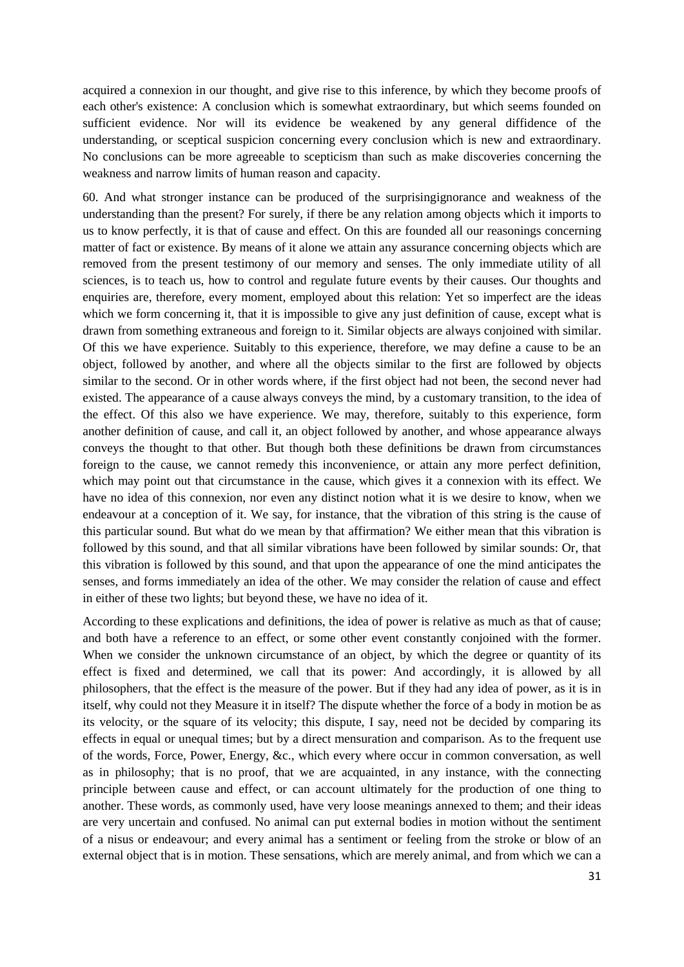acquired a connexion in our thought, and give rise to this inference, by which they become proofs of each other's existence: A conclusion which is somewhat extraordinary, but which seems founded on sufficient evidence. Nor will its evidence be weakened by any general diffidence of the understanding, or sceptical suspicion concerning every conclusion which is new and extraordinary. No conclusions can be more agreeable to scepticism than such as make discoveries concerning the weakness and narrow limits of human reason and capacity.

60. And what stronger instance can be produced of the surprisingignorance and weakness of the understanding than the present? For surely, if there be any relation among objects which it imports to us to know perfectly, it is that of cause and effect. On this are founded all our reasonings concerning matter of fact or existence. By means of it alone we attain any assurance concerning objects which are removed from the present testimony of our memory and senses. The only immediate utility of all sciences, is to teach us, how to control and regulate future events by their causes. Our thoughts and enquiries are, therefore, every moment, employed about this relation: Yet so imperfect are the ideas which we form concerning it, that it is impossible to give any just definition of cause, except what is drawn from something extraneous and foreign to it. Similar objects are always conjoined with similar. Of this we have experience. Suitably to this experience, therefore, we may define a cause to be an object, followed by another, and where all the objects similar to the first are followed by objects similar to the second. Or in other words where, if the first object had not been, the second never had existed. The appearance of a cause always conveys the mind, by a customary transition, to the idea of the effect. Of this also we have experience. We may, therefore, suitably to this experience, form another definition of cause, and call it, an object followed by another, and whose appearance always conveys the thought to that other. But though both these definitions be drawn from circumstances foreign to the cause, we cannot remedy this inconvenience, or attain any more perfect definition, which may point out that circumstance in the cause, which gives it a connexion with its effect. We have no idea of this connexion, nor even any distinct notion what it is we desire to know, when we endeavour at a conception of it. We say, for instance, that the vibration of this string is the cause of this particular sound. But what do we mean by that affirmation? We either mean that this vibration is followed by this sound, and that all similar vibrations have been followed by similar sounds: Or, that this vibration is followed by this sound, and that upon the appearance of one the mind anticipates the senses, and forms immediately an idea of the other. We may consider the relation of cause and effect in either of these two lights; but beyond these, we have no idea of it.

According to these explications and definitions, the idea of power is relative as much as that of cause; and both have a reference to an effect, or some other event constantly conjoined with the former. When we consider the unknown circumstance of an object, by which the degree or quantity of its effect is fixed and determined, we call that its power: And accordingly, it is allowed by all philosophers, that the effect is the measure of the power. But if they had any idea of power, as it is in itself, why could not they Measure it in itself? The dispute whether the force of a body in motion be as its velocity, or the square of its velocity; this dispute, I say, need not be decided by comparing its effects in equal or unequal times; but by a direct mensuration and comparison. As to the frequent use of the words, Force, Power, Energy, &c., which every where occur in common conversation, as well as in philosophy; that is no proof, that we are acquainted, in any instance, with the connecting principle between cause and effect, or can account ultimately for the production of one thing to another. These words, as commonly used, have very loose meanings annexed to them; and their ideas are very uncertain and confused. No animal can put external bodies in motion without the sentiment of a nisus or endeavour; and every animal has a sentiment or feeling from the stroke or blow of an external object that is in motion. These sensations, which are merely animal, and from which we can a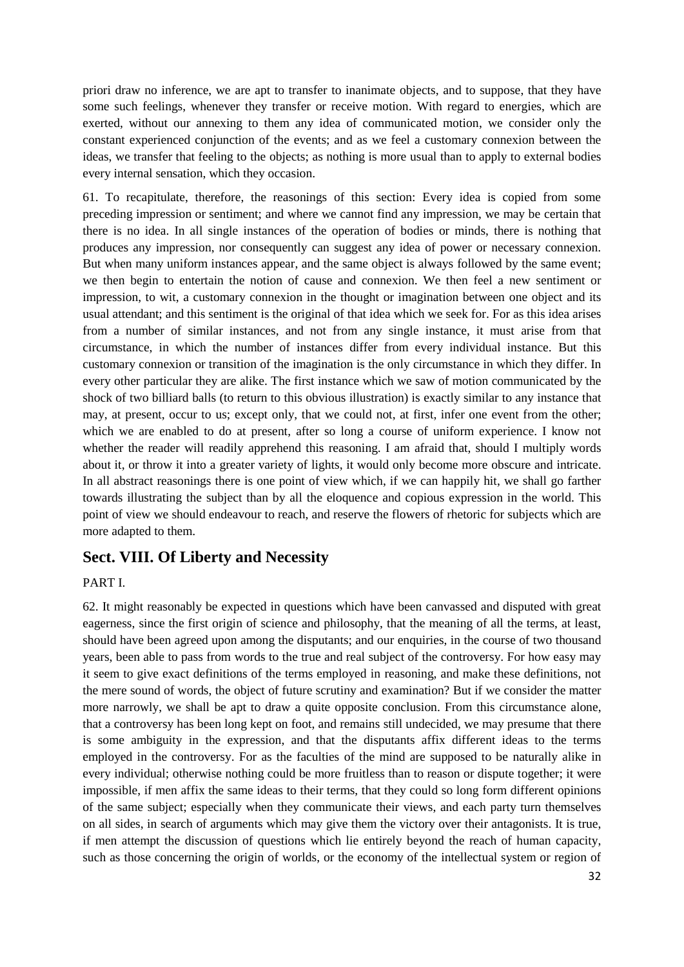priori draw no inference, we are apt to transfer to inanimate objects, and to suppose, that they have some such feelings, whenever they transfer or receive motion. With regard to energies, which are exerted, without our annexing to them any idea of communicated motion, we consider only the constant experienced conjunction of the events; and as we feel a customary connexion between the ideas, we transfer that feeling to the objects; as nothing is more usual than to apply to external bodies every internal sensation, which they occasion.

61. To recapitulate, therefore, the reasonings of this section: Every idea is copied from some preceding impression or sentiment; and where we cannot find any impression, we may be certain that there is no idea. In all single instances of the operation of bodies or minds, there is nothing that produces any impression, nor consequently can suggest any idea of power or necessary connexion. But when many uniform instances appear, and the same object is always followed by the same event; we then begin to entertain the notion of cause and connexion. We then feel a new sentiment or impression, to wit, a customary connexion in the thought or imagination between one object and its usual attendant; and this sentiment is the original of that idea which we seek for. For as this idea arises from a number of similar instances, and not from any single instance, it must arise from that circumstance, in which the number of instances differ from every individual instance. But this customary connexion or transition of the imagination is the only circumstance in which they differ. In every other particular they are alike. The first instance which we saw of motion communicated by the shock of two billiard balls (to return to this obvious illustration) is exactly similar to any instance that may, at present, occur to us; except only, that we could not, at first, infer one event from the other; which we are enabled to do at present, after so long a course of uniform experience. I know not whether the reader will readily apprehend this reasoning. I am afraid that, should I multiply words about it, or throw it into a greater variety of lights, it would only become more obscure and intricate. In all abstract reasonings there is one point of view which, if we can happily hit, we shall go farther towards illustrating the subject than by all the eloquence and copious expression in the world. This point of view we should endeavour to reach, and reserve the flowers of rhetoric for subjects which are more adapted to them.

## **Sect. VIII. Of Liberty and Necessity**

#### PART I.

62. It might reasonably be expected in questions which have been canvassed and disputed with great eagerness, since the first origin of science and philosophy, that the meaning of all the terms, at least, should have been agreed upon among the disputants; and our enquiries, in the course of two thousand years, been able to pass from words to the true and real subject of the controversy. For how easy may it seem to give exact definitions of the terms employed in reasoning, and make these definitions, not the mere sound of words, the object of future scrutiny and examination? But if we consider the matter more narrowly, we shall be apt to draw a quite opposite conclusion. From this circumstance alone, that a controversy has been long kept on foot, and remains still undecided, we may presume that there is some ambiguity in the expression, and that the disputants affix different ideas to the terms employed in the controversy. For as the faculties of the mind are supposed to be naturally alike in every individual; otherwise nothing could be more fruitless than to reason or dispute together; it were impossible, if men affix the same ideas to their terms, that they could so long form different opinions of the same subject; especially when they communicate their views, and each party turn themselves on all sides, in search of arguments which may give them the victory over their antagonists. It is true, if men attempt the discussion of questions which lie entirely beyond the reach of human capacity, such as those concerning the origin of worlds, or the economy of the intellectual system or region of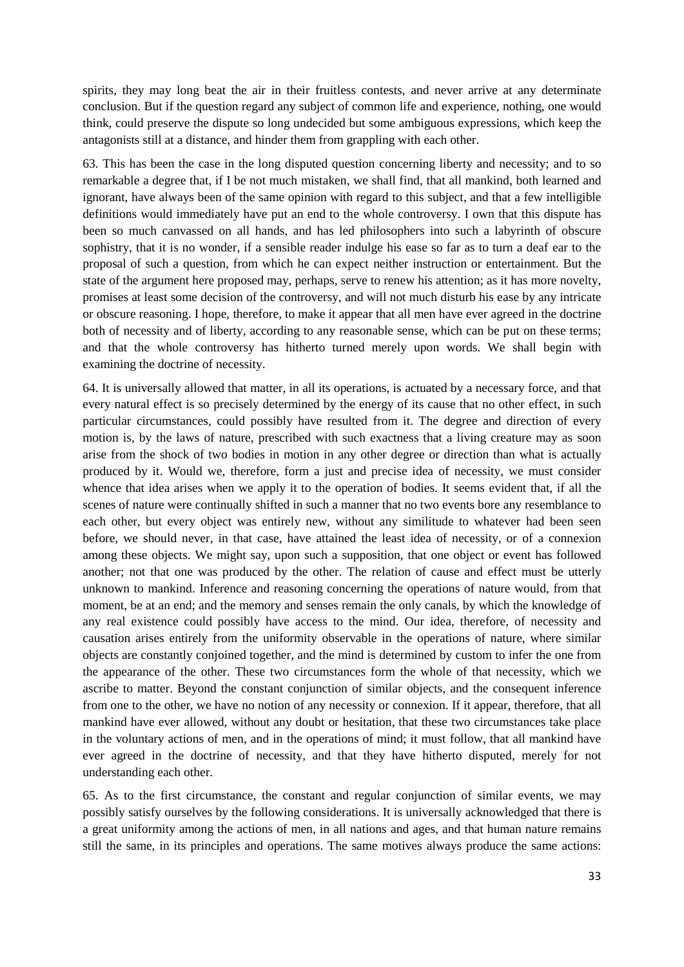spirits, they may long beat the air in their fruitless contests, and never arrive at any determinate conclusion. But if the question regard any subject of common life and experience, nothing, one would think, could preserve the dispute so long undecided but some ambiguous expressions, which keep the antagonists still at a distance, and hinder them from grappling with each other.

63. This has been the case in the long disputed question concerning liberty and necessity; and to so remarkable a degree that, if I be not much mistaken, we shall find, that all mankind, both learned and ignorant, have always been of the same opinion with regard to this subject, and that a few intelligible definitions would immediately have put an end to the whole controversy. I own that this dispute has been so much canvassed on all hands, and has led philosophers into such a labyrinth of obscure sophistry, that it is no wonder, if a sensible reader indulge his ease so far as to turn a deaf ear to the proposal of such a question, from which he can expect neither instruction or entertainment. But the state of the argument here proposed may, perhaps, serve to renew his attention; as it has more novelty, promises at least some decision of the controversy, and will not much disturb his ease by any intricate or obscure reasoning. I hope, therefore, to make it appear that all men have ever agreed in the doctrine both of necessity and of liberty, according to any reasonable sense, which can be put on these terms; and that the whole controversy has hitherto turned merely upon words. We shall begin with examining the doctrine of necessity.

64. It is universally allowed that matter, in all its operations, is actuated by a necessary force, and that every natural effect is so precisely determined by the energy of its cause that no other effect, in such particular circumstances, could possibly have resulted from it. The degree and direction of every motion is, by the laws of nature, prescribed with such exactness that a living creature may as soon arise from the shock of two bodies in motion in any other degree or direction than what is actually produced by it. Would we, therefore, form a just and precise idea of necessity, we must consider whence that idea arises when we apply it to the operation of bodies. It seems evident that, if all the scenes of nature were continually shifted in such a manner that no two events bore any resemblance to each other, but every object was entirely new, without any similitude to whatever had been seen before, we should never, in that case, have attained the least idea of necessity, or of a connexion among these objects. We might say, upon such a supposition, that one object or event has followed another; not that one was produced by the other. The relation of cause and effect must be utterly unknown to mankind. Inference and reasoning concerning the operations of nature would, from that moment, be at an end; and the memory and senses remain the only canals, by which the knowledge of any real existence could possibly have access to the mind. Our idea, therefore, of necessity and causation arises entirely from the uniformity observable in the operations of nature, where similar objects are constantly conjoined together, and the mind is determined by custom to infer the one from the appearance of the other. These two circumstances form the whole of that necessity, which we ascribe to matter. Beyond the constant conjunction of similar objects, and the consequent inference from one to the other, we have no notion of any necessity or connexion. If it appear, therefore, that all mankind have ever allowed, without any doubt or hesitation, that these two circumstances take place in the voluntary actions of men, and in the operations of mind; it must follow, that all mankind have ever agreed in the doctrine of necessity, and that they have hitherto disputed, merely for not understanding each other.

65. As to the first circumstance, the constant and regular conjunction of similar events, we may possibly satisfy ourselves by the following considerations. It is universally acknowledged that there is a great uniformity among the actions of men, in all nations and ages, and that human nature remains still the same, in its principles and operations. The same motives always produce the same actions: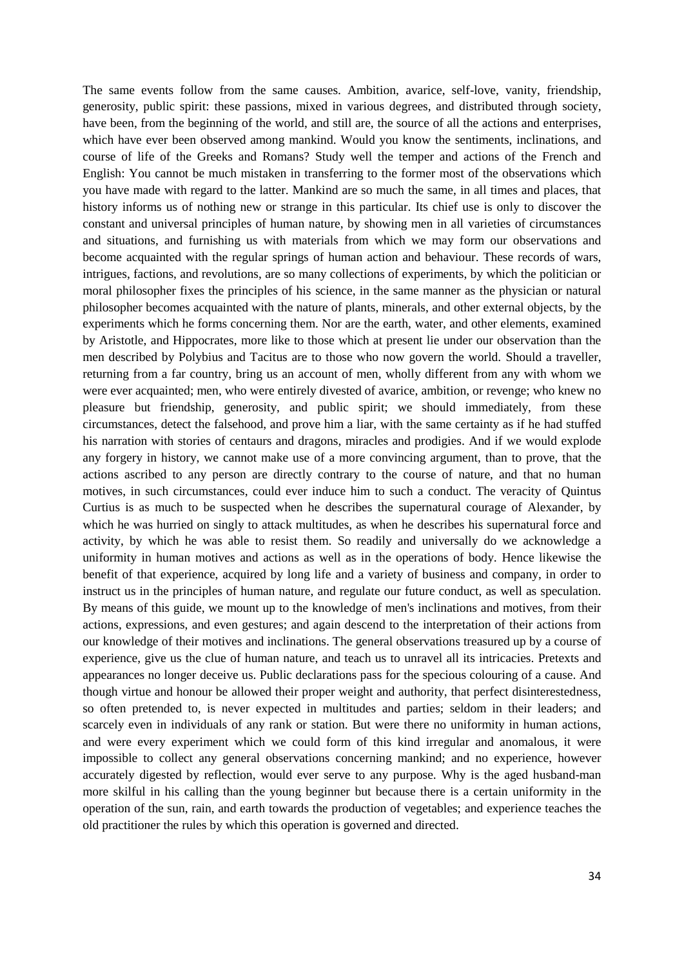The same events follow from the same causes. Ambition, avarice, self-love, vanity, friendship, generosity, public spirit: these passions, mixed in various degrees, and distributed through society, have been, from the beginning of the world, and still are, the source of all the actions and enterprises, which have ever been observed among mankind. Would you know the sentiments, inclinations, and course of life of the Greeks and Romans? Study well the temper and actions of the French and English: You cannot be much mistaken in transferring to the former most of the observations which you have made with regard to the latter. Mankind are so much the same, in all times and places, that history informs us of nothing new or strange in this particular. Its chief use is only to discover the constant and universal principles of human nature, by showing men in all varieties of circumstances and situations, and furnishing us with materials from which we may form our observations and become acquainted with the regular springs of human action and behaviour. These records of wars, intrigues, factions, and revolutions, are so many collections of experiments, by which the politician or moral philosopher fixes the principles of his science, in the same manner as the physician or natural philosopher becomes acquainted with the nature of plants, minerals, and other external objects, by the experiments which he forms concerning them. Nor are the earth, water, and other elements, examined by Aristotle, and Hippocrates, more like to those which at present lie under our observation than the men described by Polybius and Tacitus are to those who now govern the world. Should a traveller, returning from a far country, bring us an account of men, wholly different from any with whom we were ever acquainted; men, who were entirely divested of avarice, ambition, or revenge; who knew no pleasure but friendship, generosity, and public spirit; we should immediately, from these circumstances, detect the falsehood, and prove him a liar, with the same certainty as if he had stuffed his narration with stories of centaurs and dragons, miracles and prodigies. And if we would explode any forgery in history, we cannot make use of a more convincing argument, than to prove, that the actions ascribed to any person are directly contrary to the course of nature, and that no human motives, in such circumstances, could ever induce him to such a conduct. The veracity of Quintus Curtius is as much to be suspected when he describes the supernatural courage of Alexander, by which he was hurried on singly to attack multitudes, as when he describes his supernatural force and activity, by which he was able to resist them. So readily and universally do we acknowledge a uniformity in human motives and actions as well as in the operations of body. Hence likewise the benefit of that experience, acquired by long life and a variety of business and company, in order to instruct us in the principles of human nature, and regulate our future conduct, as well as speculation. By means of this guide, we mount up to the knowledge of men's inclinations and motives, from their actions, expressions, and even gestures; and again descend to the interpretation of their actions from our knowledge of their motives and inclinations. The general observations treasured up by a course of experience, give us the clue of human nature, and teach us to unravel all its intricacies. Pretexts and appearances no longer deceive us. Public declarations pass for the specious colouring of a cause. And though virtue and honour be allowed their proper weight and authority, that perfect disinterestedness, so often pretended to, is never expected in multitudes and parties; seldom in their leaders; and scarcely even in individuals of any rank or station. But were there no uniformity in human actions, and were every experiment which we could form of this kind irregular and anomalous, it were impossible to collect any general observations concerning mankind; and no experience, however accurately digested by reflection, would ever serve to any purpose. Why is the aged husband-man more skilful in his calling than the young beginner but because there is a certain uniformity in the operation of the sun, rain, and earth towards the production of vegetables; and experience teaches the old practitioner the rules by which this operation is governed and directed.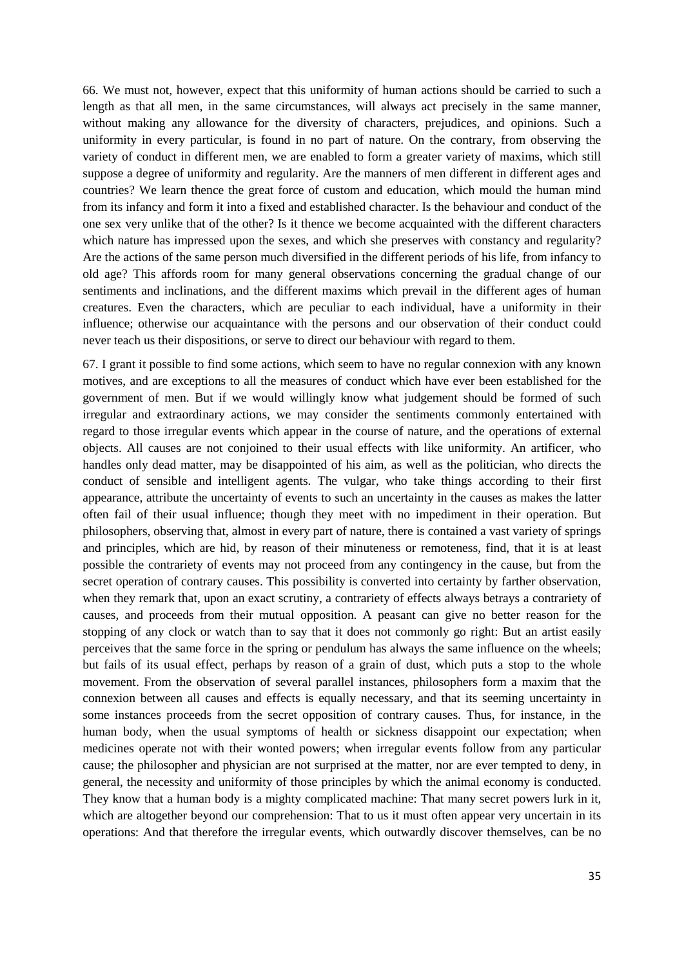66. We must not, however, expect that this uniformity of human actions should be carried to such a length as that all men, in the same circumstances, will always act precisely in the same manner, without making any allowance for the diversity of characters, prejudices, and opinions. Such a uniformity in every particular, is found in no part of nature. On the contrary, from observing the variety of conduct in different men, we are enabled to form a greater variety of maxims, which still suppose a degree of uniformity and regularity. Are the manners of men different in different ages and countries? We learn thence the great force of custom and education, which mould the human mind from its infancy and form it into a fixed and established character. Is the behaviour and conduct of the one sex very unlike that of the other? Is it thence we become acquainted with the different characters which nature has impressed upon the sexes, and which she preserves with constancy and regularity? Are the actions of the same person much diversified in the different periods of his life, from infancy to old age? This affords room for many general observations concerning the gradual change of our sentiments and inclinations, and the different maxims which prevail in the different ages of human creatures. Even the characters, which are peculiar to each individual, have a uniformity in their influence; otherwise our acquaintance with the persons and our observation of their conduct could never teach us their dispositions, or serve to direct our behaviour with regard to them.

67. I grant it possible to find some actions, which seem to have no regular connexion with any known motives, and are exceptions to all the measures of conduct which have ever been established for the government of men. But if we would willingly know what judgement should be formed of such irregular and extraordinary actions, we may consider the sentiments commonly entertained with regard to those irregular events which appear in the course of nature, and the operations of external objects. All causes are not conjoined to their usual effects with like uniformity. An artificer, who handles only dead matter, may be disappointed of his aim, as well as the politician, who directs the conduct of sensible and intelligent agents. The vulgar, who take things according to their first appearance, attribute the uncertainty of events to such an uncertainty in the causes as makes the latter often fail of their usual influence; though they meet with no impediment in their operation. But philosophers, observing that, almost in every part of nature, there is contained a vast variety of springs and principles, which are hid, by reason of their minuteness or remoteness, find, that it is at least possible the contrariety of events may not proceed from any contingency in the cause, but from the secret operation of contrary causes. This possibility is converted into certainty by farther observation, when they remark that, upon an exact scrutiny, a contrariety of effects always betrays a contrariety of causes, and proceeds from their mutual opposition. A peasant can give no better reason for the stopping of any clock or watch than to say that it does not commonly go right: But an artist easily perceives that the same force in the spring or pendulum has always the same influence on the wheels; but fails of its usual effect, perhaps by reason of a grain of dust, which puts a stop to the whole movement. From the observation of several parallel instances, philosophers form a maxim that the connexion between all causes and effects is equally necessary, and that its seeming uncertainty in some instances proceeds from the secret opposition of contrary causes. Thus, for instance, in the human body, when the usual symptoms of health or sickness disappoint our expectation; when medicines operate not with their wonted powers; when irregular events follow from any particular cause; the philosopher and physician are not surprised at the matter, nor are ever tempted to deny, in general, the necessity and uniformity of those principles by which the animal economy is conducted. They know that a human body is a mighty complicated machine: That many secret powers lurk in it, which are altogether beyond our comprehension: That to us it must often appear very uncertain in its operations: And that therefore the irregular events, which outwardly discover themselves, can be no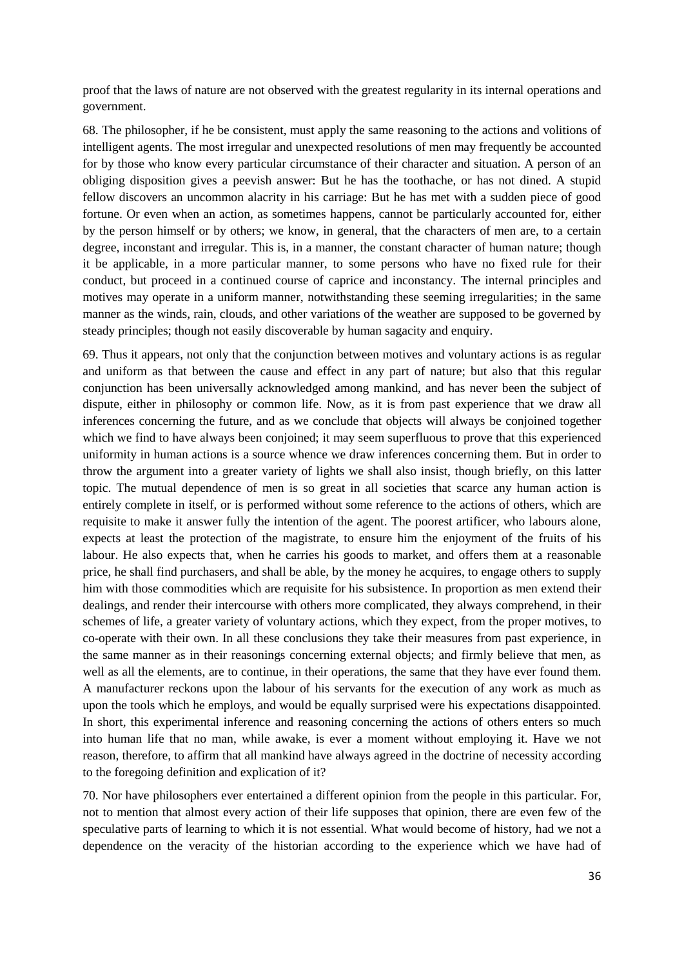proof that the laws of nature are not observed with the greatest regularity in its internal operations and government.

68. The philosopher, if he be consistent, must apply the same reasoning to the actions and volitions of intelligent agents. The most irregular and unexpected resolutions of men may frequently be accounted for by those who know every particular circumstance of their character and situation. A person of an obliging disposition gives a peevish answer: But he has the toothache, or has not dined. A stupid fellow discovers an uncommon alacrity in his carriage: But he has met with a sudden piece of good fortune. Or even when an action, as sometimes happens, cannot be particularly accounted for, either by the person himself or by others; we know, in general, that the characters of men are, to a certain degree, inconstant and irregular. This is, in a manner, the constant character of human nature; though it be applicable, in a more particular manner, to some persons who have no fixed rule for their conduct, but proceed in a continued course of caprice and inconstancy. The internal principles and motives may operate in a uniform manner, notwithstanding these seeming irregularities; in the same manner as the winds, rain, clouds, and other variations of the weather are supposed to be governed by steady principles; though not easily discoverable by human sagacity and enquiry.

69. Thus it appears, not only that the conjunction between motives and voluntary actions is as regular and uniform as that between the cause and effect in any part of nature; but also that this regular conjunction has been universally acknowledged among mankind, and has never been the subject of dispute, either in philosophy or common life. Now, as it is from past experience that we draw all inferences concerning the future, and as we conclude that objects will always be conjoined together which we find to have always been conjoined; it may seem superfluous to prove that this experienced uniformity in human actions is a source whence we draw inferences concerning them. But in order to throw the argument into a greater variety of lights we shall also insist, though briefly, on this latter topic. The mutual dependence of men is so great in all societies that scarce any human action is entirely complete in itself, or is performed without some reference to the actions of others, which are requisite to make it answer fully the intention of the agent. The poorest artificer, who labours alone, expects at least the protection of the magistrate, to ensure him the enjoyment of the fruits of his labour. He also expects that, when he carries his goods to market, and offers them at a reasonable price, he shall find purchasers, and shall be able, by the money he acquires, to engage others to supply him with those commodities which are requisite for his subsistence. In proportion as men extend their dealings, and render their intercourse with others more complicated, they always comprehend, in their schemes of life, a greater variety of voluntary actions, which they expect, from the proper motives, to co-operate with their own. In all these conclusions they take their measures from past experience, in the same manner as in their reasonings concerning external objects; and firmly believe that men, as well as all the elements, are to continue, in their operations, the same that they have ever found them. A manufacturer reckons upon the labour of his servants for the execution of any work as much as upon the tools which he employs, and would be equally surprised were his expectations disappointed. In short, this experimental inference and reasoning concerning the actions of others enters so much into human life that no man, while awake, is ever a moment without employing it. Have we not reason, therefore, to affirm that all mankind have always agreed in the doctrine of necessity according to the foregoing definition and explication of it?

70. Nor have philosophers ever entertained a different opinion from the people in this particular. For, not to mention that almost every action of their life supposes that opinion, there are even few of the speculative parts of learning to which it is not essential. What would become of history, had we not a dependence on the veracity of the historian according to the experience which we have had of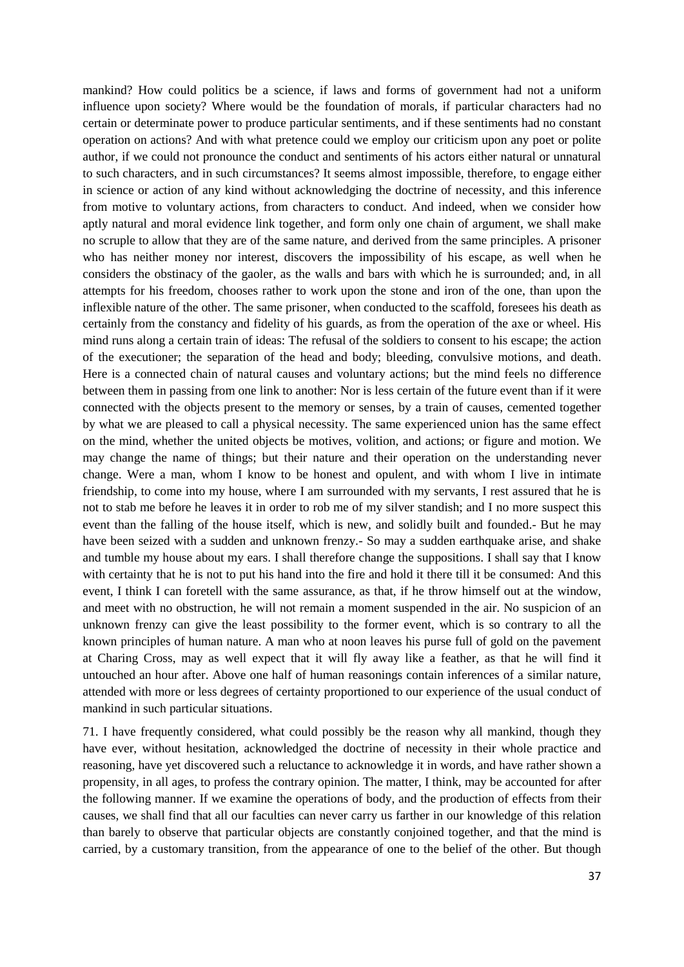mankind? How could politics be a science, if laws and forms of government had not a uniform influence upon society? Where would be the foundation of morals, if particular characters had no certain or determinate power to produce particular sentiments, and if these sentiments had no constant operation on actions? And with what pretence could we employ our criticism upon any poet or polite author, if we could not pronounce the conduct and sentiments of his actors either natural or unnatural to such characters, and in such circumstances? It seems almost impossible, therefore, to engage either in science or action of any kind without acknowledging the doctrine of necessity, and this inference from motive to voluntary actions, from characters to conduct. And indeed, when we consider how aptly natural and moral evidence link together, and form only one chain of argument, we shall make no scruple to allow that they are of the same nature, and derived from the same principles. A prisoner who has neither money nor interest, discovers the impossibility of his escape, as well when he considers the obstinacy of the gaoler, as the walls and bars with which he is surrounded; and, in all attempts for his freedom, chooses rather to work upon the stone and iron of the one, than upon the inflexible nature of the other. The same prisoner, when conducted to the scaffold, foresees his death as certainly from the constancy and fidelity of his guards, as from the operation of the axe or wheel. His mind runs along a certain train of ideas: The refusal of the soldiers to consent to his escape; the action of the executioner; the separation of the head and body; bleeding, convulsive motions, and death. Here is a connected chain of natural causes and voluntary actions; but the mind feels no difference between them in passing from one link to another: Nor is less certain of the future event than if it were connected with the objects present to the memory or senses, by a train of causes, cemented together by what we are pleased to call a physical necessity. The same experienced union has the same effect on the mind, whether the united objects be motives, volition, and actions; or figure and motion. We may change the name of things; but their nature and their operation on the understanding never change. Were a man, whom I know to be honest and opulent, and with whom I live in intimate friendship, to come into my house, where I am surrounded with my servants, I rest assured that he is not to stab me before he leaves it in order to rob me of my silver standish; and I no more suspect this event than the falling of the house itself, which is new, and solidly built and founded.- But he may have been seized with a sudden and unknown frenzy.- So may a sudden earthquake arise, and shake and tumble my house about my ears. I shall therefore change the suppositions. I shall say that I know with certainty that he is not to put his hand into the fire and hold it there till it be consumed: And this event, I think I can foretell with the same assurance, as that, if he throw himself out at the window, and meet with no obstruction, he will not remain a moment suspended in the air. No suspicion of an unknown frenzy can give the least possibility to the former event, which is so contrary to all the known principles of human nature. A man who at noon leaves his purse full of gold on the pavement at Charing Cross, may as well expect that it will fly away like a feather, as that he will find it untouched an hour after. Above one half of human reasonings contain inferences of a similar nature, attended with more or less degrees of certainty proportioned to our experience of the usual conduct of mankind in such particular situations.

71. I have frequently considered, what could possibly be the reason why all mankind, though they have ever, without hesitation, acknowledged the doctrine of necessity in their whole practice and reasoning, have yet discovered such a reluctance to acknowledge it in words, and have rather shown a propensity, in all ages, to profess the contrary opinion. The matter, I think, may be accounted for after the following manner. If we examine the operations of body, and the production of effects from their causes, we shall find that all our faculties can never carry us farther in our knowledge of this relation than barely to observe that particular objects are constantly conjoined together, and that the mind is carried, by a customary transition, from the appearance of one to the belief of the other. But though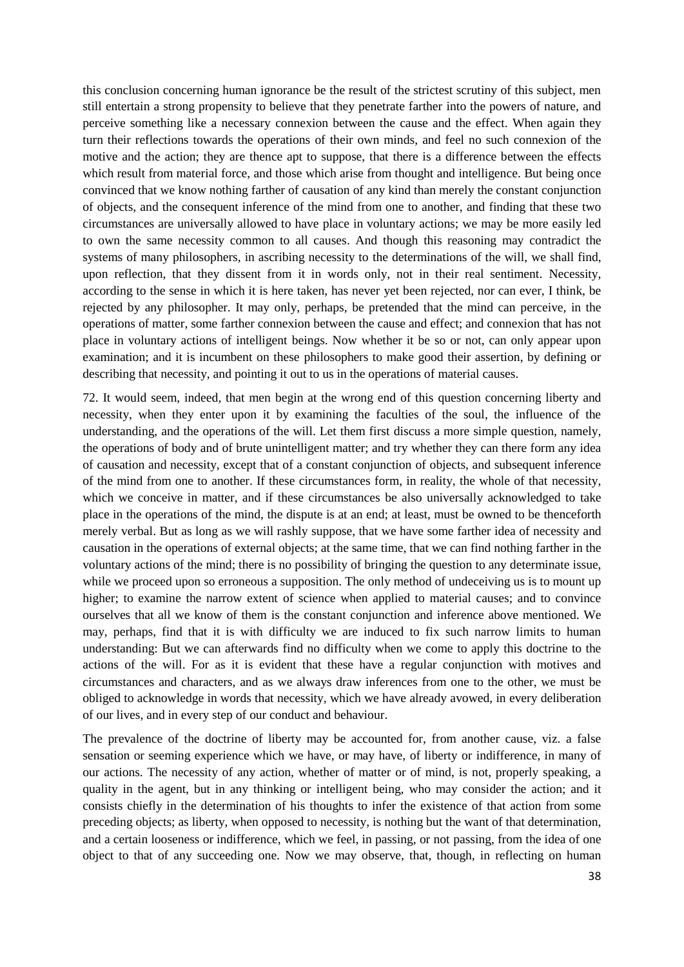this conclusion concerning human ignorance be the result of the strictest scrutiny of this subject, men still entertain a strong propensity to believe that they penetrate farther into the powers of nature, and perceive something like a necessary connexion between the cause and the effect. When again they turn their reflections towards the operations of their own minds, and feel no such connexion of the motive and the action; they are thence apt to suppose, that there is a difference between the effects which result from material force, and those which arise from thought and intelligence. But being once convinced that we know nothing farther of causation of any kind than merely the constant conjunction of objects, and the consequent inference of the mind from one to another, and finding that these two circumstances are universally allowed to have place in voluntary actions; we may be more easily led to own the same necessity common to all causes. And though this reasoning may contradict the systems of many philosophers, in ascribing necessity to the determinations of the will, we shall find, upon reflection, that they dissent from it in words only, not in their real sentiment. Necessity, according to the sense in which it is here taken, has never yet been rejected, nor can ever, I think, be rejected by any philosopher. It may only, perhaps, be pretended that the mind can perceive, in the operations of matter, some farther connexion between the cause and effect; and connexion that has not place in voluntary actions of intelligent beings. Now whether it be so or not, can only appear upon examination; and it is incumbent on these philosophers to make good their assertion, by defining or describing that necessity, and pointing it out to us in the operations of material causes.

72. It would seem, indeed, that men begin at the wrong end of this question concerning liberty and necessity, when they enter upon it by examining the faculties of the soul, the influence of the understanding, and the operations of the will. Let them first discuss a more simple question, namely, the operations of body and of brute unintelligent matter; and try whether they can there form any idea of causation and necessity, except that of a constant conjunction of objects, and subsequent inference of the mind from one to another. If these circumstances form, in reality, the whole of that necessity, which we conceive in matter, and if these circumstances be also universally acknowledged to take place in the operations of the mind, the dispute is at an end; at least, must be owned to be thenceforth merely verbal. But as long as we will rashly suppose, that we have some farther idea of necessity and causation in the operations of external objects; at the same time, that we can find nothing farther in the voluntary actions of the mind; there is no possibility of bringing the question to any determinate issue, while we proceed upon so erroneous a supposition. The only method of undeceiving us is to mount up higher; to examine the narrow extent of science when applied to material causes; and to convince ourselves that all we know of them is the constant conjunction and inference above mentioned. We may, perhaps, find that it is with difficulty we are induced to fix such narrow limits to human understanding: But we can afterwards find no difficulty when we come to apply this doctrine to the actions of the will. For as it is evident that these have a regular conjunction with motives and circumstances and characters, and as we always draw inferences from one to the other, we must be obliged to acknowledge in words that necessity, which we have already avowed, in every deliberation of our lives, and in every step of our conduct and behaviour.

The prevalence of the doctrine of liberty may be accounted for, from another cause, viz. a false sensation or seeming experience which we have, or may have, of liberty or indifference, in many of our actions. The necessity of any action, whether of matter or of mind, is not, properly speaking, a quality in the agent, but in any thinking or intelligent being, who may consider the action; and it consists chiefly in the determination of his thoughts to infer the existence of that action from some preceding objects; as liberty, when opposed to necessity, is nothing but the want of that determination, and a certain looseness or indifference, which we feel, in passing, or not passing, from the idea of one object to that of any succeeding one. Now we may observe, that, though, in reflecting on human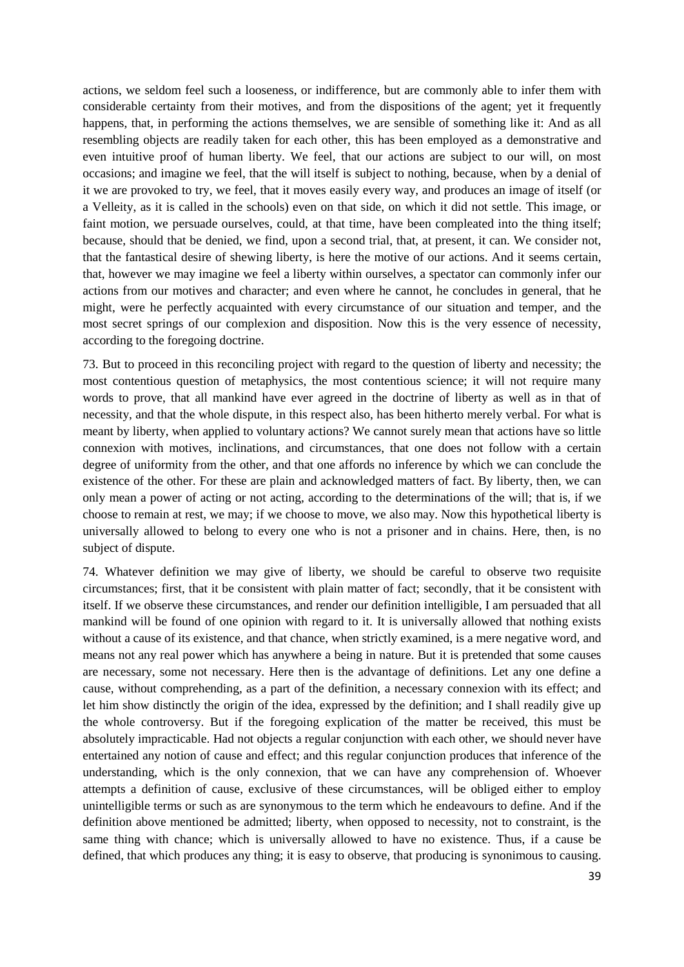actions, we seldom feel such a looseness, or indifference, but are commonly able to infer them with considerable certainty from their motives, and from the dispositions of the agent; yet it frequently happens, that, in performing the actions themselves, we are sensible of something like it: And as all resembling objects are readily taken for each other, this has been employed as a demonstrative and even intuitive proof of human liberty. We feel, that our actions are subject to our will, on most occasions; and imagine we feel, that the will itself is subject to nothing, because, when by a denial of it we are provoked to try, we feel, that it moves easily every way, and produces an image of itself (or a Velleity, as it is called in the schools) even on that side, on which it did not settle. This image, or faint motion, we persuade ourselves, could, at that time, have been compleated into the thing itself; because, should that be denied, we find, upon a second trial, that, at present, it can. We consider not, that the fantastical desire of shewing liberty, is here the motive of our actions. And it seems certain, that, however we may imagine we feel a liberty within ourselves, a spectator can commonly infer our actions from our motives and character; and even where he cannot, he concludes in general, that he might, were he perfectly acquainted with every circumstance of our situation and temper, and the most secret springs of our complexion and disposition. Now this is the very essence of necessity, according to the foregoing doctrine.

73. But to proceed in this reconciling project with regard to the question of liberty and necessity; the most contentious question of metaphysics, the most contentious science; it will not require many words to prove, that all mankind have ever agreed in the doctrine of liberty as well as in that of necessity, and that the whole dispute, in this respect also, has been hitherto merely verbal. For what is meant by liberty, when applied to voluntary actions? We cannot surely mean that actions have so little connexion with motives, inclinations, and circumstances, that one does not follow with a certain degree of uniformity from the other, and that one affords no inference by which we can conclude the existence of the other. For these are plain and acknowledged matters of fact. By liberty, then, we can only mean a power of acting or not acting, according to the determinations of the will; that is, if we choose to remain at rest, we may; if we choose to move, we also may. Now this hypothetical liberty is universally allowed to belong to every one who is not a prisoner and in chains. Here, then, is no subject of dispute.

74. Whatever definition we may give of liberty, we should be careful to observe two requisite circumstances; first, that it be consistent with plain matter of fact; secondly, that it be consistent with itself. If we observe these circumstances, and render our definition intelligible, I am persuaded that all mankind will be found of one opinion with regard to it. It is universally allowed that nothing exists without a cause of its existence, and that chance, when strictly examined, is a mere negative word, and means not any real power which has anywhere a being in nature. But it is pretended that some causes are necessary, some not necessary. Here then is the advantage of definitions. Let any one define a cause, without comprehending, as a part of the definition, a necessary connexion with its effect; and let him show distinctly the origin of the idea, expressed by the definition; and I shall readily give up the whole controversy. But if the foregoing explication of the matter be received, this must be absolutely impracticable. Had not objects a regular conjunction with each other, we should never have entertained any notion of cause and effect; and this regular conjunction produces that inference of the understanding, which is the only connexion, that we can have any comprehension of. Whoever attempts a definition of cause, exclusive of these circumstances, will be obliged either to employ unintelligible terms or such as are synonymous to the term which he endeavours to define. And if the definition above mentioned be admitted; liberty, when opposed to necessity, not to constraint, is the same thing with chance; which is universally allowed to have no existence. Thus, if a cause be defined, that which produces any thing; it is easy to observe, that producing is synonimous to causing.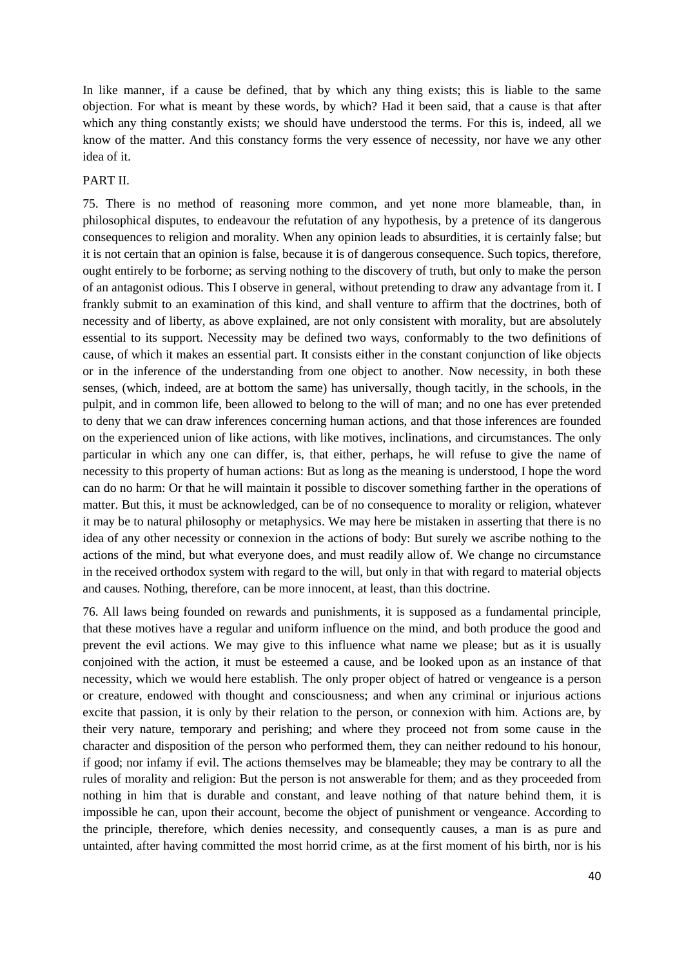In like manner, if a cause be defined, that by which any thing exists; this is liable to the same objection. For what is meant by these words, by which? Had it been said, that a cause is that after which any thing constantly exists; we should have understood the terms. For this is, indeed, all we know of the matter. And this constancy forms the very essence of necessity, nor have we any other idea of it.

#### PART II.

75. There is no method of reasoning more common, and yet none more blameable, than, in philosophical disputes, to endeavour the refutation of any hypothesis, by a pretence of its dangerous consequences to religion and morality. When any opinion leads to absurdities, it is certainly false; but it is not certain that an opinion is false, because it is of dangerous consequence. Such topics, therefore, ought entirely to be forborne; as serving nothing to the discovery of truth, but only to make the person of an antagonist odious. This I observe in general, without pretending to draw any advantage from it. I frankly submit to an examination of this kind, and shall venture to affirm that the doctrines, both of necessity and of liberty, as above explained, are not only consistent with morality, but are absolutely essential to its support. Necessity may be defined two ways, conformably to the two definitions of cause, of which it makes an essential part. It consists either in the constant conjunction of like objects or in the inference of the understanding from one object to another. Now necessity, in both these senses, (which, indeed, are at bottom the same) has universally, though tacitly, in the schools, in the pulpit, and in common life, been allowed to belong to the will of man; and no one has ever pretended to deny that we can draw inferences concerning human actions, and that those inferences are founded on the experienced union of like actions, with like motives, inclinations, and circumstances. The only particular in which any one can differ, is, that either, perhaps, he will refuse to give the name of necessity to this property of human actions: But as long as the meaning is understood, I hope the word can do no harm: Or that he will maintain it possible to discover something farther in the operations of matter. But this, it must be acknowledged, can be of no consequence to morality or religion, whatever it may be to natural philosophy or metaphysics. We may here be mistaken in asserting that there is no idea of any other necessity or connexion in the actions of body: But surely we ascribe nothing to the actions of the mind, but what everyone does, and must readily allow of. We change no circumstance in the received orthodox system with regard to the will, but only in that with regard to material objects and causes. Nothing, therefore, can be more innocent, at least, than this doctrine.

76. All laws being founded on rewards and punishments, it is supposed as a fundamental principle, that these motives have a regular and uniform influence on the mind, and both produce the good and prevent the evil actions. We may give to this influence what name we please; but as it is usually conjoined with the action, it must be esteemed a cause, and be looked upon as an instance of that necessity, which we would here establish. The only proper object of hatred or vengeance is a person or creature, endowed with thought and consciousness; and when any criminal or injurious actions excite that passion, it is only by their relation to the person, or connexion with him. Actions are, by their very nature, temporary and perishing; and where they proceed not from some cause in the character and disposition of the person who performed them, they can neither redound to his honour, if good; nor infamy if evil. The actions themselves may be blameable; they may be contrary to all the rules of morality and religion: But the person is not answerable for them; and as they proceeded from nothing in him that is durable and constant, and leave nothing of that nature behind them, it is impossible he can, upon their account, become the object of punishment or vengeance. According to the principle, therefore, which denies necessity, and consequently causes, a man is as pure and untainted, after having committed the most horrid crime, as at the first moment of his birth, nor is his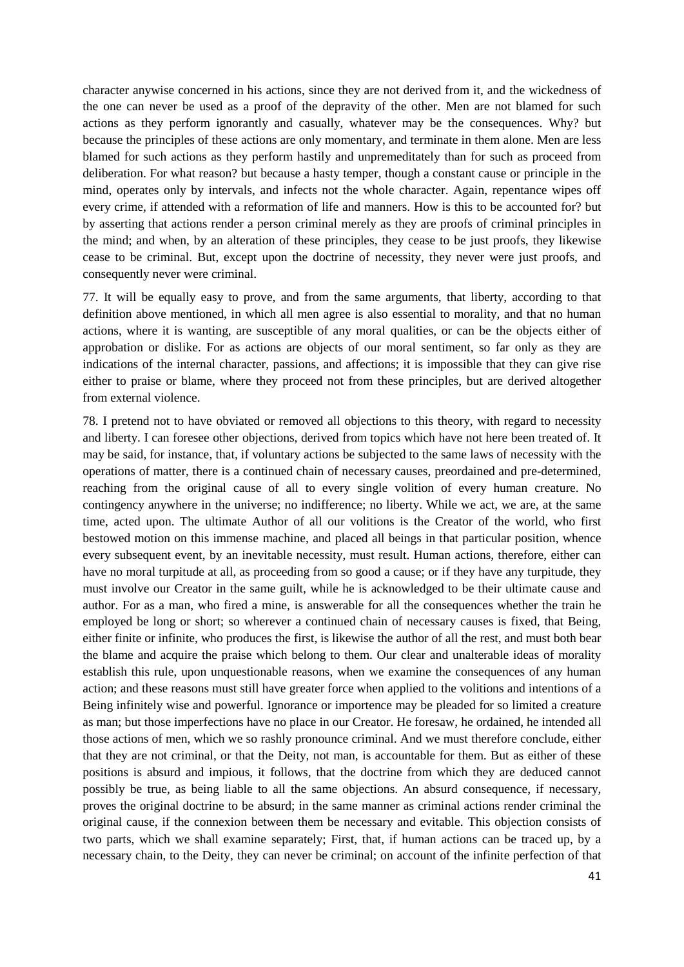character anywise concerned in his actions, since they are not derived from it, and the wickedness of the one can never be used as a proof of the depravity of the other. Men are not blamed for such actions as they perform ignorantly and casually, whatever may be the consequences. Why? but because the principles of these actions are only momentary, and terminate in them alone. Men are less blamed for such actions as they perform hastily and unpremeditately than for such as proceed from deliberation. For what reason? but because a hasty temper, though a constant cause or principle in the mind, operates only by intervals, and infects not the whole character. Again, repentance wipes off every crime, if attended with a reformation of life and manners. How is this to be accounted for? but by asserting that actions render a person criminal merely as they are proofs of criminal principles in the mind; and when, by an alteration of these principles, they cease to be just proofs, they likewise cease to be criminal. But, except upon the doctrine of necessity, they never were just proofs, and consequently never were criminal.

77. It will be equally easy to prove, and from the same arguments, that liberty, according to that definition above mentioned, in which all men agree is also essential to morality, and that no human actions, where it is wanting, are susceptible of any moral qualities, or can be the objects either of approbation or dislike. For as actions are objects of our moral sentiment, so far only as they are indications of the internal character, passions, and affections; it is impossible that they can give rise either to praise or blame, where they proceed not from these principles, but are derived altogether from external violence.

78. I pretend not to have obviated or removed all objections to this theory, with regard to necessity and liberty. I can foresee other objections, derived from topics which have not here been treated of. It may be said, for instance, that, if voluntary actions be subjected to the same laws of necessity with the operations of matter, there is a continued chain of necessary causes, preordained and pre-determined, reaching from the original cause of all to every single volition of every human creature. No contingency anywhere in the universe; no indifference; no liberty. While we act, we are, at the same time, acted upon. The ultimate Author of all our volitions is the Creator of the world, who first bestowed motion on this immense machine, and placed all beings in that particular position, whence every subsequent event, by an inevitable necessity, must result. Human actions, therefore, either can have no moral turpitude at all, as proceeding from so good a cause; or if they have any turpitude, they must involve our Creator in the same guilt, while he is acknowledged to be their ultimate cause and author. For as a man, who fired a mine, is answerable for all the consequences whether the train he employed be long or short; so wherever a continued chain of necessary causes is fixed, that Being, either finite or infinite, who produces the first, is likewise the author of all the rest, and must both bear the blame and acquire the praise which belong to them. Our clear and unalterable ideas of morality establish this rule, upon unquestionable reasons, when we examine the consequences of any human action; and these reasons must still have greater force when applied to the volitions and intentions of a Being infinitely wise and powerful. Ignorance or importence may be pleaded for so limited a creature as man; but those imperfections have no place in our Creator. He foresaw, he ordained, he intended all those actions of men, which we so rashly pronounce criminal. And we must therefore conclude, either that they are not criminal, or that the Deity, not man, is accountable for them. But as either of these positions is absurd and impious, it follows, that the doctrine from which they are deduced cannot possibly be true, as being liable to all the same objections. An absurd consequence, if necessary, proves the original doctrine to be absurd; in the same manner as criminal actions render criminal the original cause, if the connexion between them be necessary and evitable. This objection consists of two parts, which we shall examine separately; First, that, if human actions can be traced up, by a necessary chain, to the Deity, they can never be criminal; on account of the infinite perfection of that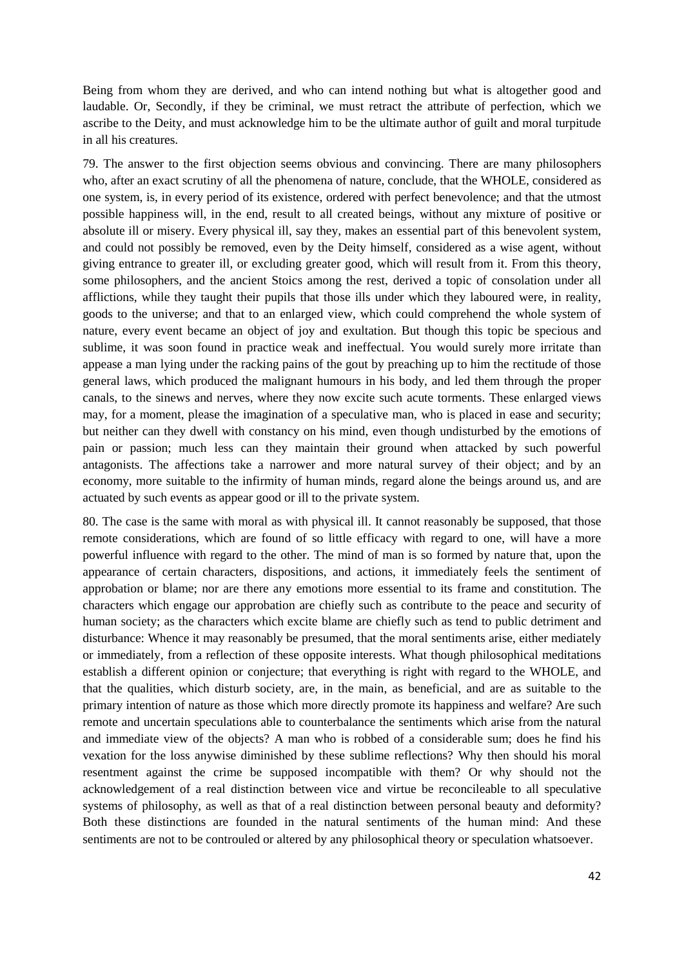Being from whom they are derived, and who can intend nothing but what is altogether good and laudable. Or, Secondly, if they be criminal, we must retract the attribute of perfection, which we ascribe to the Deity, and must acknowledge him to be the ultimate author of guilt and moral turpitude in all his creatures.

79. The answer to the first objection seems obvious and convincing. There are many philosophers who, after an exact scrutiny of all the phenomena of nature, conclude, that the WHOLE, considered as one system, is, in every period of its existence, ordered with perfect benevolence; and that the utmost possible happiness will, in the end, result to all created beings, without any mixture of positive or absolute ill or misery. Every physical ill, say they, makes an essential part of this benevolent system, and could not possibly be removed, even by the Deity himself, considered as a wise agent, without giving entrance to greater ill, or excluding greater good, which will result from it. From this theory, some philosophers, and the ancient Stoics among the rest, derived a topic of consolation under all afflictions, while they taught their pupils that those ills under which they laboured were, in reality, goods to the universe; and that to an enlarged view, which could comprehend the whole system of nature, every event became an object of joy and exultation. But though this topic be specious and sublime, it was soon found in practice weak and ineffectual. You would surely more irritate than appease a man lying under the racking pains of the gout by preaching up to him the rectitude of those general laws, which produced the malignant humours in his body, and led them through the proper canals, to the sinews and nerves, where they now excite such acute torments. These enlarged views may, for a moment, please the imagination of a speculative man, who is placed in ease and security; but neither can they dwell with constancy on his mind, even though undisturbed by the emotions of pain or passion; much less can they maintain their ground when attacked by such powerful antagonists. The affections take a narrower and more natural survey of their object; and by an economy, more suitable to the infirmity of human minds, regard alone the beings around us, and are actuated by such events as appear good or ill to the private system.

80. The case is the same with moral as with physical ill. It cannot reasonably be supposed, that those remote considerations, which are found of so little efficacy with regard to one, will have a more powerful influence with regard to the other. The mind of man is so formed by nature that, upon the appearance of certain characters, dispositions, and actions, it immediately feels the sentiment of approbation or blame; nor are there any emotions more essential to its frame and constitution. The characters which engage our approbation are chiefly such as contribute to the peace and security of human society; as the characters which excite blame are chiefly such as tend to public detriment and disturbance: Whence it may reasonably be presumed, that the moral sentiments arise, either mediately or immediately, from a reflection of these opposite interests. What though philosophical meditations establish a different opinion or conjecture; that everything is right with regard to the WHOLE, and that the qualities, which disturb society, are, in the main, as beneficial, and are as suitable to the primary intention of nature as those which more directly promote its happiness and welfare? Are such remote and uncertain speculations able to counterbalance the sentiments which arise from the natural and immediate view of the objects? A man who is robbed of a considerable sum; does he find his vexation for the loss anywise diminished by these sublime reflections? Why then should his moral resentment against the crime be supposed incompatible with them? Or why should not the acknowledgement of a real distinction between vice and virtue be reconcileable to all speculative systems of philosophy, as well as that of a real distinction between personal beauty and deformity? Both these distinctions are founded in the natural sentiments of the human mind: And these sentiments are not to be controuled or altered by any philosophical theory or speculation whatsoever.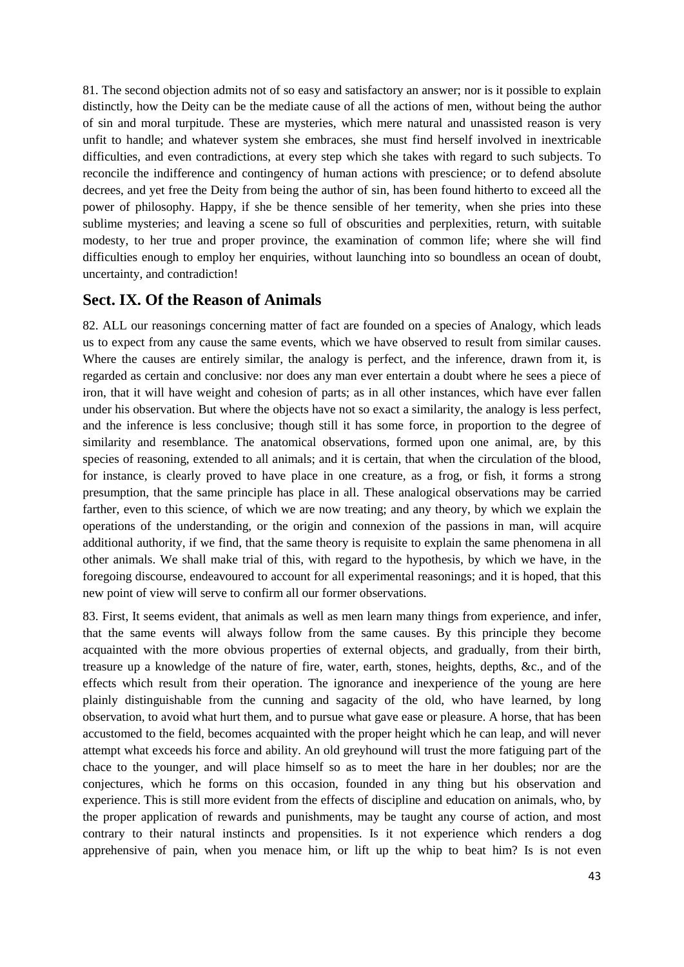81. The second objection admits not of so easy and satisfactory an answer; nor is it possible to explain distinctly, how the Deity can be the mediate cause of all the actions of men, without being the author of sin and moral turpitude. These are mysteries, which mere natural and unassisted reason is very unfit to handle; and whatever system she embraces, she must find herself involved in inextricable difficulties, and even contradictions, at every step which she takes with regard to such subjects. To reconcile the indifference and contingency of human actions with prescience; or to defend absolute decrees, and yet free the Deity from being the author of sin, has been found hitherto to exceed all the power of philosophy. Happy, if she be thence sensible of her temerity, when she pries into these sublime mysteries; and leaving a scene so full of obscurities and perplexities, return, with suitable modesty, to her true and proper province, the examination of common life; where she will find difficulties enough to employ her enquiries, without launching into so boundless an ocean of doubt, uncertainty, and contradiction!

## **Sect. IX. Of the Reason of Animals**

82. ALL our reasonings concerning matter of fact are founded on a species of Analogy, which leads us to expect from any cause the same events, which we have observed to result from similar causes. Where the causes are entirely similar, the analogy is perfect, and the inference, drawn from it, is regarded as certain and conclusive: nor does any man ever entertain a doubt where he sees a piece of iron, that it will have weight and cohesion of parts; as in all other instances, which have ever fallen under his observation. But where the objects have not so exact a similarity, the analogy is less perfect, and the inference is less conclusive; though still it has some force, in proportion to the degree of similarity and resemblance. The anatomical observations, formed upon one animal, are, by this species of reasoning, extended to all animals; and it is certain, that when the circulation of the blood, for instance, is clearly proved to have place in one creature, as a frog, or fish, it forms a strong presumption, that the same principle has place in all. These analogical observations may be carried farther, even to this science, of which we are now treating; and any theory, by which we explain the operations of the understanding, or the origin and connexion of the passions in man, will acquire additional authority, if we find, that the same theory is requisite to explain the same phenomena in all other animals. We shall make trial of this, with regard to the hypothesis, by which we have, in the foregoing discourse, endeavoured to account for all experimental reasonings; and it is hoped, that this new point of view will serve to confirm all our former observations.

83. First, It seems evident, that animals as well as men learn many things from experience, and infer, that the same events will always follow from the same causes. By this principle they become acquainted with the more obvious properties of external objects, and gradually, from their birth, treasure up a knowledge of the nature of fire, water, earth, stones, heights, depths, &c., and of the effects which result from their operation. The ignorance and inexperience of the young are here plainly distinguishable from the cunning and sagacity of the old, who have learned, by long observation, to avoid what hurt them, and to pursue what gave ease or pleasure. A horse, that has been accustomed to the field, becomes acquainted with the proper height which he can leap, and will never attempt what exceeds his force and ability. An old greyhound will trust the more fatiguing part of the chace to the younger, and will place himself so as to meet the hare in her doubles; nor are the conjectures, which he forms on this occasion, founded in any thing but his observation and experience. This is still more evident from the effects of discipline and education on animals, who, by the proper application of rewards and punishments, may be taught any course of action, and most contrary to their natural instincts and propensities. Is it not experience which renders a dog apprehensive of pain, when you menace him, or lift up the whip to beat him? Is is not even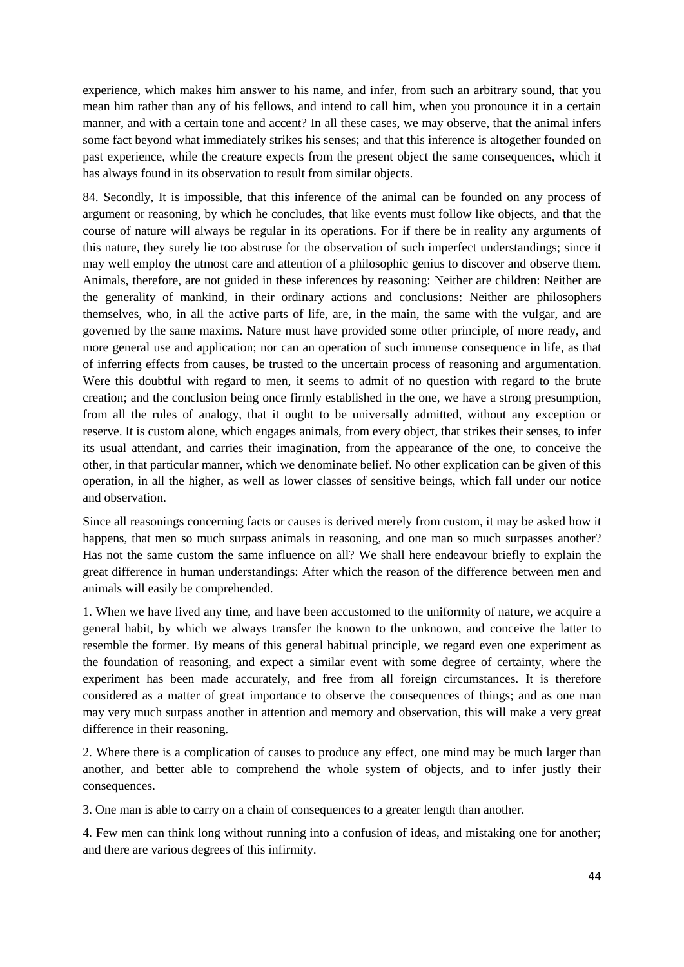experience, which makes him answer to his name, and infer, from such an arbitrary sound, that you mean him rather than any of his fellows, and intend to call him, when you pronounce it in a certain manner, and with a certain tone and accent? In all these cases, we may observe, that the animal infers some fact beyond what immediately strikes his senses; and that this inference is altogether founded on past experience, while the creature expects from the present object the same consequences, which it has always found in its observation to result from similar objects.

84. Secondly, It is impossible, that this inference of the animal can be founded on any process of argument or reasoning, by which he concludes, that like events must follow like objects, and that the course of nature will always be regular in its operations. For if there be in reality any arguments of this nature, they surely lie too abstruse for the observation of such imperfect understandings; since it may well employ the utmost care and attention of a philosophic genius to discover and observe them. Animals, therefore, are not guided in these inferences by reasoning: Neither are children: Neither are the generality of mankind, in their ordinary actions and conclusions: Neither are philosophers themselves, who, in all the active parts of life, are, in the main, the same with the vulgar, and are governed by the same maxims. Nature must have provided some other principle, of more ready, and more general use and application; nor can an operation of such immense consequence in life, as that of inferring effects from causes, be trusted to the uncertain process of reasoning and argumentation. Were this doubtful with regard to men, it seems to admit of no question with regard to the brute creation; and the conclusion being once firmly established in the one, we have a strong presumption, from all the rules of analogy, that it ought to be universally admitted, without any exception or reserve. It is custom alone, which engages animals, from every object, that strikes their senses, to infer its usual attendant, and carries their imagination, from the appearance of the one, to conceive the other, in that particular manner, which we denominate belief. No other explication can be given of this operation, in all the higher, as well as lower classes of sensitive beings, which fall under our notice and observation.

Since all reasonings concerning facts or causes is derived merely from custom, it may be asked how it happens, that men so much surpass animals in reasoning, and one man so much surpasses another? Has not the same custom the same influence on all? We shall here endeavour briefly to explain the great difference in human understandings: After which the reason of the difference between men and animals will easily be comprehended.

1. When we have lived any time, and have been accustomed to the uniformity of nature, we acquire a general habit, by which we always transfer the known to the unknown, and conceive the latter to resemble the former. By means of this general habitual principle, we regard even one experiment as the foundation of reasoning, and expect a similar event with some degree of certainty, where the experiment has been made accurately, and free from all foreign circumstances. It is therefore considered as a matter of great importance to observe the consequences of things; and as one man may very much surpass another in attention and memory and observation, this will make a very great difference in their reasoning.

2. Where there is a complication of causes to produce any effect, one mind may be much larger than another, and better able to comprehend the whole system of objects, and to infer justly their consequences.

3. One man is able to carry on a chain of consequences to a greater length than another.

4. Few men can think long without running into a confusion of ideas, and mistaking one for another; and there are various degrees of this infirmity.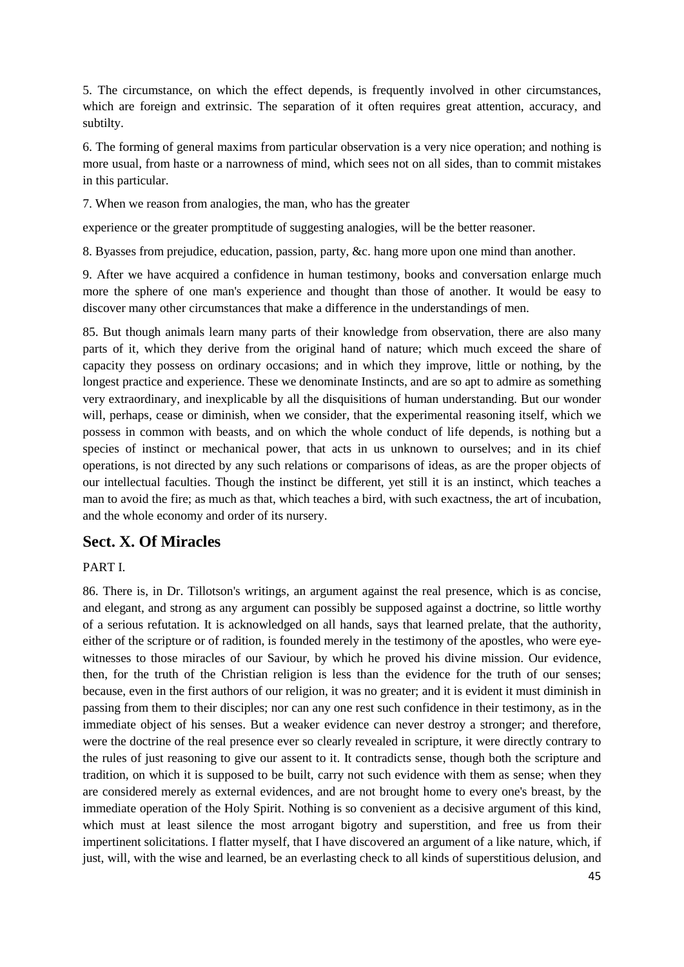5. The circumstance, on which the effect depends, is frequently involved in other circumstances, which are foreign and extrinsic. The separation of it often requires great attention, accuracy, and subtilty.

6. The forming of general maxims from particular observation is a very nice operation; and nothing is more usual, from haste or a narrowness of mind, which sees not on all sides, than to commit mistakes in this particular.

7. When we reason from analogies, the man, who has the greater

experience or the greater promptitude of suggesting analogies, will be the better reasoner.

8. Byasses from prejudice, education, passion, party, &c. hang more upon one mind than another.

9. After we have acquired a confidence in human testimony, books and conversation enlarge much more the sphere of one man's experience and thought than those of another. It would be easy to discover many other circumstances that make a difference in the understandings of men.

85. But though animals learn many parts of their knowledge from observation, there are also many parts of it, which they derive from the original hand of nature; which much exceed the share of capacity they possess on ordinary occasions; and in which they improve, little or nothing, by the longest practice and experience. These we denominate Instincts, and are so apt to admire as something very extraordinary, and inexplicable by all the disquisitions of human understanding. But our wonder will, perhaps, cease or diminish, when we consider, that the experimental reasoning itself, which we possess in common with beasts, and on which the whole conduct of life depends, is nothing but a species of instinct or mechanical power, that acts in us unknown to ourselves; and in its chief operations, is not directed by any such relations or comparisons of ideas, as are the proper objects of our intellectual faculties. Though the instinct be different, yet still it is an instinct, which teaches a man to avoid the fire; as much as that, which teaches a bird, with such exactness, the art of incubation, and the whole economy and order of its nursery.

## **Sect. X. Of Miracles**

## PART I.

86. There is, in Dr. Tillotson's writings, an argument against the real presence, which is as concise, and elegant, and strong as any argument can possibly be supposed against a doctrine, so little worthy of a serious refutation. It is acknowledged on all hands, says that learned prelate, that the authority, either of the scripture or of radition, is founded merely in the testimony of the apostles, who were eyewitnesses to those miracles of our Saviour, by which he proved his divine mission. Our evidence, then, for the truth of the Christian religion is less than the evidence for the truth of our senses; because, even in the first authors of our religion, it was no greater; and it is evident it must diminish in passing from them to their disciples; nor can any one rest such confidence in their testimony, as in the immediate object of his senses. But a weaker evidence can never destroy a stronger; and therefore, were the doctrine of the real presence ever so clearly revealed in scripture, it were directly contrary to the rules of just reasoning to give our assent to it. It contradicts sense, though both the scripture and tradition, on which it is supposed to be built, carry not such evidence with them as sense; when they are considered merely as external evidences, and are not brought home to every one's breast, by the immediate operation of the Holy Spirit. Nothing is so convenient as a decisive argument of this kind, which must at least silence the most arrogant bigotry and superstition, and free us from their impertinent solicitations. I flatter myself, that I have discovered an argument of a like nature, which, if just, will, with the wise and learned, be an everlasting check to all kinds of superstitious delusion, and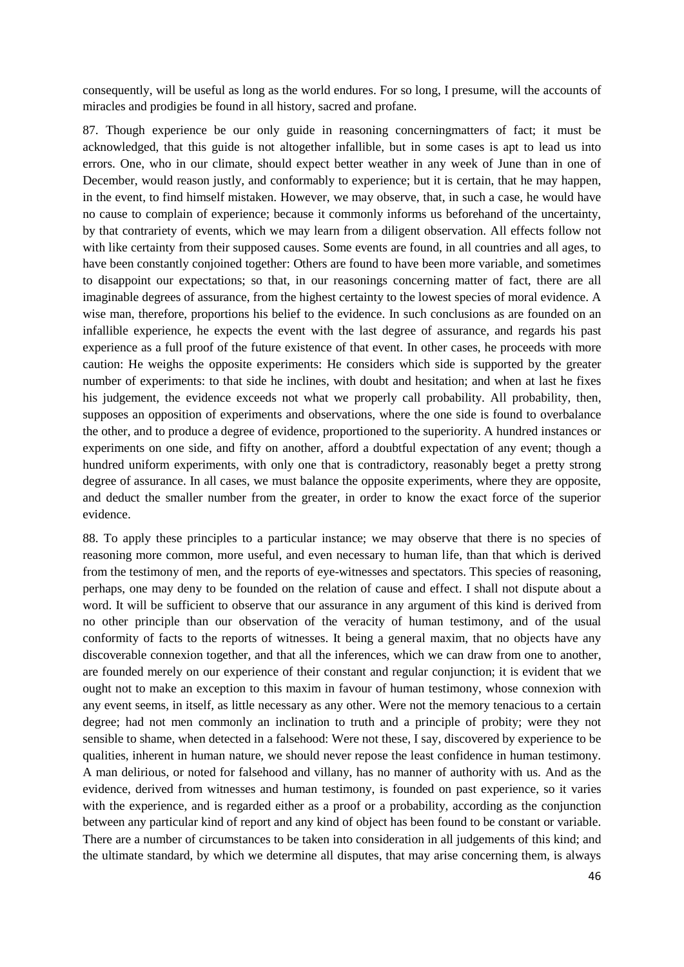consequently, will be useful as long as the world endures. For so long, I presume, will the accounts of miracles and prodigies be found in all history, sacred and profane.

87. Though experience be our only guide in reasoning concerningmatters of fact; it must be acknowledged, that this guide is not altogether infallible, but in some cases is apt to lead us into errors. One, who in our climate, should expect better weather in any week of June than in one of December, would reason justly, and conformably to experience; but it is certain, that he may happen, in the event, to find himself mistaken. However, we may observe, that, in such a case, he would have no cause to complain of experience; because it commonly informs us beforehand of the uncertainty, by that contrariety of events, which we may learn from a diligent observation. All effects follow not with like certainty from their supposed causes. Some events are found, in all countries and all ages, to have been constantly conjoined together: Others are found to have been more variable, and sometimes to disappoint our expectations; so that, in our reasonings concerning matter of fact, there are all imaginable degrees of assurance, from the highest certainty to the lowest species of moral evidence. A wise man, therefore, proportions his belief to the evidence. In such conclusions as are founded on an infallible experience, he expects the event with the last degree of assurance, and regards his past experience as a full proof of the future existence of that event. In other cases, he proceeds with more caution: He weighs the opposite experiments: He considers which side is supported by the greater number of experiments: to that side he inclines, with doubt and hesitation; and when at last he fixes his judgement, the evidence exceeds not what we properly call probability. All probability, then, supposes an opposition of experiments and observations, where the one side is found to overbalance the other, and to produce a degree of evidence, proportioned to the superiority. A hundred instances or experiments on one side, and fifty on another, afford a doubtful expectation of any event; though a hundred uniform experiments, with only one that is contradictory, reasonably beget a pretty strong degree of assurance. In all cases, we must balance the opposite experiments, where they are opposite, and deduct the smaller number from the greater, in order to know the exact force of the superior evidence.

88. To apply these principles to a particular instance; we may observe that there is no species of reasoning more common, more useful, and even necessary to human life, than that which is derived from the testimony of men, and the reports of eye-witnesses and spectators. This species of reasoning, perhaps, one may deny to be founded on the relation of cause and effect. I shall not dispute about a word. It will be sufficient to observe that our assurance in any argument of this kind is derived from no other principle than our observation of the veracity of human testimony, and of the usual conformity of facts to the reports of witnesses. It being a general maxim, that no objects have any discoverable connexion together, and that all the inferences, which we can draw from one to another, are founded merely on our experience of their constant and regular conjunction; it is evident that we ought not to make an exception to this maxim in favour of human testimony, whose connexion with any event seems, in itself, as little necessary as any other. Were not the memory tenacious to a certain degree; had not men commonly an inclination to truth and a principle of probity; were they not sensible to shame, when detected in a falsehood: Were not these, I say, discovered by experience to be qualities, inherent in human nature, we should never repose the least confidence in human testimony. A man delirious, or noted for falsehood and villany, has no manner of authority with us. And as the evidence, derived from witnesses and human testimony, is founded on past experience, so it varies with the experience, and is regarded either as a proof or a probability, according as the conjunction between any particular kind of report and any kind of object has been found to be constant or variable. There are a number of circumstances to be taken into consideration in all judgements of this kind; and the ultimate standard, by which we determine all disputes, that may arise concerning them, is always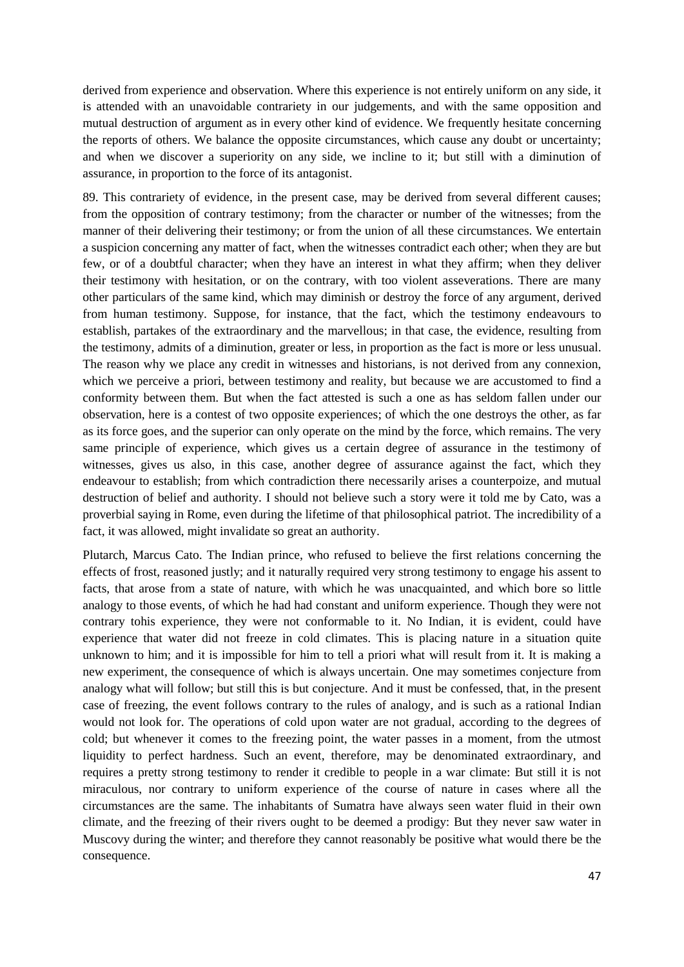derived from experience and observation. Where this experience is not entirely uniform on any side, it is attended with an unavoidable contrariety in our judgements, and with the same opposition and mutual destruction of argument as in every other kind of evidence. We frequently hesitate concerning the reports of others. We balance the opposite circumstances, which cause any doubt or uncertainty; and when we discover a superiority on any side, we incline to it; but still with a diminution of assurance, in proportion to the force of its antagonist.

89. This contrariety of evidence, in the present case, may be derived from several different causes; from the opposition of contrary testimony; from the character or number of the witnesses; from the manner of their delivering their testimony; or from the union of all these circumstances. We entertain a suspicion concerning any matter of fact, when the witnesses contradict each other; when they are but few, or of a doubtful character; when they have an interest in what they affirm; when they deliver their testimony with hesitation, or on the contrary, with too violent asseverations. There are many other particulars of the same kind, which may diminish or destroy the force of any argument, derived from human testimony. Suppose, for instance, that the fact, which the testimony endeavours to establish, partakes of the extraordinary and the marvellous; in that case, the evidence, resulting from the testimony, admits of a diminution, greater or less, in proportion as the fact is more or less unusual. The reason why we place any credit in witnesses and historians, is not derived from any connexion, which we perceive a priori, between testimony and reality, but because we are accustomed to find a conformity between them. But when the fact attested is such a one as has seldom fallen under our observation, here is a contest of two opposite experiences; of which the one destroys the other, as far as its force goes, and the superior can only operate on the mind by the force, which remains. The very same principle of experience, which gives us a certain degree of assurance in the testimony of witnesses, gives us also, in this case, another degree of assurance against the fact, which they endeavour to establish; from which contradiction there necessarily arises a counterpoize, and mutual destruction of belief and authority. I should not believe such a story were it told me by Cato, was a proverbial saying in Rome, even during the lifetime of that philosophical patriot. The incredibility of a fact, it was allowed, might invalidate so great an authority.

Plutarch, Marcus Cato. The Indian prince, who refused to believe the first relations concerning the effects of frost, reasoned justly; and it naturally required very strong testimony to engage his assent to facts, that arose from a state of nature, with which he was unacquainted, and which bore so little analogy to those events, of which he had had constant and uniform experience. Though they were not contrary tohis experience, they were not conformable to it. No Indian, it is evident, could have experience that water did not freeze in cold climates. This is placing nature in a situation quite unknown to him; and it is impossible for him to tell a priori what will result from it. It is making a new experiment, the consequence of which is always uncertain. One may sometimes conjecture from analogy what will follow; but still this is but conjecture. And it must be confessed, that, in the present case of freezing, the event follows contrary to the rules of analogy, and is such as a rational Indian would not look for. The operations of cold upon water are not gradual, according to the degrees of cold; but whenever it comes to the freezing point, the water passes in a moment, from the utmost liquidity to perfect hardness. Such an event, therefore, may be denominated extraordinary, and requires a pretty strong testimony to render it credible to people in a war climate: But still it is not miraculous, nor contrary to uniform experience of the course of nature in cases where all the circumstances are the same. The inhabitants of Sumatra have always seen water fluid in their own climate, and the freezing of their rivers ought to be deemed a prodigy: But they never saw water in Muscovy during the winter; and therefore they cannot reasonably be positive what would there be the consequence.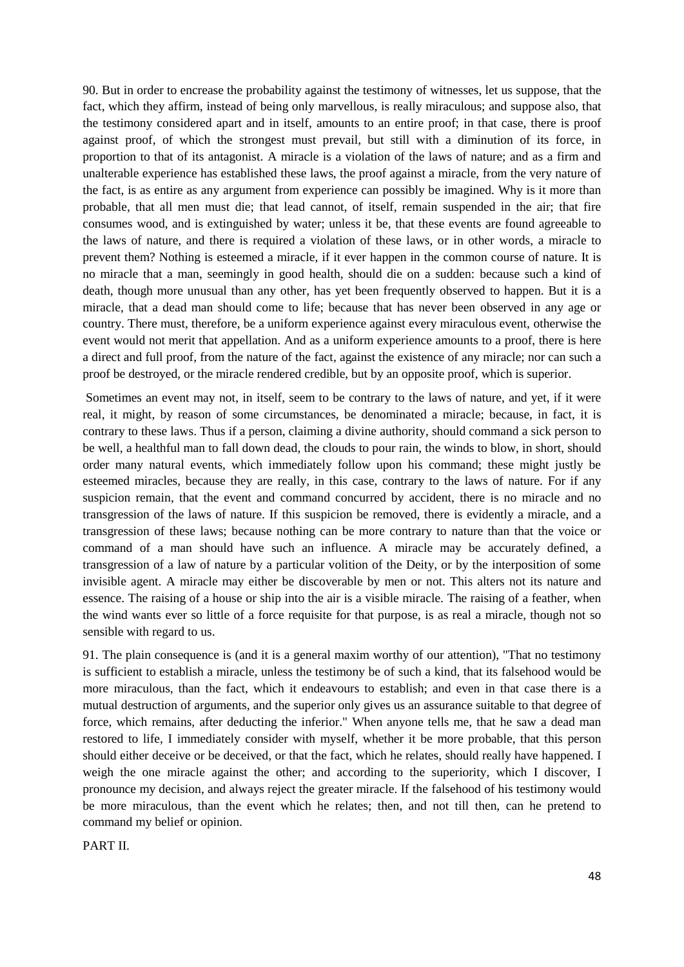90. But in order to encrease the probability against the testimony of witnesses, let us suppose, that the fact, which they affirm, instead of being only marvellous, is really miraculous; and suppose also, that the testimony considered apart and in itself, amounts to an entire proof; in that case, there is proof against proof, of which the strongest must prevail, but still with a diminution of its force, in proportion to that of its antagonist. A miracle is a violation of the laws of nature; and as a firm and unalterable experience has established these laws, the proof against a miracle, from the very nature of the fact, is as entire as any argument from experience can possibly be imagined. Why is it more than probable, that all men must die; that lead cannot, of itself, remain suspended in the air; that fire consumes wood, and is extinguished by water; unless it be, that these events are found agreeable to the laws of nature, and there is required a violation of these laws, or in other words, a miracle to prevent them? Nothing is esteemed a miracle, if it ever happen in the common course of nature. It is no miracle that a man, seemingly in good health, should die on a sudden: because such a kind of death, though more unusual than any other, has yet been frequently observed to happen. But it is a miracle, that a dead man should come to life; because that has never been observed in any age or country. There must, therefore, be a uniform experience against every miraculous event, otherwise the event would not merit that appellation. And as a uniform experience amounts to a proof, there is here a direct and full proof, from the nature of the fact, against the existence of any miracle; nor can such a proof be destroyed, or the miracle rendered credible, but by an opposite proof, which is superior.

Sometimes an event may not, in itself, seem to be contrary to the laws of nature, and yet, if it were real, it might, by reason of some circumstances, be denominated a miracle; because, in fact, it is contrary to these laws. Thus if a person, claiming a divine authority, should command a sick person to be well, a healthful man to fall down dead, the clouds to pour rain, the winds to blow, in short, should order many natural events, which immediately follow upon his command; these might justly be esteemed miracles, because they are really, in this case, contrary to the laws of nature. For if any suspicion remain, that the event and command concurred by accident, there is no miracle and no transgression of the laws of nature. If this suspicion be removed, there is evidently a miracle, and a transgression of these laws; because nothing can be more contrary to nature than that the voice or command of a man should have such an influence. A miracle may be accurately defined, a transgression of a law of nature by a particular volition of the Deity, or by the interposition of some invisible agent. A miracle may either be discoverable by men or not. This alters not its nature and essence. The raising of a house or ship into the air is a visible miracle. The raising of a feather, when the wind wants ever so little of a force requisite for that purpose, is as real a miracle, though not so sensible with regard to us.

91. The plain consequence is (and it is a general maxim worthy of our attention), "That no testimony is sufficient to establish a miracle, unless the testimony be of such a kind, that its falsehood would be more miraculous, than the fact, which it endeavours to establish; and even in that case there is a mutual destruction of arguments, and the superior only gives us an assurance suitable to that degree of force, which remains, after deducting the inferior." When anyone tells me, that he saw a dead man restored to life, I immediately consider with myself, whether it be more probable, that this person should either deceive or be deceived, or that the fact, which he relates, should really have happened. I weigh the one miracle against the other; and according to the superiority, which I discover, I pronounce my decision, and always reject the greater miracle. If the falsehood of his testimony would be more miraculous, than the event which he relates; then, and not till then, can he pretend to command my belief or opinion.

PART II.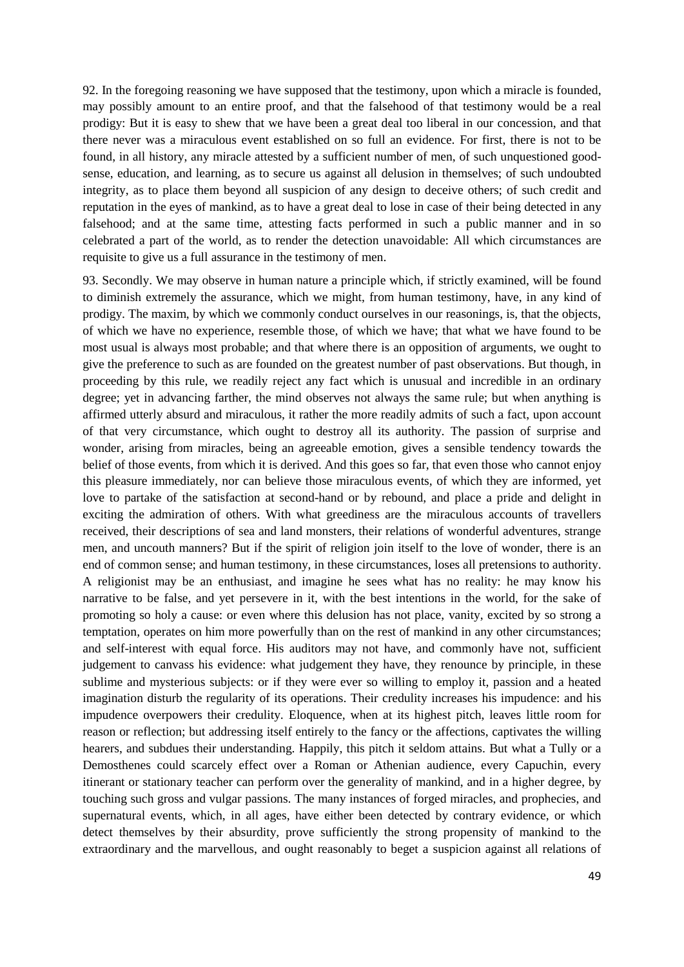92. In the foregoing reasoning we have supposed that the testimony, upon which a miracle is founded, may possibly amount to an entire proof, and that the falsehood of that testimony would be a real prodigy: But it is easy to shew that we have been a great deal too liberal in our concession, and that there never was a miraculous event established on so full an evidence. For first, there is not to be found, in all history, any miracle attested by a sufficient number of men, of such unquestioned goodsense, education, and learning, as to secure us against all delusion in themselves; of such undoubted integrity, as to place them beyond all suspicion of any design to deceive others; of such credit and reputation in the eyes of mankind, as to have a great deal to lose in case of their being detected in any falsehood; and at the same time, attesting facts performed in such a public manner and in so celebrated a part of the world, as to render the detection unavoidable: All which circumstances are requisite to give us a full assurance in the testimony of men.

93. Secondly. We may observe in human nature a principle which, if strictly examined, will be found to diminish extremely the assurance, which we might, from human testimony, have, in any kind of prodigy. The maxim, by which we commonly conduct ourselves in our reasonings, is, that the objects, of which we have no experience, resemble those, of which we have; that what we have found to be most usual is always most probable; and that where there is an opposition of arguments, we ought to give the preference to such as are founded on the greatest number of past observations. But though, in proceeding by this rule, we readily reject any fact which is unusual and incredible in an ordinary degree; yet in advancing farther, the mind observes not always the same rule; but when anything is affirmed utterly absurd and miraculous, it rather the more readily admits of such a fact, upon account of that very circumstance, which ought to destroy all its authority. The passion of surprise and wonder, arising from miracles, being an agreeable emotion, gives a sensible tendency towards the belief of those events, from which it is derived. And this goes so far, that even those who cannot enjoy this pleasure immediately, nor can believe those miraculous events, of which they are informed, yet love to partake of the satisfaction at second-hand or by rebound, and place a pride and delight in exciting the admiration of others. With what greediness are the miraculous accounts of travellers received, their descriptions of sea and land monsters, their relations of wonderful adventures, strange men, and uncouth manners? But if the spirit of religion join itself to the love of wonder, there is an end of common sense; and human testimony, in these circumstances, loses all pretensions to authority. A religionist may be an enthusiast, and imagine he sees what has no reality: he may know his narrative to be false, and yet persevere in it, with the best intentions in the world, for the sake of promoting so holy a cause: or even where this delusion has not place, vanity, excited by so strong a temptation, operates on him more powerfully than on the rest of mankind in any other circumstances; and self-interest with equal force. His auditors may not have, and commonly have not, sufficient judgement to canvass his evidence: what judgement they have, they renounce by principle, in these sublime and mysterious subjects: or if they were ever so willing to employ it, passion and a heated imagination disturb the regularity of its operations. Their credulity increases his impudence: and his impudence overpowers their credulity. Eloquence, when at its highest pitch, leaves little room for reason or reflection; but addressing itself entirely to the fancy or the affections, captivates the willing hearers, and subdues their understanding. Happily, this pitch it seldom attains. But what a Tully or a Demosthenes could scarcely effect over a Roman or Athenian audience, every Capuchin, every itinerant or stationary teacher can perform over the generality of mankind, and in a higher degree, by touching such gross and vulgar passions. The many instances of forged miracles, and prophecies, and supernatural events, which, in all ages, have either been detected by contrary evidence, or which detect themselves by their absurdity, prove sufficiently the strong propensity of mankind to the extraordinary and the marvellous, and ought reasonably to beget a suspicion against all relations of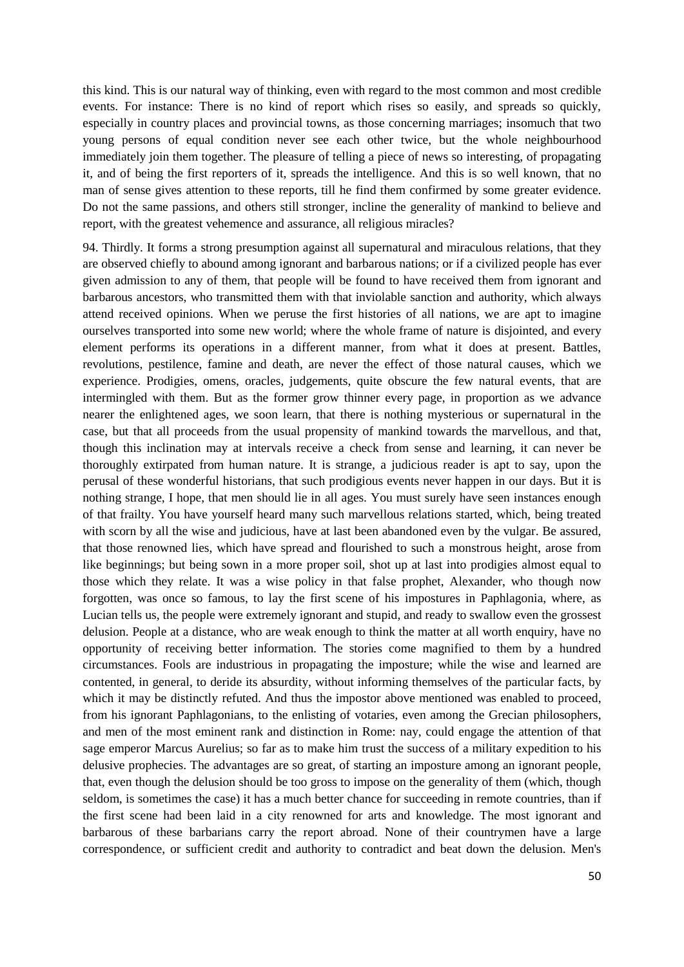this kind. This is our natural way of thinking, even with regard to the most common and most credible events. For instance: There is no kind of report which rises so easily, and spreads so quickly, especially in country places and provincial towns, as those concerning marriages; insomuch that two young persons of equal condition never see each other twice, but the whole neighbourhood immediately join them together. The pleasure of telling a piece of news so interesting, of propagating it, and of being the first reporters of it, spreads the intelligence. And this is so well known, that no man of sense gives attention to these reports, till he find them confirmed by some greater evidence. Do not the same passions, and others still stronger, incline the generality of mankind to believe and report, with the greatest vehemence and assurance, all religious miracles?

94. Thirdly. It forms a strong presumption against all supernatural and miraculous relations, that they are observed chiefly to abound among ignorant and barbarous nations; or if a civilized people has ever given admission to any of them, that people will be found to have received them from ignorant and barbarous ancestors, who transmitted them with that inviolable sanction and authority, which always attend received opinions. When we peruse the first histories of all nations, we are apt to imagine ourselves transported into some new world; where the whole frame of nature is disjointed, and every element performs its operations in a different manner, from what it does at present. Battles, revolutions, pestilence, famine and death, are never the effect of those natural causes, which we experience. Prodigies, omens, oracles, judgements, quite obscure the few natural events, that are intermingled with them. But as the former grow thinner every page, in proportion as we advance nearer the enlightened ages, we soon learn, that there is nothing mysterious or supernatural in the case, but that all proceeds from the usual propensity of mankind towards the marvellous, and that, though this inclination may at intervals receive a check from sense and learning, it can never be thoroughly extirpated from human nature. It is strange, a judicious reader is apt to say, upon the perusal of these wonderful historians, that such prodigious events never happen in our days. But it is nothing strange, I hope, that men should lie in all ages. You must surely have seen instances enough of that frailty. You have yourself heard many such marvellous relations started, which, being treated with scorn by all the wise and judicious, have at last been abandoned even by the vulgar. Be assured, that those renowned lies, which have spread and flourished to such a monstrous height, arose from like beginnings; but being sown in a more proper soil, shot up at last into prodigies almost equal to those which they relate. It was a wise policy in that false prophet, Alexander, who though now forgotten, was once so famous, to lay the first scene of his impostures in Paphlagonia, where, as Lucian tells us, the people were extremely ignorant and stupid, and ready to swallow even the grossest delusion. People at a distance, who are weak enough to think the matter at all worth enquiry, have no opportunity of receiving better information. The stories come magnified to them by a hundred circumstances. Fools are industrious in propagating the imposture; while the wise and learned are contented, in general, to deride its absurdity, without informing themselves of the particular facts, by which it may be distinctly refuted. And thus the impostor above mentioned was enabled to proceed, from his ignorant Paphlagonians, to the enlisting of votaries, even among the Grecian philosophers, and men of the most eminent rank and distinction in Rome: nay, could engage the attention of that sage emperor Marcus Aurelius; so far as to make him trust the success of a military expedition to his delusive prophecies. The advantages are so great, of starting an imposture among an ignorant people, that, even though the delusion should be too gross to impose on the generality of them (which, though seldom, is sometimes the case) it has a much better chance for succeeding in remote countries, than if the first scene had been laid in a city renowned for arts and knowledge. The most ignorant and barbarous of these barbarians carry the report abroad. None of their countrymen have a large correspondence, or sufficient credit and authority to contradict and beat down the delusion. Men's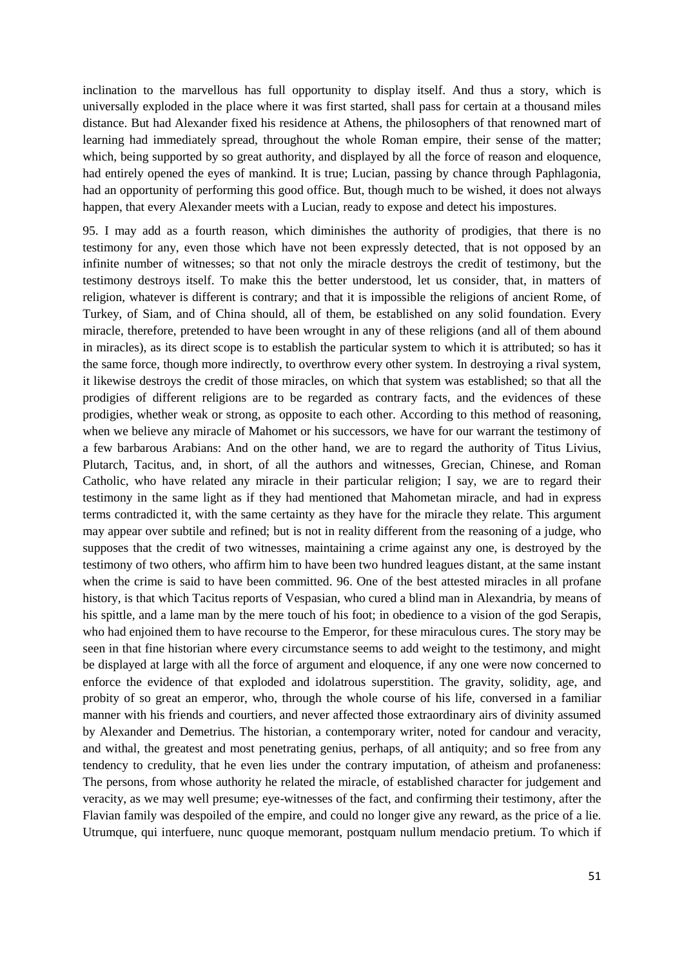inclination to the marvellous has full opportunity to display itself. And thus a story, which is universally exploded in the place where it was first started, shall pass for certain at a thousand miles distance. But had Alexander fixed his residence at Athens, the philosophers of that renowned mart of learning had immediately spread, throughout the whole Roman empire, their sense of the matter; which, being supported by so great authority, and displayed by all the force of reason and eloquence, had entirely opened the eyes of mankind. It is true; Lucian, passing by chance through Paphlagonia, had an opportunity of performing this good office. But, though much to be wished, it does not always happen, that every Alexander meets with a Lucian, ready to expose and detect his impostures.

95. I may add as a fourth reason, which diminishes the authority of prodigies, that there is no testimony for any, even those which have not been expressly detected, that is not opposed by an infinite number of witnesses; so that not only the miracle destroys the credit of testimony, but the testimony destroys itself. To make this the better understood, let us consider, that, in matters of religion, whatever is different is contrary; and that it is impossible the religions of ancient Rome, of Turkey, of Siam, and of China should, all of them, be established on any solid foundation. Every miracle, therefore, pretended to have been wrought in any of these religions (and all of them abound in miracles), as its direct scope is to establish the particular system to which it is attributed; so has it the same force, though more indirectly, to overthrow every other system. In destroying a rival system, it likewise destroys the credit of those miracles, on which that system was established; so that all the prodigies of different religions are to be regarded as contrary facts, and the evidences of these prodigies, whether weak or strong, as opposite to each other. According to this method of reasoning, when we believe any miracle of Mahomet or his successors, we have for our warrant the testimony of a few barbarous Arabians: And on the other hand, we are to regard the authority of Titus Livius, Plutarch, Tacitus, and, in short, of all the authors and witnesses, Grecian, Chinese, and Roman Catholic, who have related any miracle in their particular religion; I say, we are to regard their testimony in the same light as if they had mentioned that Mahometan miracle, and had in express terms contradicted it, with the same certainty as they have for the miracle they relate. This argument may appear over subtile and refined; but is not in reality different from the reasoning of a judge, who supposes that the credit of two witnesses, maintaining a crime against any one, is destroyed by the testimony of two others, who affirm him to have been two hundred leagues distant, at the same instant when the crime is said to have been committed. 96. One of the best attested miracles in all profane history, is that which Tacitus reports of Vespasian, who cured a blind man in Alexandria, by means of his spittle, and a lame man by the mere touch of his foot; in obedience to a vision of the god Serapis, who had enjoined them to have recourse to the Emperor, for these miraculous cures. The story may be seen in that fine historian where every circumstance seems to add weight to the testimony, and might be displayed at large with all the force of argument and eloquence, if any one were now concerned to enforce the evidence of that exploded and idolatrous superstition. The gravity, solidity, age, and probity of so great an emperor, who, through the whole course of his life, conversed in a familiar manner with his friends and courtiers, and never affected those extraordinary airs of divinity assumed by Alexander and Demetrius. The historian, a contemporary writer, noted for candour and veracity, and withal, the greatest and most penetrating genius, perhaps, of all antiquity; and so free from any tendency to credulity, that he even lies under the contrary imputation, of atheism and profaneness: The persons, from whose authority he related the miracle, of established character for judgement and veracity, as we may well presume; eye-witnesses of the fact, and confirming their testimony, after the Flavian family was despoiled of the empire, and could no longer give any reward, as the price of a lie. Utrumque, qui interfuere, nunc quoque memorant, postquam nullum mendacio pretium. To which if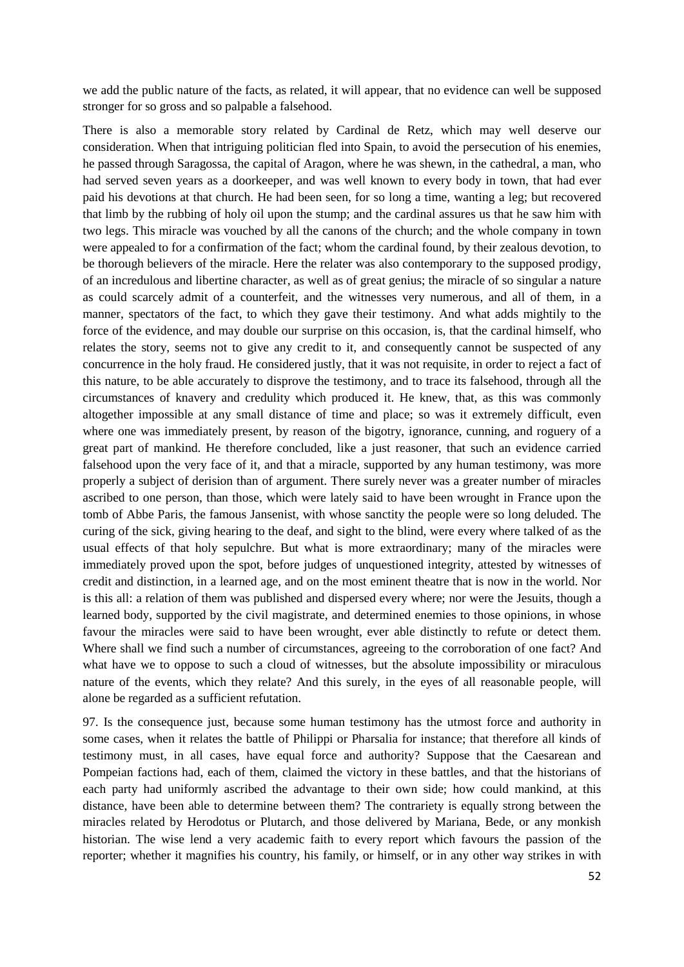we add the public nature of the facts, as related, it will appear, that no evidence can well be supposed stronger for so gross and so palpable a falsehood.

There is also a memorable story related by Cardinal de Retz, which may well deserve our consideration. When that intriguing politician fled into Spain, to avoid the persecution of his enemies, he passed through Saragossa, the capital of Aragon, where he was shewn, in the cathedral, a man, who had served seven years as a doorkeeper, and was well known to every body in town, that had ever paid his devotions at that church. He had been seen, for so long a time, wanting a leg; but recovered that limb by the rubbing of holy oil upon the stump; and the cardinal assures us that he saw him with two legs. This miracle was vouched by all the canons of the church; and the whole company in town were appealed to for a confirmation of the fact; whom the cardinal found, by their zealous devotion, to be thorough believers of the miracle. Here the relater was also contemporary to the supposed prodigy, of an incredulous and libertine character, as well as of great genius; the miracle of so singular a nature as could scarcely admit of a counterfeit, and the witnesses very numerous, and all of them, in a manner, spectators of the fact, to which they gave their testimony. And what adds mightily to the force of the evidence, and may double our surprise on this occasion, is, that the cardinal himself, who relates the story, seems not to give any credit to it, and consequently cannot be suspected of any concurrence in the holy fraud. He considered justly, that it was not requisite, in order to reject a fact of this nature, to be able accurately to disprove the testimony, and to trace its falsehood, through all the circumstances of knavery and credulity which produced it. He knew, that, as this was commonly altogether impossible at any small distance of time and place; so was it extremely difficult, even where one was immediately present, by reason of the bigotry, ignorance, cunning, and roguery of a great part of mankind. He therefore concluded, like a just reasoner, that such an evidence carried falsehood upon the very face of it, and that a miracle, supported by any human testimony, was more properly a subject of derision than of argument. There surely never was a greater number of miracles ascribed to one person, than those, which were lately said to have been wrought in France upon the tomb of Abbe Paris, the famous Jansenist, with whose sanctity the people were so long deluded. The curing of the sick, giving hearing to the deaf, and sight to the blind, were every where talked of as the usual effects of that holy sepulchre. But what is more extraordinary; many of the miracles were immediately proved upon the spot, before judges of unquestioned integrity, attested by witnesses of credit and distinction, in a learned age, and on the most eminent theatre that is now in the world. Nor is this all: a relation of them was published and dispersed every where; nor were the Jesuits, though a learned body, supported by the civil magistrate, and determined enemies to those opinions, in whose favour the miracles were said to have been wrought, ever able distinctly to refute or detect them. Where shall we find such a number of circumstances, agreeing to the corroboration of one fact? And what have we to oppose to such a cloud of witnesses, but the absolute impossibility or miraculous nature of the events, which they relate? And this surely, in the eyes of all reasonable people, will alone be regarded as a sufficient refutation.

97. Is the consequence just, because some human testimony has the utmost force and authority in some cases, when it relates the battle of Philippi or Pharsalia for instance; that therefore all kinds of testimony must, in all cases, have equal force and authority? Suppose that the Caesarean and Pompeian factions had, each of them, claimed the victory in these battles, and that the historians of each party had uniformly ascribed the advantage to their own side; how could mankind, at this distance, have been able to determine between them? The contrariety is equally strong between the miracles related by Herodotus or Plutarch, and those delivered by Mariana, Bede, or any monkish historian. The wise lend a very academic faith to every report which favours the passion of the reporter; whether it magnifies his country, his family, or himself, or in any other way strikes in with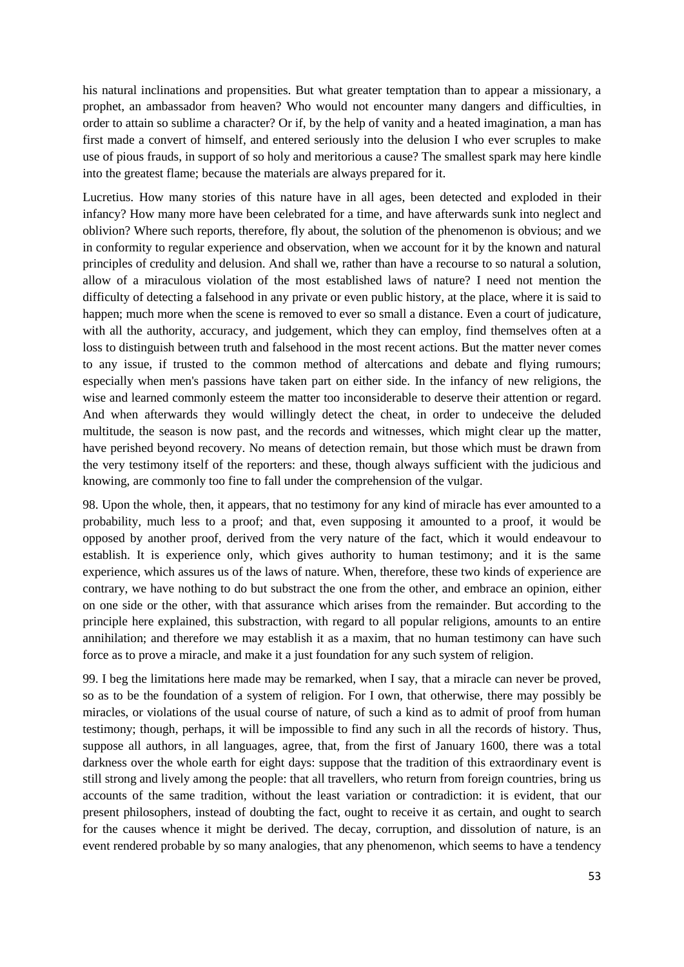his natural inclinations and propensities. But what greater temptation than to appear a missionary, a prophet, an ambassador from heaven? Who would not encounter many dangers and difficulties, in order to attain so sublime a character? Or if, by the help of vanity and a heated imagination, a man has first made a convert of himself, and entered seriously into the delusion I who ever scruples to make use of pious frauds, in support of so holy and meritorious a cause? The smallest spark may here kindle into the greatest flame; because the materials are always prepared for it.

Lucretius. How many stories of this nature have in all ages, been detected and exploded in their infancy? How many more have been celebrated for a time, and have afterwards sunk into neglect and oblivion? Where such reports, therefore, fly about, the solution of the phenomenon is obvious; and we in conformity to regular experience and observation, when we account for it by the known and natural principles of credulity and delusion. And shall we, rather than have a recourse to so natural a solution, allow of a miraculous violation of the most established laws of nature? I need not mention the difficulty of detecting a falsehood in any private or even public history, at the place, where it is said to happen; much more when the scene is removed to ever so small a distance. Even a court of judicature, with all the authority, accuracy, and judgement, which they can employ, find themselves often at a loss to distinguish between truth and falsehood in the most recent actions. But the matter never comes to any issue, if trusted to the common method of altercations and debate and flying rumours; especially when men's passions have taken part on either side. In the infancy of new religions, the wise and learned commonly esteem the matter too inconsiderable to deserve their attention or regard. And when afterwards they would willingly detect the cheat, in order to undeceive the deluded multitude, the season is now past, and the records and witnesses, which might clear up the matter, have perished beyond recovery. No means of detection remain, but those which must be drawn from the very testimony itself of the reporters: and these, though always sufficient with the judicious and knowing, are commonly too fine to fall under the comprehension of the vulgar.

98. Upon the whole, then, it appears, that no testimony for any kind of miracle has ever amounted to a probability, much less to a proof; and that, even supposing it amounted to a proof, it would be opposed by another proof, derived from the very nature of the fact, which it would endeavour to establish. It is experience only, which gives authority to human testimony; and it is the same experience, which assures us of the laws of nature. When, therefore, these two kinds of experience are contrary, we have nothing to do but substract the one from the other, and embrace an opinion, either on one side or the other, with that assurance which arises from the remainder. But according to the principle here explained, this substraction, with regard to all popular religions, amounts to an entire annihilation; and therefore we may establish it as a maxim, that no human testimony can have such force as to prove a miracle, and make it a just foundation for any such system of religion.

99. I beg the limitations here made may be remarked, when I say, that a miracle can never be proved, so as to be the foundation of a system of religion. For I own, that otherwise, there may possibly be miracles, or violations of the usual course of nature, of such a kind as to admit of proof from human testimony; though, perhaps, it will be impossible to find any such in all the records of history. Thus, suppose all authors, in all languages, agree, that, from the first of January 1600, there was a total darkness over the whole earth for eight days: suppose that the tradition of this extraordinary event is still strong and lively among the people: that all travellers, who return from foreign countries, bring us accounts of the same tradition, without the least variation or contradiction: it is evident, that our present philosophers, instead of doubting the fact, ought to receive it as certain, and ought to search for the causes whence it might be derived. The decay, corruption, and dissolution of nature, is an event rendered probable by so many analogies, that any phenomenon, which seems to have a tendency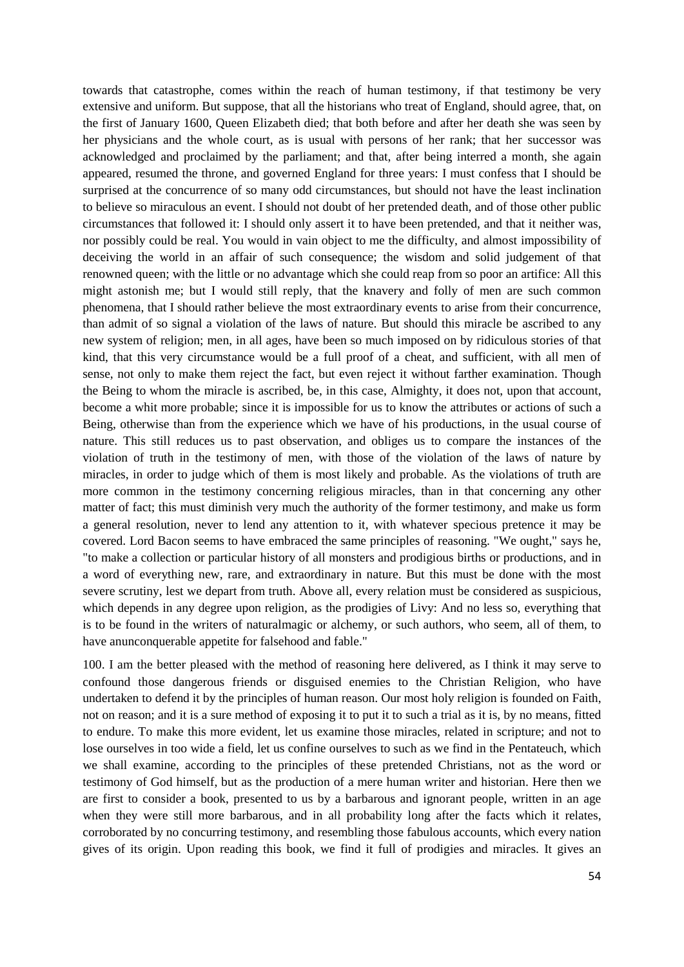towards that catastrophe, comes within the reach of human testimony, if that testimony be very extensive and uniform. But suppose, that all the historians who treat of England, should agree, that, on the first of January 1600, Queen Elizabeth died; that both before and after her death she was seen by her physicians and the whole court, as is usual with persons of her rank; that her successor was acknowledged and proclaimed by the parliament; and that, after being interred a month, she again appeared, resumed the throne, and governed England for three years: I must confess that I should be surprised at the concurrence of so many odd circumstances, but should not have the least inclination to believe so miraculous an event. I should not doubt of her pretended death, and of those other public circumstances that followed it: I should only assert it to have been pretended, and that it neither was, nor possibly could be real. You would in vain object to me the difficulty, and almost impossibility of deceiving the world in an affair of such consequence; the wisdom and solid judgement of that renowned queen; with the little or no advantage which she could reap from so poor an artifice: All this might astonish me; but I would still reply, that the knavery and folly of men are such common phenomena, that I should rather believe the most extraordinary events to arise from their concurrence, than admit of so signal a violation of the laws of nature. But should this miracle be ascribed to any new system of religion; men, in all ages, have been so much imposed on by ridiculous stories of that kind, that this very circumstance would be a full proof of a cheat, and sufficient, with all men of sense, not only to make them reject the fact, but even reject it without farther examination. Though the Being to whom the miracle is ascribed, be, in this case, Almighty, it does not, upon that account, become a whit more probable; since it is impossible for us to know the attributes or actions of such a Being, otherwise than from the experience which we have of his productions, in the usual course of nature. This still reduces us to past observation, and obliges us to compare the instances of the violation of truth in the testimony of men, with those of the violation of the laws of nature by miracles, in order to judge which of them is most likely and probable. As the violations of truth are more common in the testimony concerning religious miracles, than in that concerning any other matter of fact; this must diminish very much the authority of the former testimony, and make us form a general resolution, never to lend any attention to it, with whatever specious pretence it may be covered. Lord Bacon seems to have embraced the same principles of reasoning. "We ought," says he, "to make a collection or particular history of all monsters and prodigious births or productions, and in a word of everything new, rare, and extraordinary in nature. But this must be done with the most severe scrutiny, lest we depart from truth. Above all, every relation must be considered as suspicious, which depends in any degree upon religion, as the prodigies of Livy: And no less so, everything that is to be found in the writers of naturalmagic or alchemy, or such authors, who seem, all of them, to have anunconquerable appetite for falsehood and fable."

100. I am the better pleased with the method of reasoning here delivered, as I think it may serve to confound those dangerous friends or disguised enemies to the Christian Religion, who have undertaken to defend it by the principles of human reason. Our most holy religion is founded on Faith, not on reason; and it is a sure method of exposing it to put it to such a trial as it is, by no means, fitted to endure. To make this more evident, let us examine those miracles, related in scripture; and not to lose ourselves in too wide a field, let us confine ourselves to such as we find in the Pentateuch, which we shall examine, according to the principles of these pretended Christians, not as the word or testimony of God himself, but as the production of a mere human writer and historian. Here then we are first to consider a book, presented to us by a barbarous and ignorant people, written in an age when they were still more barbarous, and in all probability long after the facts which it relates, corroborated by no concurring testimony, and resembling those fabulous accounts, which every nation gives of its origin. Upon reading this book, we find it full of prodigies and miracles. It gives an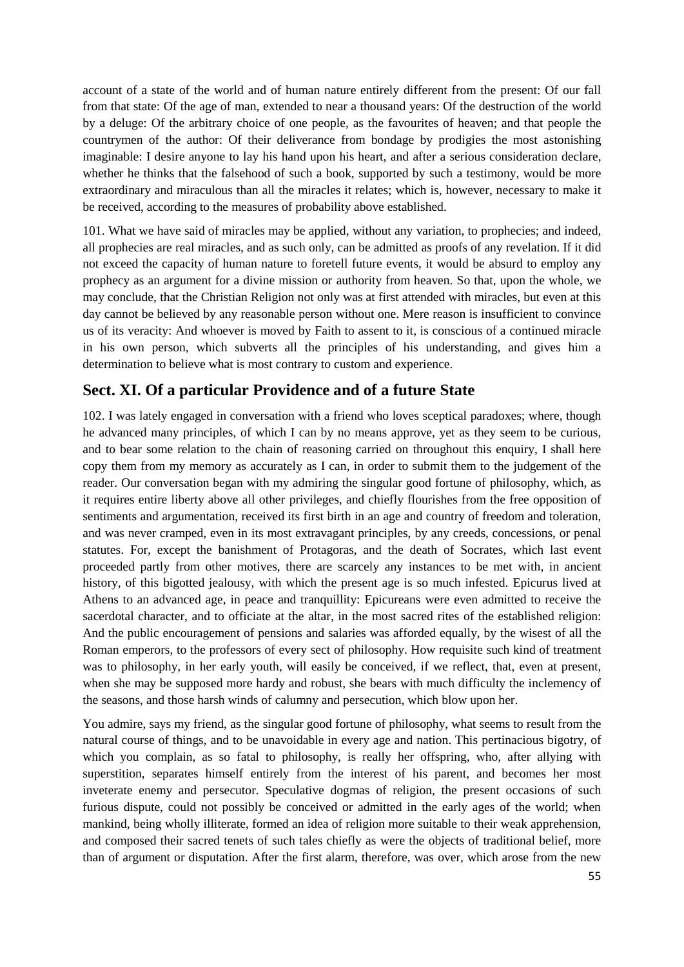account of a state of the world and of human nature entirely different from the present: Of our fall from that state: Of the age of man, extended to near a thousand years: Of the destruction of the world by a deluge: Of the arbitrary choice of one people, as the favourites of heaven; and that people the countrymen of the author: Of their deliverance from bondage by prodigies the most astonishing imaginable: I desire anyone to lay his hand upon his heart, and after a serious consideration declare, whether he thinks that the falsehood of such a book, supported by such a testimony, would be more extraordinary and miraculous than all the miracles it relates; which is, however, necessary to make it be received, according to the measures of probability above established.

101. What we have said of miracles may be applied, without any variation, to prophecies; and indeed, all prophecies are real miracles, and as such only, can be admitted as proofs of any revelation. If it did not exceed the capacity of human nature to foretell future events, it would be absurd to employ any prophecy as an argument for a divine mission or authority from heaven. So that, upon the whole, we may conclude, that the Christian Religion not only was at first attended with miracles, but even at this day cannot be believed by any reasonable person without one. Mere reason is insufficient to convince us of its veracity: And whoever is moved by Faith to assent to it, is conscious of a continued miracle in his own person, which subverts all the principles of his understanding, and gives him a determination to believe what is most contrary to custom and experience.

## **Sect. XI. Of a particular Providence and of a future State**

102. I was lately engaged in conversation with a friend who loves sceptical paradoxes; where, though he advanced many principles, of which I can by no means approve, yet as they seem to be curious, and to bear some relation to the chain of reasoning carried on throughout this enquiry, I shall here copy them from my memory as accurately as I can, in order to submit them to the judgement of the reader. Our conversation began with my admiring the singular good fortune of philosophy, which, as it requires entire liberty above all other privileges, and chiefly flourishes from the free opposition of sentiments and argumentation, received its first birth in an age and country of freedom and toleration, and was never cramped, even in its most extravagant principles, by any creeds, concessions, or penal statutes. For, except the banishment of Protagoras, and the death of Socrates, which last event proceeded partly from other motives, there are scarcely any instances to be met with, in ancient history, of this bigotted jealousy, with which the present age is so much infested. Epicurus lived at Athens to an advanced age, in peace and tranquillity: Epicureans were even admitted to receive the sacerdotal character, and to officiate at the altar, in the most sacred rites of the established religion: And the public encouragement of pensions and salaries was afforded equally, by the wisest of all the Roman emperors, to the professors of every sect of philosophy. How requisite such kind of treatment was to philosophy, in her early youth, will easily be conceived, if we reflect, that, even at present, when she may be supposed more hardy and robust, she bears with much difficulty the inclemency of the seasons, and those harsh winds of calumny and persecution, which blow upon her.

You admire, says my friend, as the singular good fortune of philosophy, what seems to result from the natural course of things, and to be unavoidable in every age and nation. This pertinacious bigotry, of which you complain, as so fatal to philosophy, is really her offspring, who, after allying with superstition, separates himself entirely from the interest of his parent, and becomes her most inveterate enemy and persecutor. Speculative dogmas of religion, the present occasions of such furious dispute, could not possibly be conceived or admitted in the early ages of the world; when mankind, being wholly illiterate, formed an idea of religion more suitable to their weak apprehension, and composed their sacred tenets of such tales chiefly as were the objects of traditional belief, more than of argument or disputation. After the first alarm, therefore, was over, which arose from the new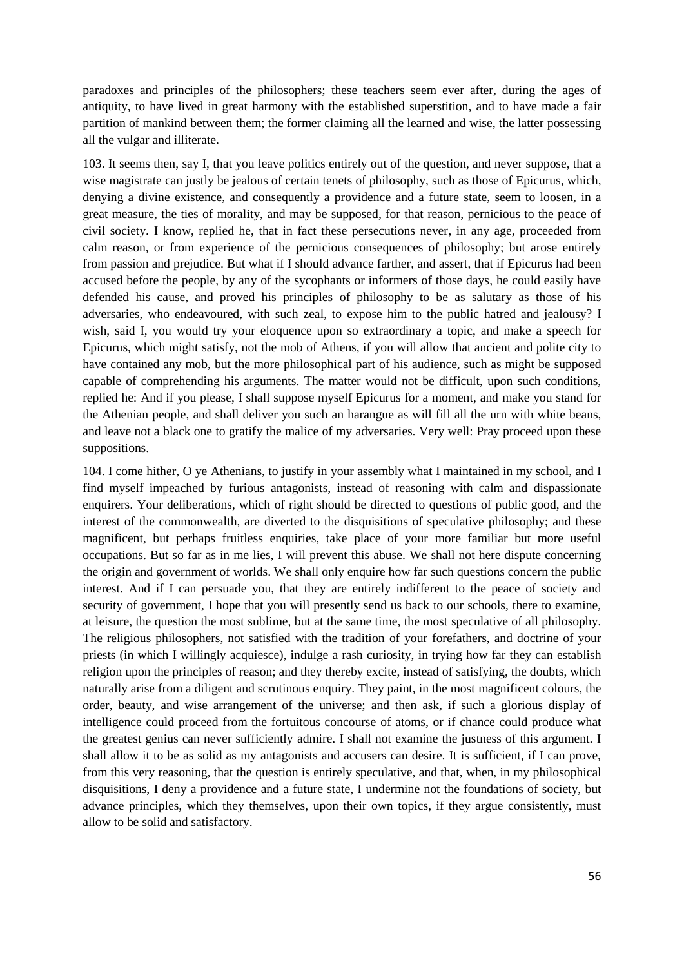paradoxes and principles of the philosophers; these teachers seem ever after, during the ages of antiquity, to have lived in great harmony with the established superstition, and to have made a fair partition of mankind between them; the former claiming all the learned and wise, the latter possessing all the vulgar and illiterate.

103. It seems then, say I, that you leave politics entirely out of the question, and never suppose, that a wise magistrate can justly be jealous of certain tenets of philosophy, such as those of Epicurus, which, denying a divine existence, and consequently a providence and a future state, seem to loosen, in a great measure, the ties of morality, and may be supposed, for that reason, pernicious to the peace of civil society. I know, replied he, that in fact these persecutions never, in any age, proceeded from calm reason, or from experience of the pernicious consequences of philosophy; but arose entirely from passion and prejudice. But what if I should advance farther, and assert, that if Epicurus had been accused before the people, by any of the sycophants or informers of those days, he could easily have defended his cause, and proved his principles of philosophy to be as salutary as those of his adversaries, who endeavoured, with such zeal, to expose him to the public hatred and jealousy? I wish, said I, you would try your eloquence upon so extraordinary a topic, and make a speech for Epicurus, which might satisfy, not the mob of Athens, if you will allow that ancient and polite city to have contained any mob, but the more philosophical part of his audience, such as might be supposed capable of comprehending his arguments. The matter would not be difficult, upon such conditions, replied he: And if you please, I shall suppose myself Epicurus for a moment, and make you stand for the Athenian people, and shall deliver you such an harangue as will fill all the urn with white beans, and leave not a black one to gratify the malice of my adversaries. Very well: Pray proceed upon these suppositions.

104. I come hither, O ye Athenians, to justify in your assembly what I maintained in my school, and I find myself impeached by furious antagonists, instead of reasoning with calm and dispassionate enquirers. Your deliberations, which of right should be directed to questions of public good, and the interest of the commonwealth, are diverted to the disquisitions of speculative philosophy; and these magnificent, but perhaps fruitless enquiries, take place of your more familiar but more useful occupations. But so far as in me lies, I will prevent this abuse. We shall not here dispute concerning the origin and government of worlds. We shall only enquire how far such questions concern the public interest. And if I can persuade you, that they are entirely indifferent to the peace of society and security of government, I hope that you will presently send us back to our schools, there to examine, at leisure, the question the most sublime, but at the same time, the most speculative of all philosophy. The religious philosophers, not satisfied with the tradition of your forefathers, and doctrine of your priests (in which I willingly acquiesce), indulge a rash curiosity, in trying how far they can establish religion upon the principles of reason; and they thereby excite, instead of satisfying, the doubts, which naturally arise from a diligent and scrutinous enquiry. They paint, in the most magnificent colours, the order, beauty, and wise arrangement of the universe; and then ask, if such a glorious display of intelligence could proceed from the fortuitous concourse of atoms, or if chance could produce what the greatest genius can never sufficiently admire. I shall not examine the justness of this argument. I shall allow it to be as solid as my antagonists and accusers can desire. It is sufficient, if I can prove, from this very reasoning, that the question is entirely speculative, and that, when, in my philosophical disquisitions, I deny a providence and a future state, I undermine not the foundations of society, but advance principles, which they themselves, upon their own topics, if they argue consistently, must allow to be solid and satisfactory.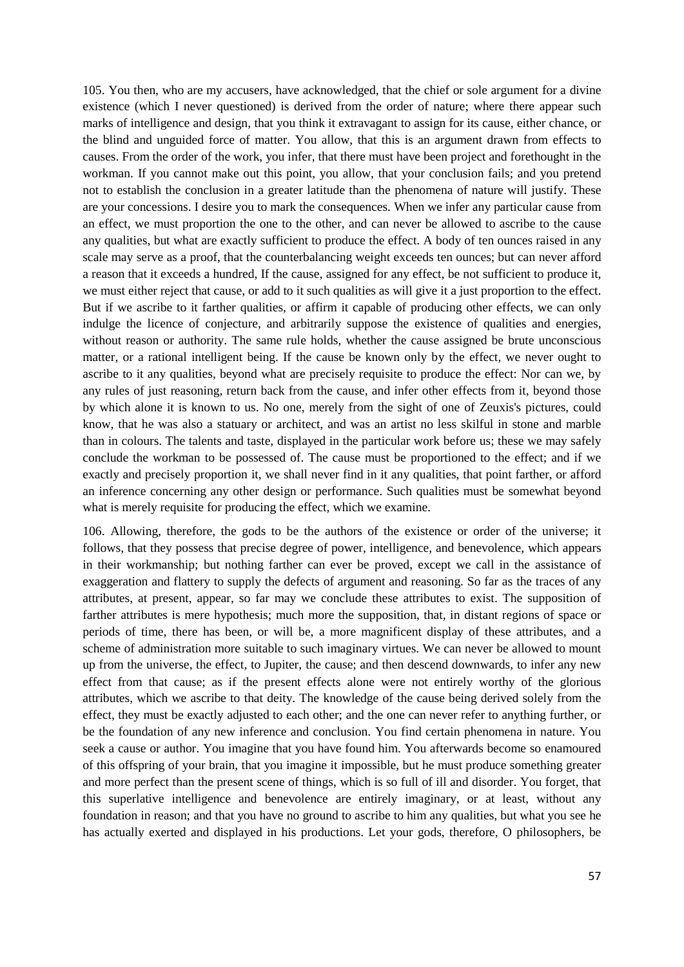105. You then, who are my accusers, have acknowledged, that the chief or sole argument for a divine existence (which I never questioned) is derived from the order of nature; where there appear such marks of intelligence and design, that you think it extravagant to assign for its cause, either chance, or the blind and unguided force of matter. You allow, that this is an argument drawn from effects to causes. From the order of the work, you infer, that there must have been project and forethought in the workman. If you cannot make out this point, you allow, that your conclusion fails; and you pretend not to establish the conclusion in a greater latitude than the phenomena of nature will justify. These are your concessions. I desire you to mark the consequences. When we infer any particular cause from an effect, we must proportion the one to the other, and can never be allowed to ascribe to the cause any qualities, but what are exactly sufficient to produce the effect. A body of ten ounces raised in any scale may serve as a proof, that the counterbalancing weight exceeds ten ounces; but can never afford a reason that it exceeds a hundred, If the cause, assigned for any effect, be not sufficient to produce it, we must either reject that cause, or add to it such qualities as will give it a just proportion to the effect. But if we ascribe to it farther qualities, or affirm it capable of producing other effects, we can only indulge the licence of conjecture, and arbitrarily suppose the existence of qualities and energies, without reason or authority. The same rule holds, whether the cause assigned be brute unconscious matter, or a rational intelligent being. If the cause be known only by the effect, we never ought to ascribe to it any qualities, beyond what are precisely requisite to produce the effect: Nor can we, by any rules of just reasoning, return back from the cause, and infer other effects from it, beyond those by which alone it is known to us. No one, merely from the sight of one of Zeuxis's pictures, could know, that he was also a statuary or architect, and was an artist no less skilful in stone and marble than in colours. The talents and taste, displayed in the particular work before us; these we may safely conclude the workman to be possessed of. The cause must be proportioned to the effect; and if we exactly and precisely proportion it, we shall never find in it any qualities, that point farther, or afford an inference concerning any other design or performance. Such qualities must be somewhat beyond what is merely requisite for producing the effect, which we examine.

106. Allowing, therefore, the gods to be the authors of the existence or order of the universe; it follows, that they possess that precise degree of power, intelligence, and benevolence, which appears in their workmanship; but nothing farther can ever be proved, except we call in the assistance of exaggeration and flattery to supply the defects of argument and reasoning. So far as the traces of any attributes, at present, appear, so far may we conclude these attributes to exist. The supposition of farther attributes is mere hypothesis; much more the supposition, that, in distant regions of space or periods of time, there has been, or will be, a more magnificent display of these attributes, and a scheme of administration more suitable to such imaginary virtues. We can never be allowed to mount up from the universe, the effect, to Jupiter, the cause; and then descend downwards, to infer any new effect from that cause; as if the present effects alone were not entirely worthy of the glorious attributes, which we ascribe to that deity. The knowledge of the cause being derived solely from the effect, they must be exactly adjusted to each other; and the one can never refer to anything further, or be the foundation of any new inference and conclusion. You find certain phenomena in nature. You seek a cause or author. You imagine that you have found him. You afterwards become so enamoured of this offspring of your brain, that you imagine it impossible, but he must produce something greater and more perfect than the present scene of things, which is so full of ill and disorder. You forget, that this superlative intelligence and benevolence are entirely imaginary, or at least, without any foundation in reason; and that you have no ground to ascribe to him any qualities, but what you see he has actually exerted and displayed in his productions. Let your gods, therefore, O philosophers, be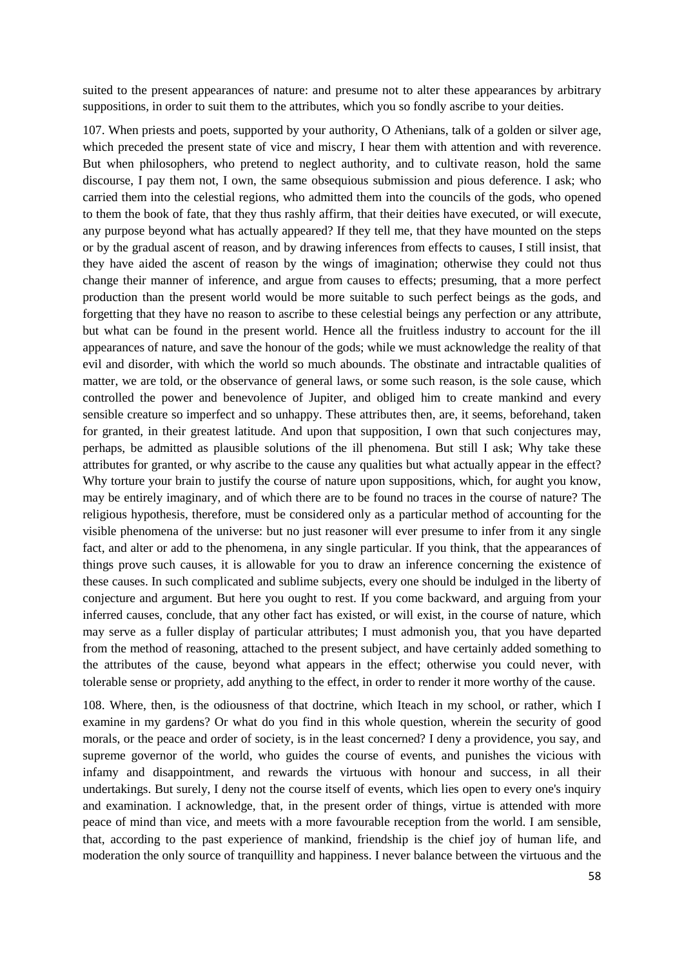suited to the present appearances of nature: and presume not to alter these appearances by arbitrary suppositions, in order to suit them to the attributes, which you so fondly ascribe to your deities.

107. When priests and poets, supported by your authority, O Athenians, talk of a golden or silver age, which preceded the present state of vice and miscry, I hear them with attention and with reverence. But when philosophers, who pretend to neglect authority, and to cultivate reason, hold the same discourse, I pay them not, I own, the same obsequious submission and pious deference. I ask; who carried them into the celestial regions, who admitted them into the councils of the gods, who opened to them the book of fate, that they thus rashly affirm, that their deities have executed, or will execute, any purpose beyond what has actually appeared? If they tell me, that they have mounted on the steps or by the gradual ascent of reason, and by drawing inferences from effects to causes, I still insist, that they have aided the ascent of reason by the wings of imagination; otherwise they could not thus change their manner of inference, and argue from causes to effects; presuming, that a more perfect production than the present world would be more suitable to such perfect beings as the gods, and forgetting that they have no reason to ascribe to these celestial beings any perfection or any attribute, but what can be found in the present world. Hence all the fruitless industry to account for the ill appearances of nature, and save the honour of the gods; while we must acknowledge the reality of that evil and disorder, with which the world so much abounds. The obstinate and intractable qualities of matter, we are told, or the observance of general laws, or some such reason, is the sole cause, which controlled the power and benevolence of Jupiter, and obliged him to create mankind and every sensible creature so imperfect and so unhappy. These attributes then, are, it seems, beforehand, taken for granted, in their greatest latitude. And upon that supposition, I own that such conjectures may, perhaps, be admitted as plausible solutions of the ill phenomena. But still I ask; Why take these attributes for granted, or why ascribe to the cause any qualities but what actually appear in the effect? Why torture your brain to justify the course of nature upon suppositions, which, for aught you know, may be entirely imaginary, and of which there are to be found no traces in the course of nature? The religious hypothesis, therefore, must be considered only as a particular method of accounting for the visible phenomena of the universe: but no just reasoner will ever presume to infer from it any single fact, and alter or add to the phenomena, in any single particular. If you think, that the appearances of things prove such causes, it is allowable for you to draw an inference concerning the existence of these causes. In such complicated and sublime subjects, every one should be indulged in the liberty of conjecture and argument. But here you ought to rest. If you come backward, and arguing from your inferred causes, conclude, that any other fact has existed, or will exist, in the course of nature, which may serve as a fuller display of particular attributes; I must admonish you, that you have departed from the method of reasoning, attached to the present subject, and have certainly added something to the attributes of the cause, beyond what appears in the effect; otherwise you could never, with tolerable sense or propriety, add anything to the effect, in order to render it more worthy of the cause.

108. Where, then, is the odiousness of that doctrine, which Iteach in my school, or rather, which I examine in my gardens? Or what do you find in this whole question, wherein the security of good morals, or the peace and order of society, is in the least concerned? I deny a providence, you say, and supreme governor of the world, who guides the course of events, and punishes the vicious with infamy and disappointment, and rewards the virtuous with honour and success, in all their undertakings. But surely, I deny not the course itself of events, which lies open to every one's inquiry and examination. I acknowledge, that, in the present order of things, virtue is attended with more peace of mind than vice, and meets with a more favourable reception from the world. I am sensible, that, according to the past experience of mankind, friendship is the chief joy of human life, and moderation the only source of tranquillity and happiness. I never balance between the virtuous and the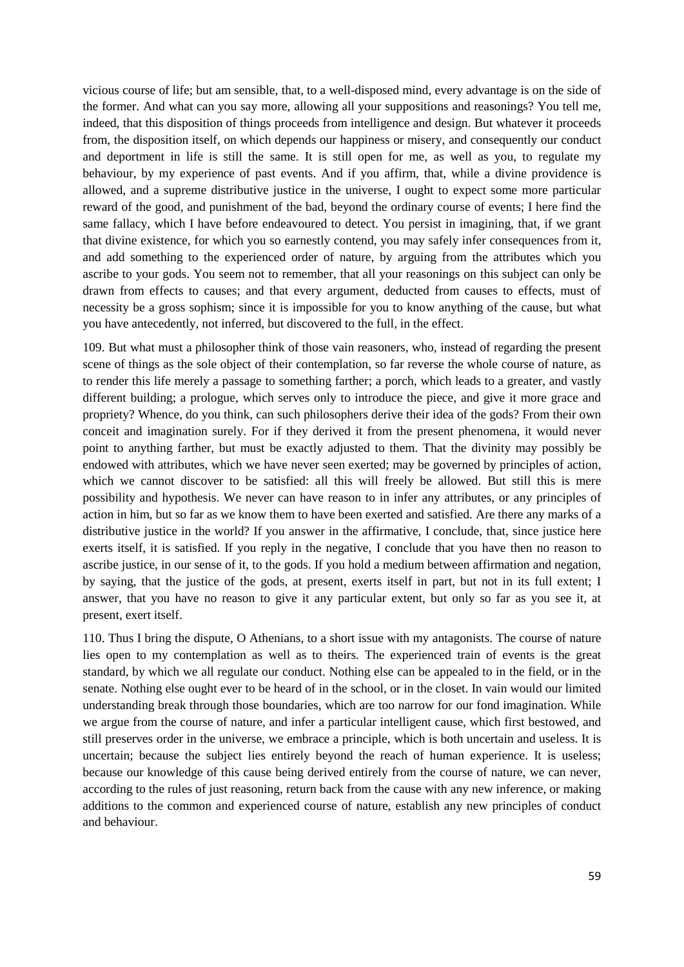vicious course of life; but am sensible, that, to a well-disposed mind, every advantage is on the side of the former. And what can you say more, allowing all your suppositions and reasonings? You tell me, indeed, that this disposition of things proceeds from intelligence and design. But whatever it proceeds from, the disposition itself, on which depends our happiness or misery, and consequently our conduct and deportment in life is still the same. It is still open for me, as well as you, to regulate my behaviour, by my experience of past events. And if you affirm, that, while a divine providence is allowed, and a supreme distributive justice in the universe, I ought to expect some more particular reward of the good, and punishment of the bad, beyond the ordinary course of events; I here find the same fallacy, which I have before endeavoured to detect. You persist in imagining, that, if we grant that divine existence, for which you so earnestly contend, you may safely infer consequences from it, and add something to the experienced order of nature, by arguing from the attributes which you ascribe to your gods. You seem not to remember, that all your reasonings on this subject can only be drawn from effects to causes; and that every argument, deducted from causes to effects, must of necessity be a gross sophism; since it is impossible for you to know anything of the cause, but what you have antecedently, not inferred, but discovered to the full, in the effect.

109. But what must a philosopher think of those vain reasoners, who, instead of regarding the present scene of things as the sole object of their contemplation, so far reverse the whole course of nature, as to render this life merely a passage to something farther; a porch, which leads to a greater, and vastly different building; a prologue, which serves only to introduce the piece, and give it more grace and propriety? Whence, do you think, can such philosophers derive their idea of the gods? From their own conceit and imagination surely. For if they derived it from the present phenomena, it would never point to anything farther, but must be exactly adjusted to them. That the divinity may possibly be endowed with attributes, which we have never seen exerted; may be governed by principles of action, which we cannot discover to be satisfied: all this will freely be allowed. But still this is mere possibility and hypothesis. We never can have reason to in infer any attributes, or any principles of action in him, but so far as we know them to have been exerted and satisfied. Are there any marks of a distributive justice in the world? If you answer in the affirmative, I conclude, that, since justice here exerts itself, it is satisfied. If you reply in the negative, I conclude that you have then no reason to ascribe justice, in our sense of it, to the gods. If you hold a medium between affirmation and negation, by saying, that the justice of the gods, at present, exerts itself in part, but not in its full extent; I answer, that you have no reason to give it any particular extent, but only so far as you see it, at present, exert itself.

110. Thus I bring the dispute, O Athenians, to a short issue with my antagonists. The course of nature lies open to my contemplation as well as to theirs. The experienced train of events is the great standard, by which we all regulate our conduct. Nothing else can be appealed to in the field, or in the senate. Nothing else ought ever to be heard of in the school, or in the closet. In vain would our limited understanding break through those boundaries, which are too narrow for our fond imagination. While we argue from the course of nature, and infer a particular intelligent cause, which first bestowed, and still preserves order in the universe, we embrace a principle, which is both uncertain and useless. It is uncertain; because the subject lies entirely beyond the reach of human experience. It is useless; because our knowledge of this cause being derived entirely from the course of nature, we can never, according to the rules of just reasoning, return back from the cause with any new inference, or making additions to the common and experienced course of nature, establish any new principles of conduct and behaviour.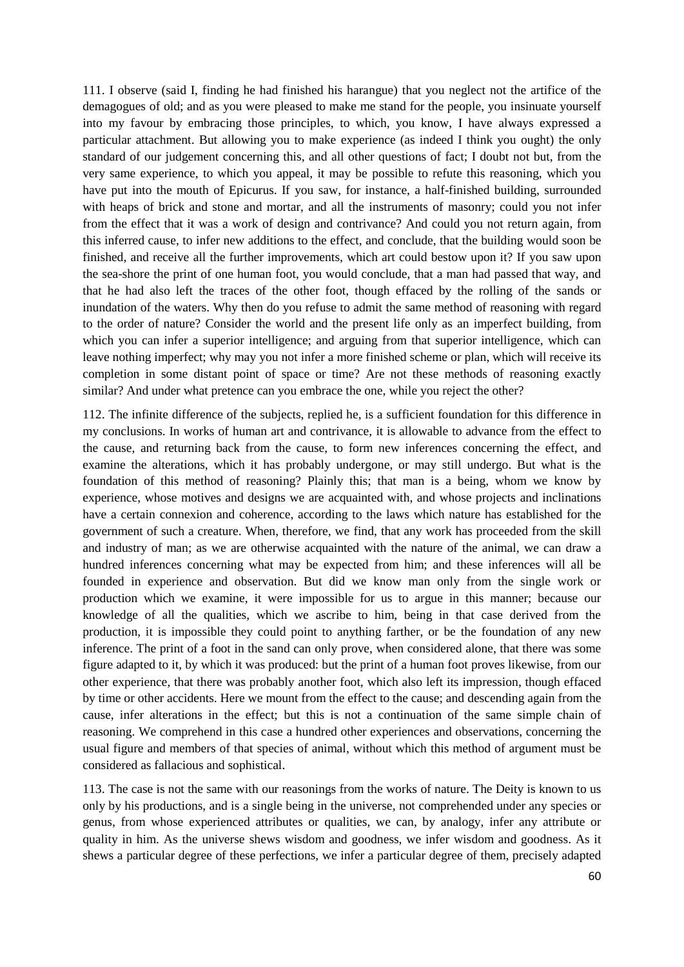111. I observe (said I, finding he had finished his harangue) that you neglect not the artifice of the demagogues of old; and as you were pleased to make me stand for the people, you insinuate yourself into my favour by embracing those principles, to which, you know, I have always expressed a particular attachment. But allowing you to make experience (as indeed I think you ought) the only standard of our judgement concerning this, and all other questions of fact; I doubt not but, from the very same experience, to which you appeal, it may be possible to refute this reasoning, which you have put into the mouth of Epicurus. If you saw, for instance, a half-finished building, surrounded with heaps of brick and stone and mortar, and all the instruments of masonry; could you not infer from the effect that it was a work of design and contrivance? And could you not return again, from this inferred cause, to infer new additions to the effect, and conclude, that the building would soon be finished, and receive all the further improvements, which art could bestow upon it? If you saw upon the sea-shore the print of one human foot, you would conclude, that a man had passed that way, and that he had also left the traces of the other foot, though effaced by the rolling of the sands or inundation of the waters. Why then do you refuse to admit the same method of reasoning with regard to the order of nature? Consider the world and the present life only as an imperfect building, from which you can infer a superior intelligence; and arguing from that superior intelligence, which can leave nothing imperfect; why may you not infer a more finished scheme or plan, which will receive its completion in some distant point of space or time? Are not these methods of reasoning exactly similar? And under what pretence can you embrace the one, while you reject the other?

112. The infinite difference of the subjects, replied he, is a sufficient foundation for this difference in my conclusions. In works of human art and contrivance, it is allowable to advance from the effect to the cause, and returning back from the cause, to form new inferences concerning the effect, and examine the alterations, which it has probably undergone, or may still undergo. But what is the foundation of this method of reasoning? Plainly this; that man is a being, whom we know by experience, whose motives and designs we are acquainted with, and whose projects and inclinations have a certain connexion and coherence, according to the laws which nature has established for the government of such a creature. When, therefore, we find, that any work has proceeded from the skill and industry of man; as we are otherwise acquainted with the nature of the animal, we can draw a hundred inferences concerning what may be expected from him; and these inferences will all be founded in experience and observation. But did we know man only from the single work or production which we examine, it were impossible for us to argue in this manner; because our knowledge of all the qualities, which we ascribe to him, being in that case derived from the production, it is impossible they could point to anything farther, or be the foundation of any new inference. The print of a foot in the sand can only prove, when considered alone, that there was some figure adapted to it, by which it was produced: but the print of a human foot proves likewise, from our other experience, that there was probably another foot, which also left its impression, though effaced by time or other accidents. Here we mount from the effect to the cause; and descending again from the cause, infer alterations in the effect; but this is not a continuation of the same simple chain of reasoning. We comprehend in this case a hundred other experiences and observations, concerning the usual figure and members of that species of animal, without which this method of argument must be considered as fallacious and sophistical.

113. The case is not the same with our reasonings from the works of nature. The Deity is known to us only by his productions, and is a single being in the universe, not comprehended under any species or genus, from whose experienced attributes or qualities, we can, by analogy, infer any attribute or quality in him. As the universe shews wisdom and goodness, we infer wisdom and goodness. As it shews a particular degree of these perfections, we infer a particular degree of them, precisely adapted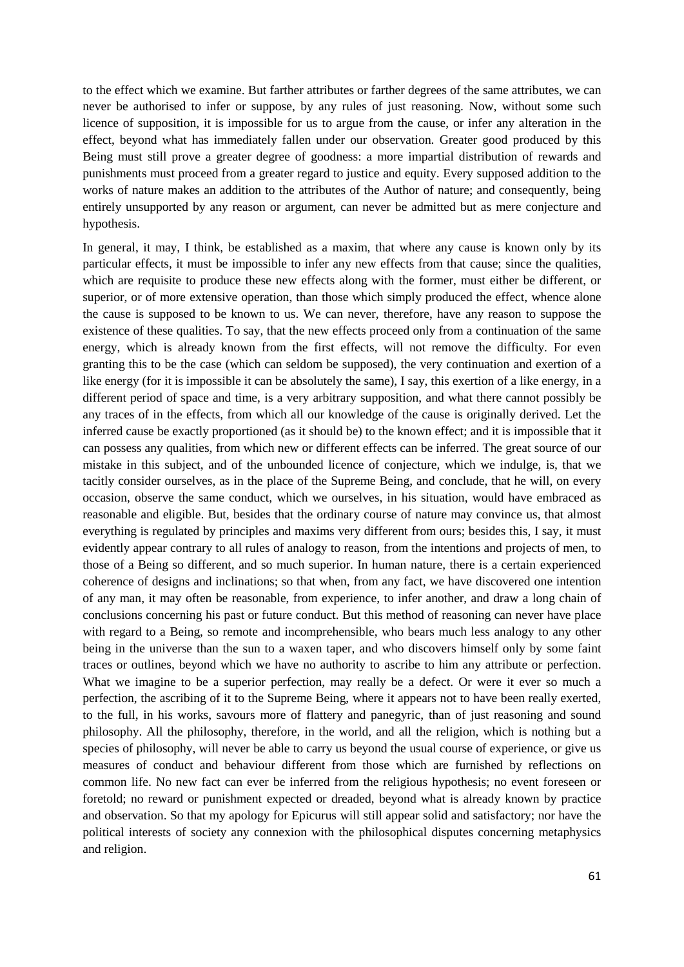to the effect which we examine. But farther attributes or farther degrees of the same attributes, we can never be authorised to infer or suppose, by any rules of just reasoning. Now, without some such licence of supposition, it is impossible for us to argue from the cause, or infer any alteration in the effect, beyond what has immediately fallen under our observation. Greater good produced by this Being must still prove a greater degree of goodness: a more impartial distribution of rewards and punishments must proceed from a greater regard to justice and equity. Every supposed addition to the works of nature makes an addition to the attributes of the Author of nature; and consequently, being entirely unsupported by any reason or argument, can never be admitted but as mere conjecture and hypothesis.

In general, it may, I think, be established as a maxim, that where any cause is known only by its particular effects, it must be impossible to infer any new effects from that cause; since the qualities, which are requisite to produce these new effects along with the former, must either be different, or superior, or of more extensive operation, than those which simply produced the effect, whence alone the cause is supposed to be known to us. We can never, therefore, have any reason to suppose the existence of these qualities. To say, that the new effects proceed only from a continuation of the same energy, which is already known from the first effects, will not remove the difficulty. For even granting this to be the case (which can seldom be supposed), the very continuation and exertion of a like energy (for it is impossible it can be absolutely the same), I say, this exertion of a like energy, in a different period of space and time, is a very arbitrary supposition, and what there cannot possibly be any traces of in the effects, from which all our knowledge of the cause is originally derived. Let the inferred cause be exactly proportioned (as it should be) to the known effect; and it is impossible that it can possess any qualities, from which new or different effects can be inferred. The great source of our mistake in this subject, and of the unbounded licence of conjecture, which we indulge, is, that we tacitly consider ourselves, as in the place of the Supreme Being, and conclude, that he will, on every occasion, observe the same conduct, which we ourselves, in his situation, would have embraced as reasonable and eligible. But, besides that the ordinary course of nature may convince us, that almost everything is regulated by principles and maxims very different from ours; besides this, I say, it must evidently appear contrary to all rules of analogy to reason, from the intentions and projects of men, to those of a Being so different, and so much superior. In human nature, there is a certain experienced coherence of designs and inclinations; so that when, from any fact, we have discovered one intention of any man, it may often be reasonable, from experience, to infer another, and draw a long chain of conclusions concerning his past or future conduct. But this method of reasoning can never have place with regard to a Being, so remote and incomprehensible, who bears much less analogy to any other being in the universe than the sun to a waxen taper, and who discovers himself only by some faint traces or outlines, beyond which we have no authority to ascribe to him any attribute or perfection. What we imagine to be a superior perfection, may really be a defect. Or were it ever so much a perfection, the ascribing of it to the Supreme Being, where it appears not to have been really exerted, to the full, in his works, savours more of flattery and panegyric, than of just reasoning and sound philosophy. All the philosophy, therefore, in the world, and all the religion, which is nothing but a species of philosophy, will never be able to carry us beyond the usual course of experience, or give us measures of conduct and behaviour different from those which are furnished by reflections on common life. No new fact can ever be inferred from the religious hypothesis; no event foreseen or foretold; no reward or punishment expected or dreaded, beyond what is already known by practice and observation. So that my apology for Epicurus will still appear solid and satisfactory; nor have the political interests of society any connexion with the philosophical disputes concerning metaphysics and religion.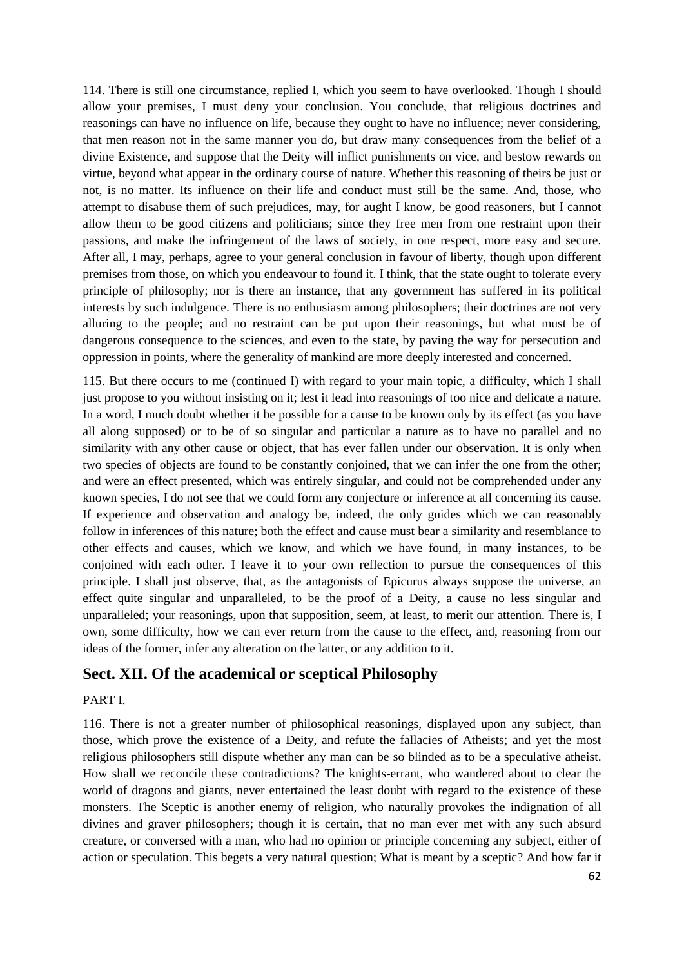114. There is still one circumstance, replied I, which you seem to have overlooked. Though I should allow your premises, I must deny your conclusion. You conclude, that religious doctrines and reasonings can have no influence on life, because they ought to have no influence; never considering, that men reason not in the same manner you do, but draw many consequences from the belief of a divine Existence, and suppose that the Deity will inflict punishments on vice, and bestow rewards on virtue, beyond what appear in the ordinary course of nature. Whether this reasoning of theirs be just or not, is no matter. Its influence on their life and conduct must still be the same. And, those, who attempt to disabuse them of such prejudices, may, for aught I know, be good reasoners, but I cannot allow them to be good citizens and politicians; since they free men from one restraint upon their passions, and make the infringement of the laws of society, in one respect, more easy and secure. After all, I may, perhaps, agree to your general conclusion in favour of liberty, though upon different premises from those, on which you endeavour to found it. I think, that the state ought to tolerate every principle of philosophy; nor is there an instance, that any government has suffered in its political interests by such indulgence. There is no enthusiasm among philosophers; their doctrines are not very alluring to the people; and no restraint can be put upon their reasonings, but what must be of dangerous consequence to the sciences, and even to the state, by paving the way for persecution and oppression in points, where the generality of mankind are more deeply interested and concerned.

115. But there occurs to me (continued I) with regard to your main topic, a difficulty, which I shall just propose to you without insisting on it; lest it lead into reasonings of too nice and delicate a nature. In a word, I much doubt whether it be possible for a cause to be known only by its effect (as you have all along supposed) or to be of so singular and particular a nature as to have no parallel and no similarity with any other cause or object, that has ever fallen under our observation. It is only when two species of objects are found to be constantly conjoined, that we can infer the one from the other; and were an effect presented, which was entirely singular, and could not be comprehended under any known species, I do not see that we could form any conjecture or inference at all concerning its cause. If experience and observation and analogy be, indeed, the only guides which we can reasonably follow in inferences of this nature; both the effect and cause must bear a similarity and resemblance to other effects and causes, which we know, and which we have found, in many instances, to be conjoined with each other. I leave it to your own reflection to pursue the consequences of this principle. I shall just observe, that, as the antagonists of Epicurus always suppose the universe, an effect quite singular and unparalleled, to be the proof of a Deity, a cause no less singular and unparalleled; your reasonings, upon that supposition, seem, at least, to merit our attention. There is, I own, some difficulty, how we can ever return from the cause to the effect, and, reasoning from our ideas of the former, infer any alteration on the latter, or any addition to it.

## **Sect. XII. Of the academical or sceptical Philosophy**

#### PART I.

116. There is not a greater number of philosophical reasonings, displayed upon any subject, than those, which prove the existence of a Deity, and refute the fallacies of Atheists; and yet the most religious philosophers still dispute whether any man can be so blinded as to be a speculative atheist. How shall we reconcile these contradictions? The knights-errant, who wandered about to clear the world of dragons and giants, never entertained the least doubt with regard to the existence of these monsters. The Sceptic is another enemy of religion, who naturally provokes the indignation of all divines and graver philosophers; though it is certain, that no man ever met with any such absurd creature, or conversed with a man, who had no opinion or principle concerning any subject, either of action or speculation. This begets a very natural question; What is meant by a sceptic? And how far it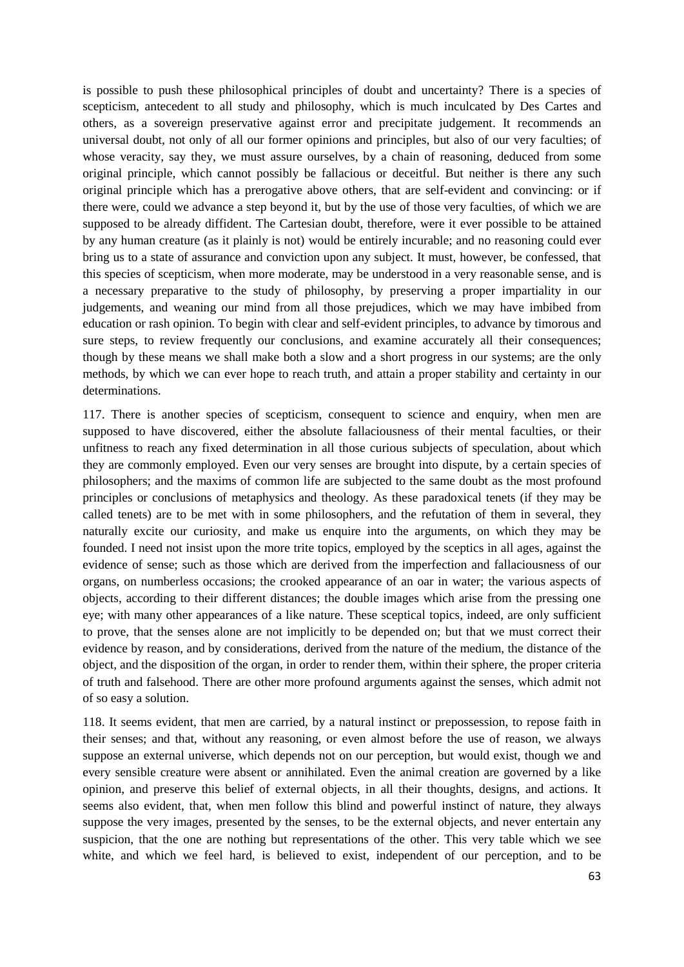is possible to push these philosophical principles of doubt and uncertainty? There is a species of scepticism, antecedent to all study and philosophy, which is much inculcated by Des Cartes and others, as a sovereign preservative against error and precipitate judgement. It recommends an universal doubt, not only of all our former opinions and principles, but also of our very faculties; of whose veracity, say they, we must assure ourselves, by a chain of reasoning, deduced from some original principle, which cannot possibly be fallacious or deceitful. But neither is there any such original principle which has a prerogative above others, that are self-evident and convincing: or if there were, could we advance a step beyond it, but by the use of those very faculties, of which we are supposed to be already diffident. The Cartesian doubt, therefore, were it ever possible to be attained by any human creature (as it plainly is not) would be entirely incurable; and no reasoning could ever bring us to a state of assurance and conviction upon any subject. It must, however, be confessed, that this species of scepticism, when more moderate, may be understood in a very reasonable sense, and is a necessary preparative to the study of philosophy, by preserving a proper impartiality in our judgements, and weaning our mind from all those prejudices, which we may have imbibed from education or rash opinion. To begin with clear and self-evident principles, to advance by timorous and sure steps, to review frequently our conclusions, and examine accurately all their consequences; though by these means we shall make both a slow and a short progress in our systems; are the only methods, by which we can ever hope to reach truth, and attain a proper stability and certainty in our determinations.

117. There is another species of scepticism, consequent to science and enquiry, when men are supposed to have discovered, either the absolute fallaciousness of their mental faculties, or their unfitness to reach any fixed determination in all those curious subjects of speculation, about which they are commonly employed. Even our very senses are brought into dispute, by a certain species of philosophers; and the maxims of common life are subjected to the same doubt as the most profound principles or conclusions of metaphysics and theology. As these paradoxical tenets (if they may be called tenets) are to be met with in some philosophers, and the refutation of them in several, they naturally excite our curiosity, and make us enquire into the arguments, on which they may be founded. I need not insist upon the more trite topics, employed by the sceptics in all ages, against the evidence of sense; such as those which are derived from the imperfection and fallaciousness of our organs, on numberless occasions; the crooked appearance of an oar in water; the various aspects of objects, according to their different distances; the double images which arise from the pressing one eye; with many other appearances of a like nature. These sceptical topics, indeed, are only sufficient to prove, that the senses alone are not implicitly to be depended on; but that we must correct their evidence by reason, and by considerations, derived from the nature of the medium, the distance of the object, and the disposition of the organ, in order to render them, within their sphere, the proper criteria of truth and falsehood. There are other more profound arguments against the senses, which admit not of so easy a solution.

118. It seems evident, that men are carried, by a natural instinct or prepossession, to repose faith in their senses; and that, without any reasoning, or even almost before the use of reason, we always suppose an external universe, which depends not on our perception, but would exist, though we and every sensible creature were absent or annihilated. Even the animal creation are governed by a like opinion, and preserve this belief of external objects, in all their thoughts, designs, and actions. It seems also evident, that, when men follow this blind and powerful instinct of nature, they always suppose the very images, presented by the senses, to be the external objects, and never entertain any suspicion, that the one are nothing but representations of the other. This very table which we see white, and which we feel hard, is believed to exist, independent of our perception, and to be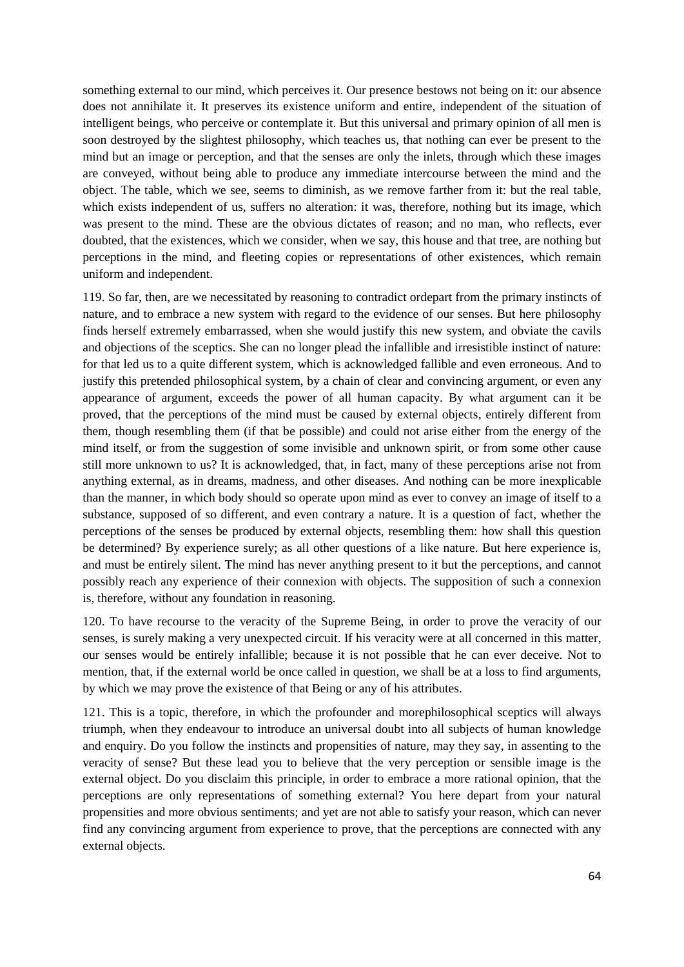something external to our mind, which perceives it. Our presence bestows not being on it: our absence does not annihilate it. It preserves its existence uniform and entire, independent of the situation of intelligent beings, who perceive or contemplate it. But this universal and primary opinion of all men is soon destroyed by the slightest philosophy, which teaches us, that nothing can ever be present to the mind but an image or perception, and that the senses are only the inlets, through which these images are conveyed, without being able to produce any immediate intercourse between the mind and the object. The table, which we see, seems to diminish, as we remove farther from it: but the real table, which exists independent of us, suffers no alteration: it was, therefore, nothing but its image, which was present to the mind. These are the obvious dictates of reason; and no man, who reflects, ever doubted, that the existences, which we consider, when we say, this house and that tree, are nothing but perceptions in the mind, and fleeting copies or representations of other existences, which remain uniform and independent.

119. So far, then, are we necessitated by reasoning to contradict ordepart from the primary instincts of nature, and to embrace a new system with regard to the evidence of our senses. But here philosophy finds herself extremely embarrassed, when she would justify this new system, and obviate the cavils and objections of the sceptics. She can no longer plead the infallible and irresistible instinct of nature: for that led us to a quite different system, which is acknowledged fallible and even erroneous. And to justify this pretended philosophical system, by a chain of clear and convincing argument, or even any appearance of argument, exceeds the power of all human capacity. By what argument can it be proved, that the perceptions of the mind must be caused by external objects, entirely different from them, though resembling them (if that be possible) and could not arise either from the energy of the mind itself, or from the suggestion of some invisible and unknown spirit, or from some other cause still more unknown to us? It is acknowledged, that, in fact, many of these perceptions arise not from anything external, as in dreams, madness, and other diseases. And nothing can be more inexplicable than the manner, in which body should so operate upon mind as ever to convey an image of itself to a substance, supposed of so different, and even contrary a nature. It is a question of fact, whether the perceptions of the senses be produced by external objects, resembling them: how shall this question be determined? By experience surely; as all other questions of a like nature. But here experience is, and must be entirely silent. The mind has never anything present to it but the perceptions, and cannot possibly reach any experience of their connexion with objects. The supposition of such a connexion is, therefore, without any foundation in reasoning.

120. To have recourse to the veracity of the Supreme Being, in order to prove the veracity of our senses, is surely making a very unexpected circuit. If his veracity were at all concerned in this matter, our senses would be entirely infallible; because it is not possible that he can ever deceive. Not to mention, that, if the external world be once called in question, we shall be at a loss to find arguments, by which we may prove the existence of that Being or any of his attributes.

121. This is a topic, therefore, in which the profounder and morephilosophical sceptics will always triumph, when they endeavour to introduce an universal doubt into all subjects of human knowledge and enquiry. Do you follow the instincts and propensities of nature, may they say, in assenting to the veracity of sense? But these lead you to believe that the very perception or sensible image is the external object. Do you disclaim this principle, in order to embrace a more rational opinion, that the perceptions are only representations of something external? You here depart from your natural propensities and more obvious sentiments; and yet are not able to satisfy your reason, which can never find any convincing argument from experience to prove, that the perceptions are connected with any external objects.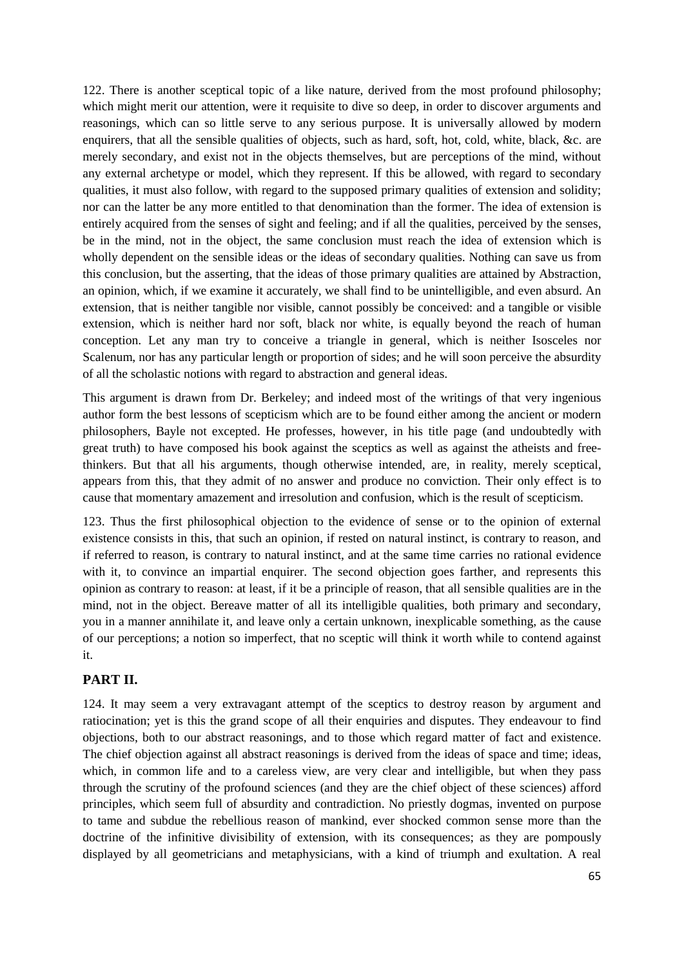122. There is another sceptical topic of a like nature, derived from the most profound philosophy; which might merit our attention, were it requisite to dive so deep, in order to discover arguments and reasonings, which can so little serve to any serious purpose. It is universally allowed by modern enquirers, that all the sensible qualities of objects, such as hard, soft, hot, cold, white, black, &c. are merely secondary, and exist not in the objects themselves, but are perceptions of the mind, without any external archetype or model, which they represent. If this be allowed, with regard to secondary qualities, it must also follow, with regard to the supposed primary qualities of extension and solidity; nor can the latter be any more entitled to that denomination than the former. The idea of extension is entirely acquired from the senses of sight and feeling; and if all the qualities, perceived by the senses, be in the mind, not in the object, the same conclusion must reach the idea of extension which is wholly dependent on the sensible ideas or the ideas of secondary qualities. Nothing can save us from this conclusion, but the asserting, that the ideas of those primary qualities are attained by Abstraction, an opinion, which, if we examine it accurately, we shall find to be unintelligible, and even absurd. An extension, that is neither tangible nor visible, cannot possibly be conceived: and a tangible or visible extension, which is neither hard nor soft, black nor white, is equally beyond the reach of human conception. Let any man try to conceive a triangle in general, which is neither Isosceles nor Scalenum, nor has any particular length or proportion of sides; and he will soon perceive the absurdity of all the scholastic notions with regard to abstraction and general ideas.

This argument is drawn from Dr. Berkeley; and indeed most of the writings of that very ingenious author form the best lessons of scepticism which are to be found either among the ancient or modern philosophers, Bayle not excepted. He professes, however, in his title page (and undoubtedly with great truth) to have composed his book against the sceptics as well as against the atheists and freethinkers. But that all his arguments, though otherwise intended, are, in reality, merely sceptical, appears from this, that they admit of no answer and produce no conviction. Their only effect is to cause that momentary amazement and irresolution and confusion, which is the result of scepticism.

123. Thus the first philosophical objection to the evidence of sense or to the opinion of external existence consists in this, that such an opinion, if rested on natural instinct, is contrary to reason, and if referred to reason, is contrary to natural instinct, and at the same time carries no rational evidence with it, to convince an impartial enquirer. The second objection goes farther, and represents this opinion as contrary to reason: at least, if it be a principle of reason, that all sensible qualities are in the mind, not in the object. Bereave matter of all its intelligible qualities, both primary and secondary, you in a manner annihilate it, and leave only a certain unknown, inexplicable something, as the cause of our perceptions; a notion so imperfect, that no sceptic will think it worth while to contend against it.

#### **PART II.**

124. It may seem a very extravagant attempt of the sceptics to destroy reason by argument and ratiocination; yet is this the grand scope of all their enquiries and disputes. They endeavour to find objections, both to our abstract reasonings, and to those which regard matter of fact and existence. The chief objection against all abstract reasonings is derived from the ideas of space and time; ideas, which, in common life and to a careless view, are very clear and intelligible, but when they pass through the scrutiny of the profound sciences (and they are the chief object of these sciences) afford principles, which seem full of absurdity and contradiction. No priestly dogmas, invented on purpose to tame and subdue the rebellious reason of mankind, ever shocked common sense more than the doctrine of the infinitive divisibility of extension, with its consequences; as they are pompously displayed by all geometricians and metaphysicians, with a kind of triumph and exultation. A real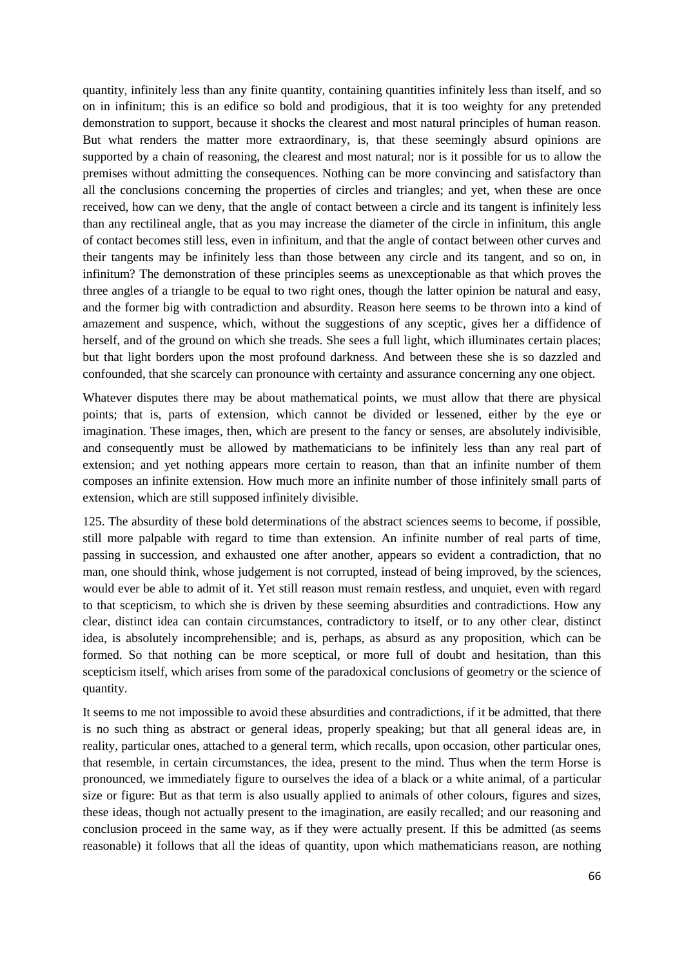quantity, infinitely less than any finite quantity, containing quantities infinitely less than itself, and so on in infinitum; this is an edifice so bold and prodigious, that it is too weighty for any pretended demonstration to support, because it shocks the clearest and most natural principles of human reason. But what renders the matter more extraordinary, is, that these seemingly absurd opinions are supported by a chain of reasoning, the clearest and most natural; nor is it possible for us to allow the premises without admitting the consequences. Nothing can be more convincing and satisfactory than all the conclusions concerning the properties of circles and triangles; and yet, when these are once received, how can we deny, that the angle of contact between a circle and its tangent is infinitely less than any rectilineal angle, that as you may increase the diameter of the circle in infinitum, this angle of contact becomes still less, even in infinitum, and that the angle of contact between other curves and their tangents may be infinitely less than those between any circle and its tangent, and so on, in infinitum? The demonstration of these principles seems as unexceptionable as that which proves the three angles of a triangle to be equal to two right ones, though the latter opinion be natural and easy, and the former big with contradiction and absurdity. Reason here seems to be thrown into a kind of amazement and suspence, which, without the suggestions of any sceptic, gives her a diffidence of herself, and of the ground on which she treads. She sees a full light, which illuminates certain places; but that light borders upon the most profound darkness. And between these she is so dazzled and confounded, that she scarcely can pronounce with certainty and assurance concerning any one object.

Whatever disputes there may be about mathematical points, we must allow that there are physical points; that is, parts of extension, which cannot be divided or lessened, either by the eye or imagination. These images, then, which are present to the fancy or senses, are absolutely indivisible, and consequently must be allowed by mathematicians to be infinitely less than any real part of extension; and yet nothing appears more certain to reason, than that an infinite number of them composes an infinite extension. How much more an infinite number of those infinitely small parts of extension, which are still supposed infinitely divisible.

125. The absurdity of these bold determinations of the abstract sciences seems to become, if possible, still more palpable with regard to time than extension. An infinite number of real parts of time, passing in succession, and exhausted one after another, appears so evident a contradiction, that no man, one should think, whose judgement is not corrupted, instead of being improved, by the sciences, would ever be able to admit of it. Yet still reason must remain restless, and unquiet, even with regard to that scepticism, to which she is driven by these seeming absurdities and contradictions. How any clear, distinct idea can contain circumstances, contradictory to itself, or to any other clear, distinct idea, is absolutely incomprehensible; and is, perhaps, as absurd as any proposition, which can be formed. So that nothing can be more sceptical, or more full of doubt and hesitation, than this scepticism itself, which arises from some of the paradoxical conclusions of geometry or the science of quantity.

It seems to me not impossible to avoid these absurdities and contradictions, if it be admitted, that there is no such thing as abstract or general ideas, properly speaking; but that all general ideas are, in reality, particular ones, attached to a general term, which recalls, upon occasion, other particular ones, that resemble, in certain circumstances, the idea, present to the mind. Thus when the term Horse is pronounced, we immediately figure to ourselves the idea of a black or a white animal, of a particular size or figure: But as that term is also usually applied to animals of other colours, figures and sizes, these ideas, though not actually present to the imagination, are easily recalled; and our reasoning and conclusion proceed in the same way, as if they were actually present. If this be admitted (as seems reasonable) it follows that all the ideas of quantity, upon which mathematicians reason, are nothing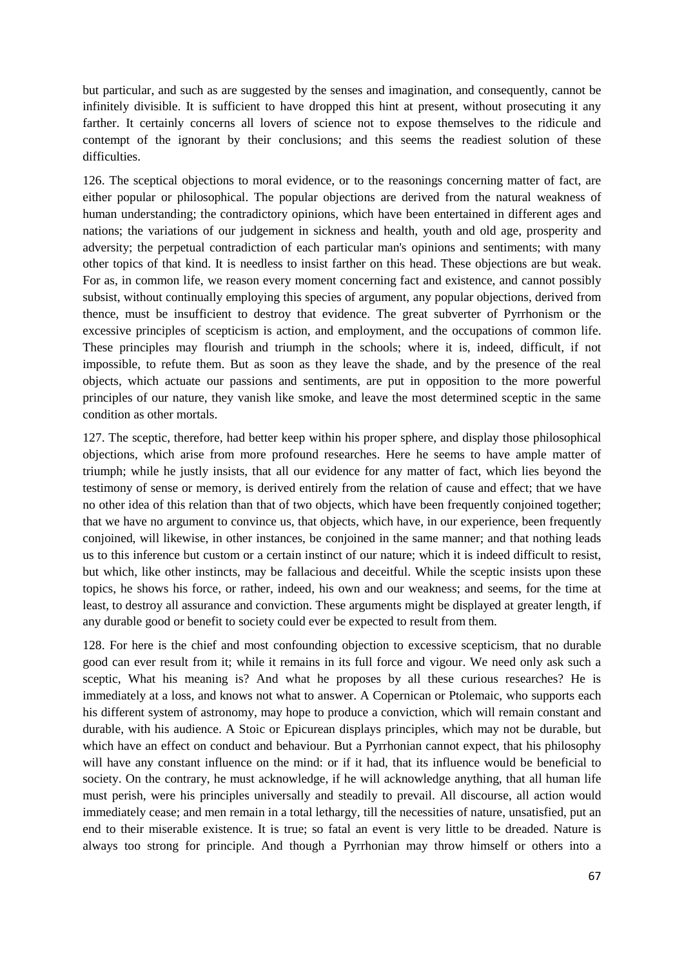but particular, and such as are suggested by the senses and imagination, and consequently, cannot be infinitely divisible. It is sufficient to have dropped this hint at present, without prosecuting it any farther. It certainly concerns all lovers of science not to expose themselves to the ridicule and contempt of the ignorant by their conclusions; and this seems the readiest solution of these difficulties.

126. The sceptical objections to moral evidence, or to the reasonings concerning matter of fact, are either popular or philosophical. The popular objections are derived from the natural weakness of human understanding; the contradictory opinions, which have been entertained in different ages and nations; the variations of our judgement in sickness and health, youth and old age, prosperity and adversity; the perpetual contradiction of each particular man's opinions and sentiments; with many other topics of that kind. It is needless to insist farther on this head. These objections are but weak. For as, in common life, we reason every moment concerning fact and existence, and cannot possibly subsist, without continually employing this species of argument, any popular objections, derived from thence, must be insufficient to destroy that evidence. The great subverter of Pyrrhonism or the excessive principles of scepticism is action, and employment, and the occupations of common life. These principles may flourish and triumph in the schools; where it is, indeed, difficult, if not impossible, to refute them. But as soon as they leave the shade, and by the presence of the real objects, which actuate our passions and sentiments, are put in opposition to the more powerful principles of our nature, they vanish like smoke, and leave the most determined sceptic in the same condition as other mortals.

127. The sceptic, therefore, had better keep within his proper sphere, and display those philosophical objections, which arise from more profound researches. Here he seems to have ample matter of triumph; while he justly insists, that all our evidence for any matter of fact, which lies beyond the testimony of sense or memory, is derived entirely from the relation of cause and effect; that we have no other idea of this relation than that of two objects, which have been frequently conjoined together; that we have no argument to convince us, that objects, which have, in our experience, been frequently conjoined, will likewise, in other instances, be conjoined in the same manner; and that nothing leads us to this inference but custom or a certain instinct of our nature; which it is indeed difficult to resist, but which, like other instincts, may be fallacious and deceitful. While the sceptic insists upon these topics, he shows his force, or rather, indeed, his own and our weakness; and seems, for the time at least, to destroy all assurance and conviction. These arguments might be displayed at greater length, if any durable good or benefit to society could ever be expected to result from them.

128. For here is the chief and most confounding objection to excessive scepticism, that no durable good can ever result from it; while it remains in its full force and vigour. We need only ask such a sceptic, What his meaning is? And what he proposes by all these curious researches? He is immediately at a loss, and knows not what to answer. A Copernican or Ptolemaic, who supports each his different system of astronomy, may hope to produce a conviction, which will remain constant and durable, with his audience. A Stoic or Epicurean displays principles, which may not be durable, but which have an effect on conduct and behaviour. But a Pyrrhonian cannot expect, that his philosophy will have any constant influence on the mind: or if it had, that its influence would be beneficial to society. On the contrary, he must acknowledge, if he will acknowledge anything, that all human life must perish, were his principles universally and steadily to prevail. All discourse, all action would immediately cease; and men remain in a total lethargy, till the necessities of nature, unsatisfied, put an end to their miserable existence. It is true; so fatal an event is very little to be dreaded. Nature is always too strong for principle. And though a Pyrrhonian may throw himself or others into a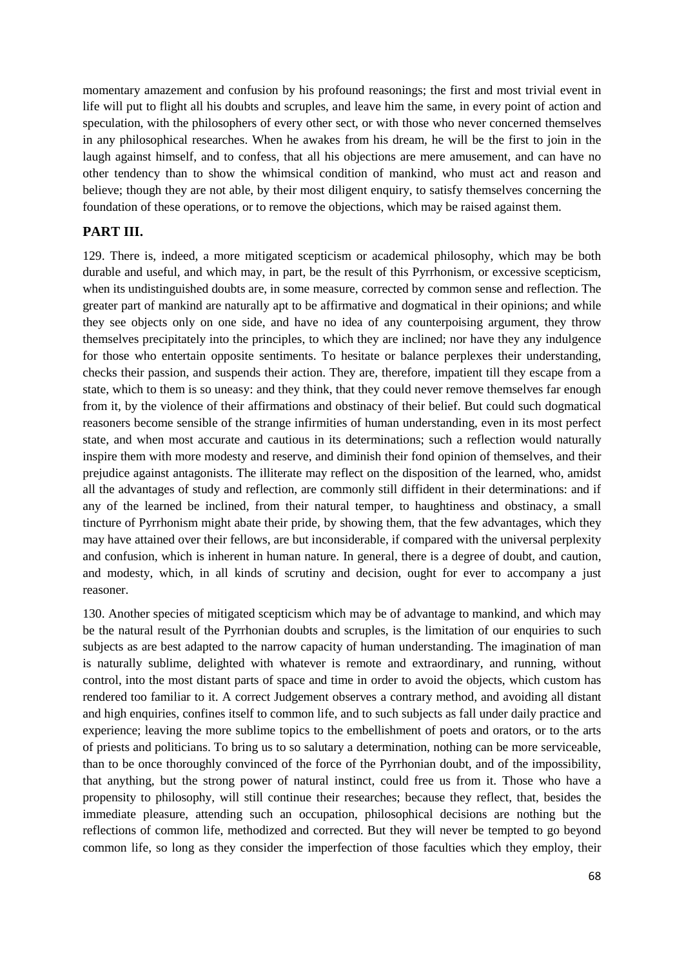momentary amazement and confusion by his profound reasonings; the first and most trivial event in life will put to flight all his doubts and scruples, and leave him the same, in every point of action and speculation, with the philosophers of every other sect, or with those who never concerned themselves in any philosophical researches. When he awakes from his dream, he will be the first to join in the laugh against himself, and to confess, that all his objections are mere amusement, and can have no other tendency than to show the whimsical condition of mankind, who must act and reason and believe; though they are not able, by their most diligent enquiry, to satisfy themselves concerning the foundation of these operations, or to remove the objections, which may be raised against them.

#### **PART III.**

129. There is, indeed, a more mitigated scepticism or academical philosophy, which may be both durable and useful, and which may, in part, be the result of this Pyrrhonism, or excessive scepticism, when its undistinguished doubts are, in some measure, corrected by common sense and reflection. The greater part of mankind are naturally apt to be affirmative and dogmatical in their opinions; and while they see objects only on one side, and have no idea of any counterpoising argument, they throw themselves precipitately into the principles, to which they are inclined; nor have they any indulgence for those who entertain opposite sentiments. To hesitate or balance perplexes their understanding, checks their passion, and suspends their action. They are, therefore, impatient till they escape from a state, which to them is so uneasy: and they think, that they could never remove themselves far enough from it, by the violence of their affirmations and obstinacy of their belief. But could such dogmatical reasoners become sensible of the strange infirmities of human understanding, even in its most perfect state, and when most accurate and cautious in its determinations; such a reflection would naturally inspire them with more modesty and reserve, and diminish their fond opinion of themselves, and their prejudice against antagonists. The illiterate may reflect on the disposition of the learned, who, amidst all the advantages of study and reflection, are commonly still diffident in their determinations: and if any of the learned be inclined, from their natural temper, to haughtiness and obstinacy, a small tincture of Pyrrhonism might abate their pride, by showing them, that the few advantages, which they may have attained over their fellows, are but inconsiderable, if compared with the universal perplexity and confusion, which is inherent in human nature. In general, there is a degree of doubt, and caution, and modesty, which, in all kinds of scrutiny and decision, ought for ever to accompany a just reasoner.

130. Another species of mitigated scepticism which may be of advantage to mankind, and which may be the natural result of the Pyrrhonian doubts and scruples, is the limitation of our enquiries to such subjects as are best adapted to the narrow capacity of human understanding. The imagination of man is naturally sublime, delighted with whatever is remote and extraordinary, and running, without control, into the most distant parts of space and time in order to avoid the objects, which custom has rendered too familiar to it. A correct Judgement observes a contrary method, and avoiding all distant and high enquiries, confines itself to common life, and to such subjects as fall under daily practice and experience; leaving the more sublime topics to the embellishment of poets and orators, or to the arts of priests and politicians. To bring us to so salutary a determination, nothing can be more serviceable, than to be once thoroughly convinced of the force of the Pyrrhonian doubt, and of the impossibility, that anything, but the strong power of natural instinct, could free us from it. Those who have a propensity to philosophy, will still continue their researches; because they reflect, that, besides the immediate pleasure, attending such an occupation, philosophical decisions are nothing but the reflections of common life, methodized and corrected. But they will never be tempted to go beyond common life, so long as they consider the imperfection of those faculties which they employ, their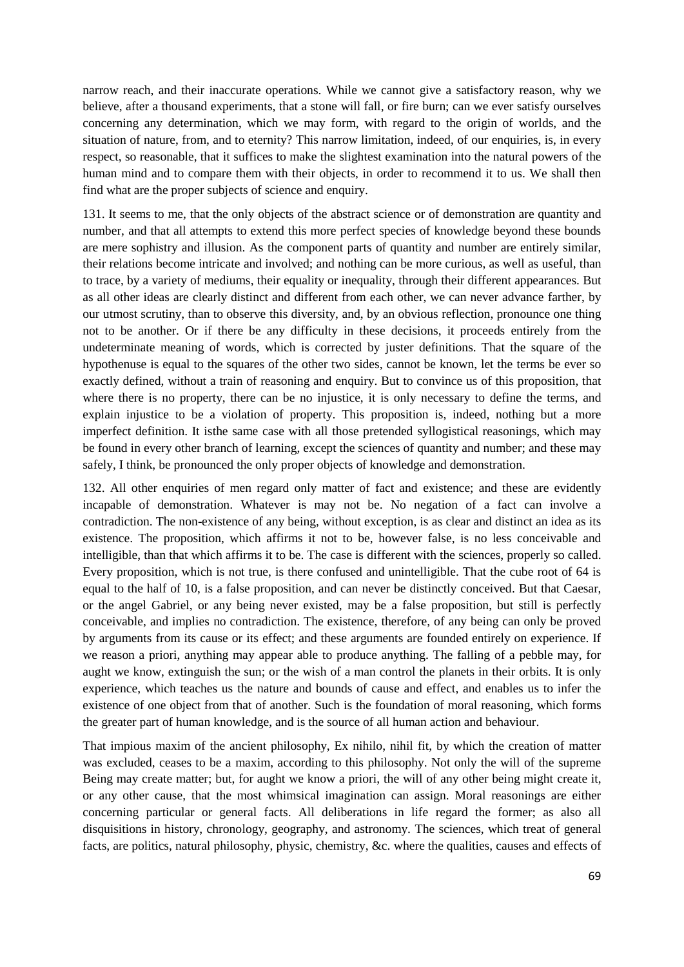narrow reach, and their inaccurate operations. While we cannot give a satisfactory reason, why we believe, after a thousand experiments, that a stone will fall, or fire burn; can we ever satisfy ourselves concerning any determination, which we may form, with regard to the origin of worlds, and the situation of nature, from, and to eternity? This narrow limitation, indeed, of our enquiries, is, in every respect, so reasonable, that it suffices to make the slightest examination into the natural powers of the human mind and to compare them with their objects, in order to recommend it to us. We shall then find what are the proper subjects of science and enquiry.

131. It seems to me, that the only objects of the abstract science or of demonstration are quantity and number, and that all attempts to extend this more perfect species of knowledge beyond these bounds are mere sophistry and illusion. As the component parts of quantity and number are entirely similar, their relations become intricate and involved; and nothing can be more curious, as well as useful, than to trace, by a variety of mediums, their equality or inequality, through their different appearances. But as all other ideas are clearly distinct and different from each other, we can never advance farther, by our utmost scrutiny, than to observe this diversity, and, by an obvious reflection, pronounce one thing not to be another. Or if there be any difficulty in these decisions, it proceeds entirely from the undeterminate meaning of words, which is corrected by juster definitions. That the square of the hypothenuse is equal to the squares of the other two sides, cannot be known, let the terms be ever so exactly defined, without a train of reasoning and enquiry. But to convince us of this proposition, that where there is no property, there can be no injustice, it is only necessary to define the terms, and explain injustice to be a violation of property. This proposition is, indeed, nothing but a more imperfect definition. It isthe same case with all those pretended syllogistical reasonings, which may be found in every other branch of learning, except the sciences of quantity and number; and these may safely, I think, be pronounced the only proper objects of knowledge and demonstration.

132. All other enquiries of men regard only matter of fact and existence; and these are evidently incapable of demonstration. Whatever is may not be. No negation of a fact can involve a contradiction. The non-existence of any being, without exception, is as clear and distinct an idea as its existence. The proposition, which affirms it not to be, however false, is no less conceivable and intelligible, than that which affirms it to be. The case is different with the sciences, properly so called. Every proposition, which is not true, is there confused and unintelligible. That the cube root of 64 is equal to the half of 10, is a false proposition, and can never be distinctly conceived. But that Caesar, or the angel Gabriel, or any being never existed, may be a false proposition, but still is perfectly conceivable, and implies no contradiction. The existence, therefore, of any being can only be proved by arguments from its cause or its effect; and these arguments are founded entirely on experience. If we reason a priori, anything may appear able to produce anything. The falling of a pebble may, for aught we know, extinguish the sun; or the wish of a man control the planets in their orbits. It is only experience, which teaches us the nature and bounds of cause and effect, and enables us to infer the existence of one object from that of another. Such is the foundation of moral reasoning, which forms the greater part of human knowledge, and is the source of all human action and behaviour.

That impious maxim of the ancient philosophy, Ex nihilo, nihil fit, by which the creation of matter was excluded, ceases to be a maxim, according to this philosophy. Not only the will of the supreme Being may create matter; but, for aught we know a priori, the will of any other being might create it, or any other cause, that the most whimsical imagination can assign. Moral reasonings are either concerning particular or general facts. All deliberations in life regard the former; as also all disquisitions in history, chronology, geography, and astronomy. The sciences, which treat of general facts, are politics, natural philosophy, physic, chemistry, &c. where the qualities, causes and effects of